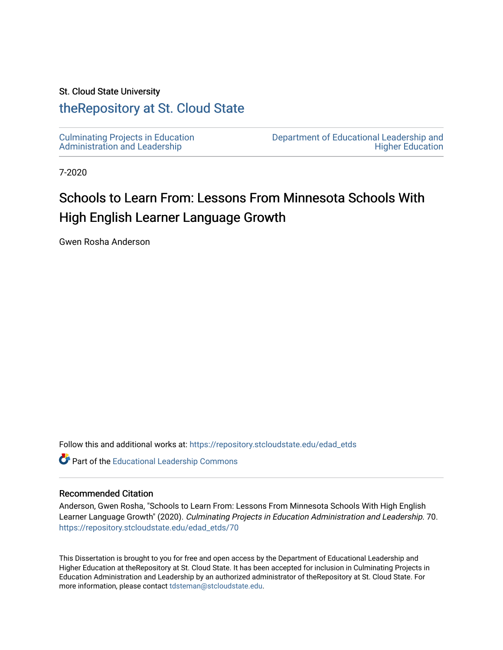### St. Cloud State University

# [theRepository at St. Cloud State](https://repository.stcloudstate.edu/)

[Culminating Projects in Education](https://repository.stcloudstate.edu/edad_etds)  [Administration and Leadership](https://repository.stcloudstate.edu/edad_etds) 

[Department of Educational Leadership and](https://repository.stcloudstate.edu/elhe)  [Higher Education](https://repository.stcloudstate.edu/elhe) 

7-2020

# Schools to Learn From: Lessons From Minnesota Schools With High English Learner Language Growth

Gwen Rosha Anderson

Follow this and additional works at: [https://repository.stcloudstate.edu/edad\\_etds](https://repository.stcloudstate.edu/edad_etds?utm_source=repository.stcloudstate.edu%2Fedad_etds%2F70&utm_medium=PDF&utm_campaign=PDFCoverPages)

Part of the [Educational Leadership Commons](http://network.bepress.com/hgg/discipline/1230?utm_source=repository.stcloudstate.edu%2Fedad_etds%2F70&utm_medium=PDF&utm_campaign=PDFCoverPages) 

#### Recommended Citation

Anderson, Gwen Rosha, "Schools to Learn From: Lessons From Minnesota Schools With High English Learner Language Growth" (2020). Culminating Projects in Education Administration and Leadership. 70. [https://repository.stcloudstate.edu/edad\\_etds/70](https://repository.stcloudstate.edu/edad_etds/70?utm_source=repository.stcloudstate.edu%2Fedad_etds%2F70&utm_medium=PDF&utm_campaign=PDFCoverPages) 

This Dissertation is brought to you for free and open access by the Department of Educational Leadership and Higher Education at theRepository at St. Cloud State. It has been accepted for inclusion in Culminating Projects in Education Administration and Leadership by an authorized administrator of theRepository at St. Cloud State. For more information, please contact [tdsteman@stcloudstate.edu.](mailto:tdsteman@stcloudstate.edu)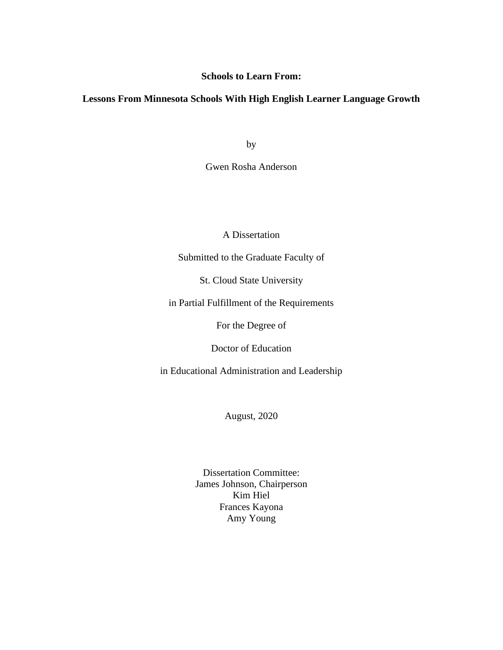## **Schools to Learn From:**

# **Lessons From Minnesota Schools With High English Learner Language Growth**

by

Gwen Rosha Anderson

A Dissertation

Submitted to the Graduate Faculty of

St. Cloud State University

in Partial Fulfillment of the Requirements

For the Degree of

Doctor of Education

in Educational Administration and Leadership

August, 2020

Dissertation Committee: James Johnson, Chairperson Kim Hiel Frances Kayona Amy Young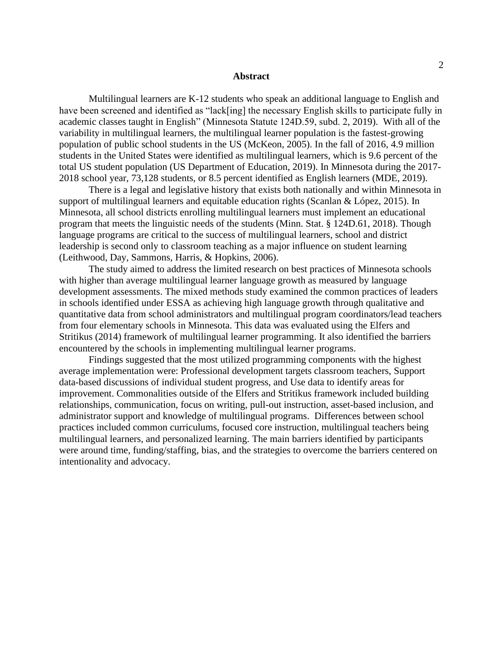#### **Abstract**

Multilingual learners are K-12 students who speak an additional language to English and have been screened and identified as "lack[ing] the necessary English skills to participate fully in academic classes taught in English" (Minnesota Statute 124D.59, subd. 2, 2019). With all of the variability in multilingual learners, the multilingual learner population is the fastest-growing population of public school students in the US (McKeon, 2005). In the fall of 2016, 4.9 million students in the United States were identified as multilingual learners, which is 9.6 percent of the total US student population (US Department of Education, 2019). In Minnesota during the 2017- 2018 school year, 73,128 students, or 8.5 percent identified as English learners (MDE, 2019).

There is a legal and legislative history that exists both nationally and within Minnesota in support of multilingual learners and equitable education rights (Scanlan & López, 2015). In Minnesota, all school districts enrolling multilingual learners must implement an educational program that meets the linguistic needs of the students (Minn. Stat. § 124D.61, 2018). Though language programs are critical to the success of multilingual learners, school and district leadership is second only to classroom teaching as a major influence on student learning (Leithwood, Day, Sammons, Harris, & Hopkins, 2006).

The study aimed to address the limited research on best practices of Minnesota schools with higher than average multilingual learner language growth as measured by language development assessments. The mixed methods study examined the common practices of leaders in schools identified under ESSA as achieving high language growth through qualitative and quantitative data from school administrators and multilingual program coordinators/lead teachers from four elementary schools in Minnesota. This data was evaluated using the Elfers and Stritikus (2014) framework of multilingual learner programming. It also identified the barriers encountered by the schools in implementing multilingual learner programs.

Findings suggested that the most utilized programming components with the highest average implementation were: Professional development targets classroom teachers, Support data-based discussions of individual student progress, and Use data to identify areas for improvement. Commonalities outside of the Elfers and Stritikus framework included building relationships, communication, focus on writing, pull-out instruction, asset-based inclusion, and administrator support and knowledge of multilingual programs. Differences between school practices included common curriculums, focused core instruction, multilingual teachers being multilingual learners, and personalized learning. The main barriers identified by participants were around time, funding/staffing, bias, and the strategies to overcome the barriers centered on intentionality and advocacy.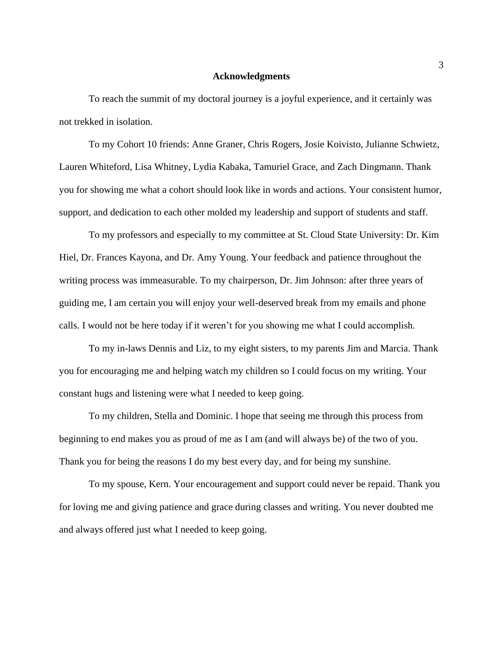#### **Acknowledgments**

To reach the summit of my doctoral journey is a joyful experience, and it certainly was not trekked in isolation.

To my Cohort 10 friends: Anne Graner, Chris Rogers, Josie Koivisto, Julianne Schwietz, Lauren Whiteford, Lisa Whitney, Lydia Kabaka, Tamuriel Grace, and Zach Dingmann. Thank you for showing me what a cohort should look like in words and actions. Your consistent humor, support, and dedication to each other molded my leadership and support of students and staff.

To my professors and especially to my committee at St. Cloud State University: Dr. Kim Hiel, Dr. Frances Kayona, and Dr. Amy Young. Your feedback and patience throughout the writing process was immeasurable. To my chairperson, Dr. Jim Johnson: after three years of guiding me, I am certain you will enjoy your well-deserved break from my emails and phone calls. I would not be here today if it weren't for you showing me what I could accomplish.

To my in-laws Dennis and Liz, to my eight sisters, to my parents Jim and Marcia. Thank you for encouraging me and helping watch my children so I could focus on my writing. Your constant hugs and listening were what I needed to keep going.

To my children, Stella and Dominic. I hope that seeing me through this process from beginning to end makes you as proud of me as I am (and will always be) of the two of you. Thank you for being the reasons I do my best every day, and for being my sunshine.

To my spouse, Kern. Your encouragement and support could never be repaid. Thank you for loving me and giving patience and grace during classes and writing. You never doubted me and always offered just what I needed to keep going.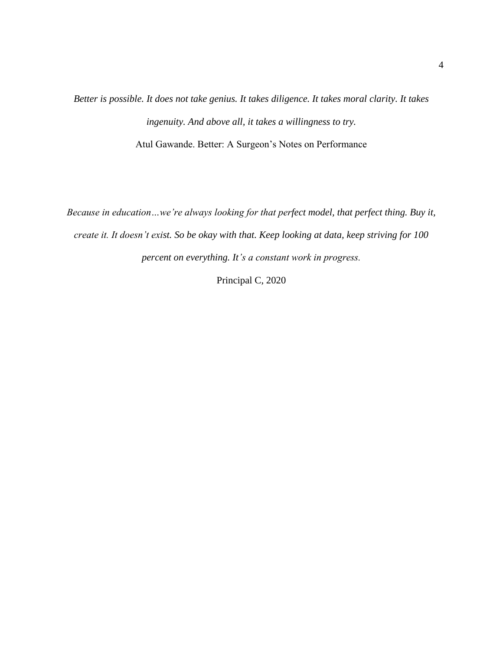*Better is possible. It does not take genius. It takes diligence. It takes moral clarity. It takes ingenuity. And above all, it takes a willingness to try.* Atul Gawande. Better: A Surgeon's Notes on Performance

*Because in education…we're always looking for that perfect model, that perfect thing. Buy it, create it. It doesn't exist. So be okay with that. Keep looking at data, keep striving for 100 percent on everything. It's a constant work in progress.*

Principal C, 2020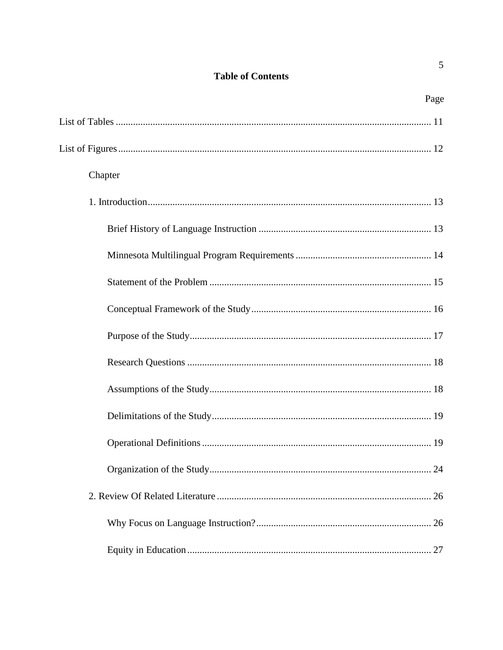# **Table of Contents**

| Page    |
|---------|
|         |
|         |
| Chapter |
|         |
|         |
|         |
|         |
|         |
|         |
|         |
|         |
|         |
|         |
|         |
|         |
|         |
|         |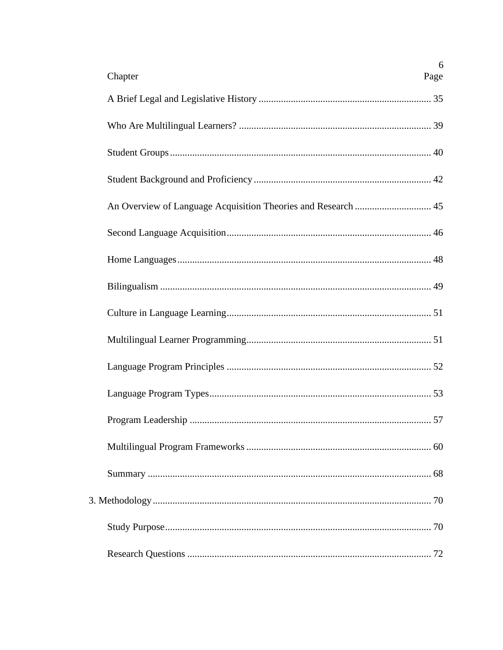| 6<br>Chapter<br>Page |
|----------------------|
|                      |
|                      |
|                      |
|                      |
|                      |
|                      |
|                      |
|                      |
|                      |
|                      |
|                      |
|                      |
|                      |
|                      |
|                      |
|                      |
|                      |
|                      |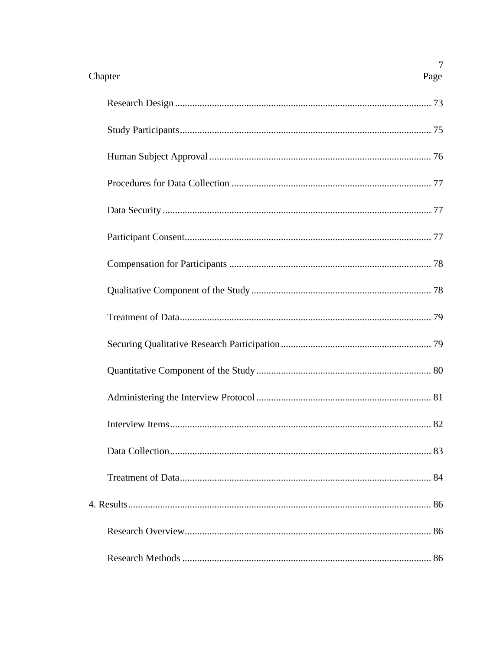| 7<br>Chapter<br>Page         |
|------------------------------|
|                              |
|                              |
|                              |
|                              |
|                              |
|                              |
|                              |
|                              |
|                              |
|                              |
|                              |
|                              |
| 82<br><b>Interview Items</b> |
|                              |
|                              |
|                              |
|                              |
|                              |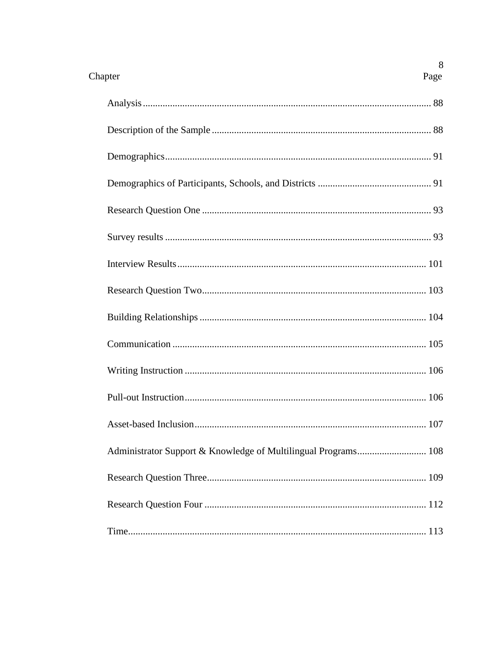| Chapter<br>Page | 8 |
|-----------------|---|
|                 |   |
|                 |   |
|                 |   |
|                 |   |
|                 |   |
|                 |   |
|                 |   |
|                 |   |
|                 |   |
|                 |   |
|                 |   |
|                 |   |
|                 |   |
|                 |   |
|                 |   |
|                 |   |
|                 |   |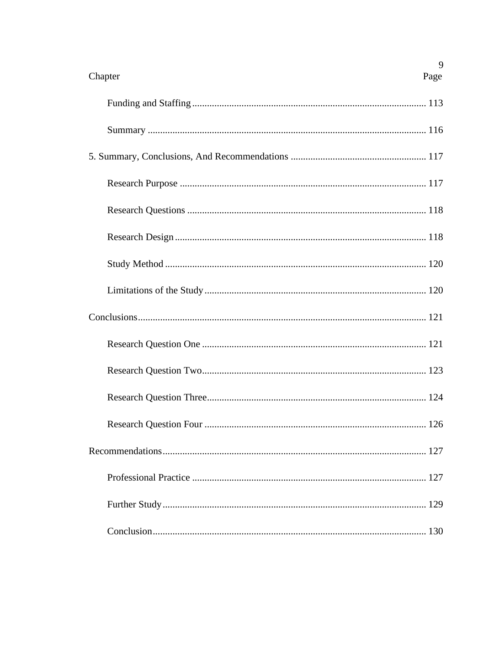| 9<br>Chapter<br>Page           |
|--------------------------------|
|                                |
|                                |
|                                |
|                                |
|                                |
|                                |
|                                |
|                                |
|                                |
|                                |
|                                |
|                                |
| Research Question Four.<br>126 |
|                                |
|                                |
|                                |
|                                |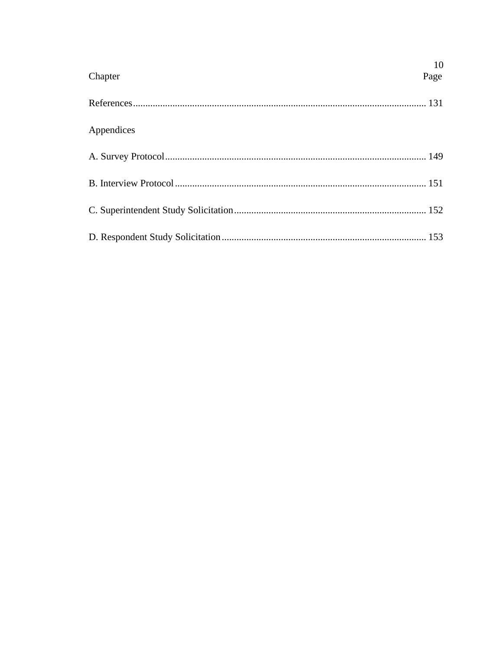| Chapter    | 10<br>Page |
|------------|------------|
|            |            |
| Appendices |            |
|            |            |
|            |            |
|            |            |
|            |            |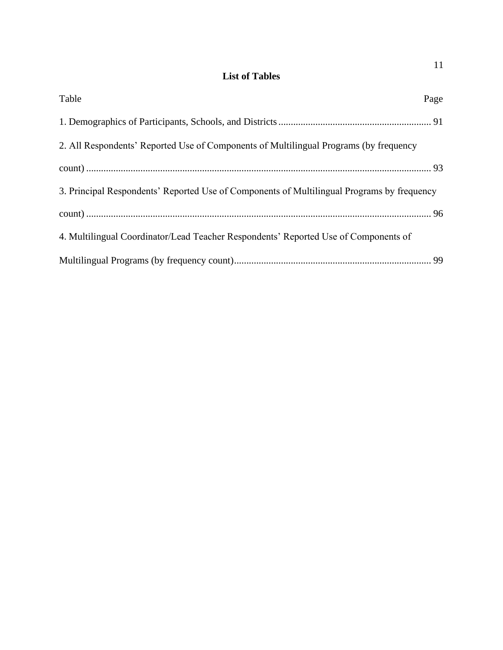# **List of Tables**

| Table                                                                                      | Page |
|--------------------------------------------------------------------------------------------|------|
|                                                                                            |      |
| 2. All Respondents' Reported Use of Components of Multilingual Programs (by frequency      |      |
|                                                                                            |      |
| 3. Principal Respondents' Reported Use of Components of Multilingual Programs by frequency |      |
|                                                                                            |      |
| 4. Multilingual Coordinator/Lead Teacher Respondents' Reported Use of Components of        |      |
|                                                                                            |      |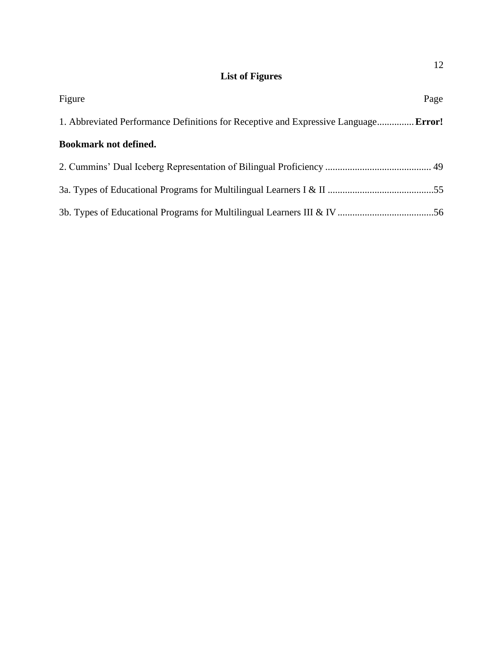# **List of Figures**

| Figure                                                                                     | Page |
|--------------------------------------------------------------------------------------------|------|
| 1. Abbreviated Performance Definitions for Receptive and Expressive Language <b>Error!</b> |      |
| <b>Bookmark not defined.</b>                                                               |      |
|                                                                                            |      |
|                                                                                            |      |
|                                                                                            |      |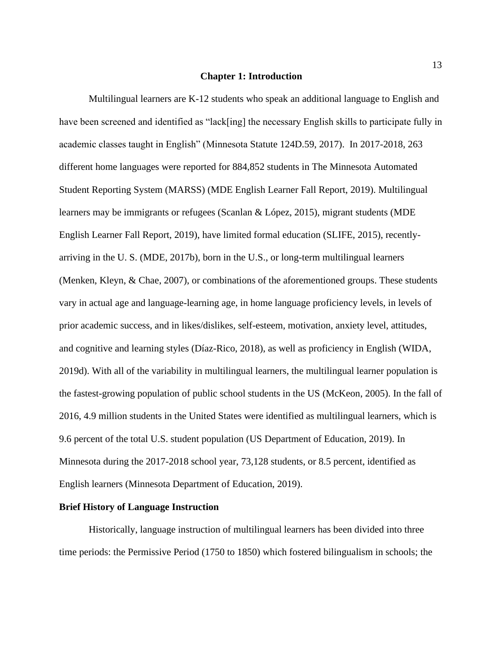#### **Chapter 1: Introduction**

Multilingual learners are K-12 students who speak an additional language to English and have been screened and identified as "lack[ing] the necessary English skills to participate fully in academic classes taught in English" (Minnesota Statute 124D.59, 2017). In 2017-2018, 263 different home languages were reported for 884,852 students in The Minnesota Automated Student Reporting System (MARSS) (MDE English Learner Fall Report, 2019). Multilingual learners may be immigrants or refugees (Scanlan & López, 2015), migrant students (MDE English Learner Fall Report, 2019), have limited formal education (SLIFE, 2015), recentlyarriving in the U. S. (MDE, 2017b), born in the U.S., or long-term multilingual learners (Menken, Kleyn, & Chae, 2007), or combinations of the aforementioned groups. These students vary in actual age and language-learning age, in home language proficiency levels, in levels of prior academic success, and in likes/dislikes, self-esteem, motivation, anxiety level, attitudes, and cognitive and learning styles (Díaz-Rico, 2018), as well as proficiency in English (WIDA, 2019d). With all of the variability in multilingual learners, the multilingual learner population is the fastest-growing population of public school students in the US (McKeon, 2005). In the fall of 2016, 4.9 million students in the United States were identified as multilingual learners, which is 9.6 percent of the total U.S. student population (US Department of Education, 2019). In Minnesota during the 2017-2018 school year, 73,128 students, or 8.5 percent, identified as English learners (Minnesota Department of Education, 2019).

#### **Brief History of Language Instruction**

Historically, language instruction of multilingual learners has been divided into three time periods: the Permissive Period (1750 to 1850) which fostered bilingualism in schools; the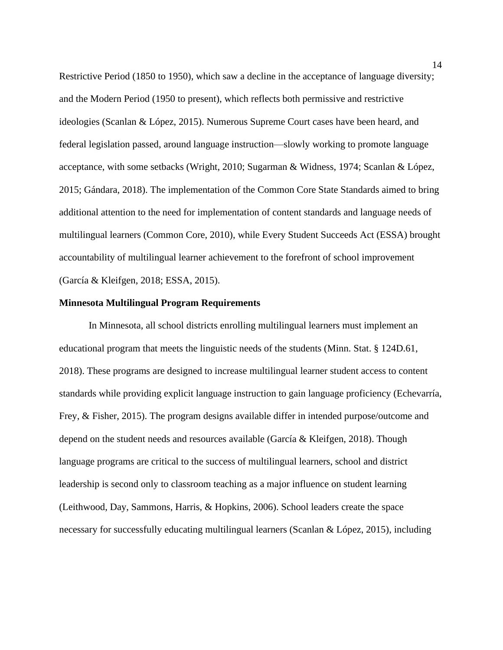Restrictive Period (1850 to 1950), which saw a decline in the acceptance of language diversity; and the Modern Period (1950 to present), which reflects both permissive and restrictive ideologies (Scanlan & López, 2015). Numerous Supreme Court cases have been heard, and federal legislation passed, around language instruction—slowly working to promote language acceptance, with some setbacks (Wright, 2010; Sugarman & Widness, 1974; Scanlan & López, 2015; Gándara, 2018). The implementation of the Common Core State Standards aimed to bring additional attention to the need for implementation of content standards and language needs of multilingual learners (Common Core, 2010), while Every Student Succeeds Act (ESSA) brought accountability of multilingual learner achievement to the forefront of school improvement (García & Kleifgen, 2018; ESSA, 2015).

#### **Minnesota Multilingual Program Requirements**

In Minnesota, all school districts enrolling multilingual learners must implement an educational program that meets the linguistic needs of the students (Minn. Stat. § 124D.61, 2018). These programs are designed to increase multilingual learner student access to content standards while providing explicit language instruction to gain language proficiency (Echevarría, Frey, & Fisher, 2015). The program designs available differ in intended purpose/outcome and depend on the student needs and resources available (García & Kleifgen, 2018). Though language programs are critical to the success of multilingual learners, school and district leadership is second only to classroom teaching as a major influence on student learning (Leithwood, Day, Sammons, Harris, & Hopkins, 2006). School leaders create the space necessary for successfully educating multilingual learners (Scanlan & López, 2015), including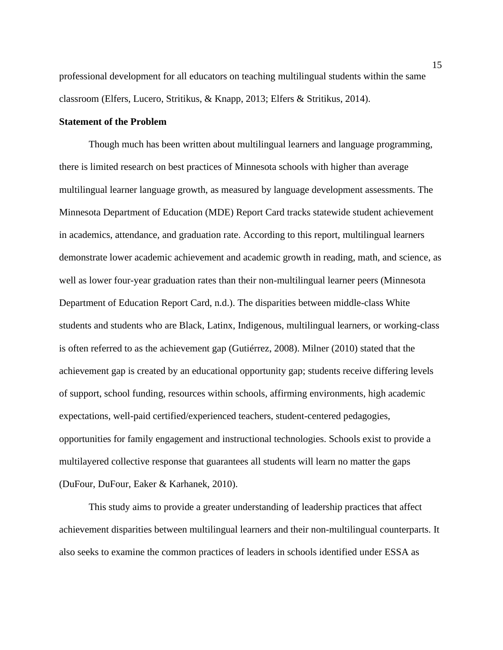professional development for all educators on teaching multilingual students within the same classroom (Elfers, Lucero, Stritikus, & Knapp, 2013; Elfers & Stritikus, 2014).

#### **Statement of the Problem**

Though much has been written about multilingual learners and language programming, there is limited research on best practices of Minnesota schools with higher than average multilingual learner language growth, as measured by language development assessments. The Minnesota Department of Education (MDE) Report Card tracks statewide student achievement in academics, attendance, and graduation rate. According to this report, multilingual learners demonstrate lower academic achievement and academic growth in reading, math, and science, as well as lower four-year graduation rates than their non-multilingual learner peers (Minnesota Department of Education Report Card, n.d.). The disparities between middle-class White students and students who are Black, Latinx, Indigenous, multilingual learners, or working-class is often referred to as the achievement gap (Gutiérrez, 2008). Milner (2010) stated that the achievement gap is created by an educational opportunity gap; students receive differing levels of support, school funding, resources within schools, affirming environments, high academic expectations, well-paid certified/experienced teachers, student-centered pedagogies, opportunities for family engagement and instructional technologies. Schools exist to provide a multilayered collective response that guarantees all students will learn no matter the gaps (DuFour, DuFour, Eaker & Karhanek, 2010).

This study aims to provide a greater understanding of leadership practices that affect achievement disparities between multilingual learners and their non-multilingual counterparts. It also seeks to examine the common practices of leaders in schools identified under ESSA as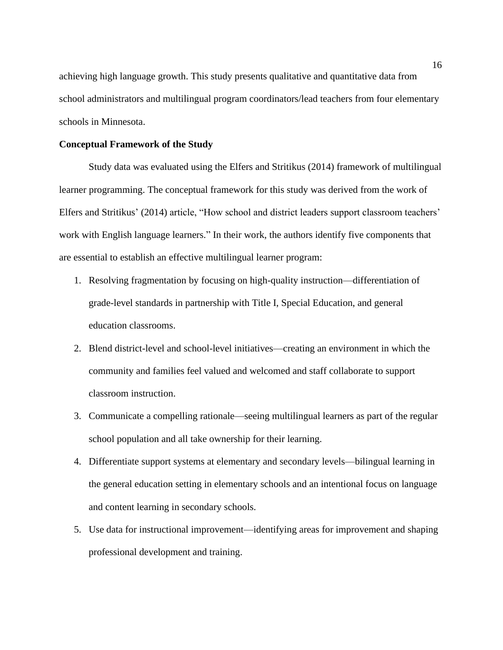achieving high language growth. This study presents qualitative and quantitative data from school administrators and multilingual program coordinators/lead teachers from four elementary schools in Minnesota.

## **Conceptual Framework of the Study**

Study data was evaluated using the Elfers and Stritikus (2014) framework of multilingual learner programming. The conceptual framework for this study was derived from the work of Elfers and Stritikus' (2014) article, "How school and district leaders support classroom teachers' work with English language learners." In their work, the authors identify five components that are essential to establish an effective multilingual learner program:

- 1. Resolving fragmentation by focusing on high-quality instruction—differentiation of grade-level standards in partnership with Title I, Special Education, and general education classrooms.
- 2. Blend district-level and school-level initiatives—creating an environment in which the community and families feel valued and welcomed and staff collaborate to support classroom instruction.
- 3. Communicate a compelling rationale—seeing multilingual learners as part of the regular school population and all take ownership for their learning.
- 4. Differentiate support systems at elementary and secondary levels—bilingual learning in the general education setting in elementary schools and an intentional focus on language and content learning in secondary schools.
- 5. Use data for instructional improvement—identifying areas for improvement and shaping professional development and training.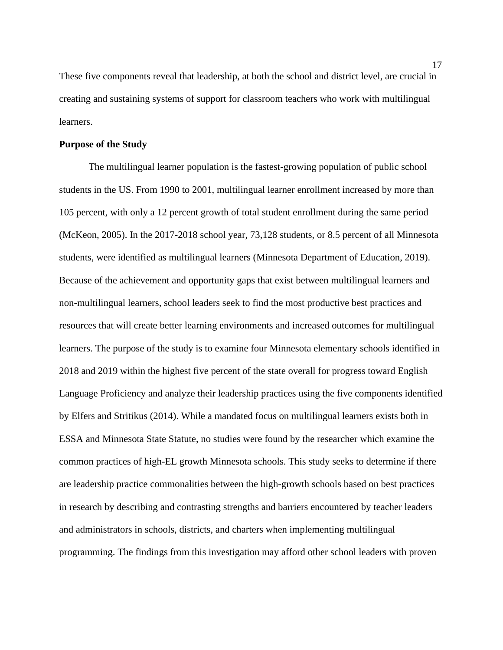These five components reveal that leadership, at both the school and district level, are crucial in creating and sustaining systems of support for classroom teachers who work with multilingual learners.

### **Purpose of the Study**

The multilingual learner population is the fastest-growing population of public school students in the US. From 1990 to 2001, multilingual learner enrollment increased by more than 105 percent, with only a 12 percent growth of total student enrollment during the same period (McKeon, 2005). In the 2017-2018 school year, 73,128 students, or 8.5 percent of all Minnesota students, were identified as multilingual learners (Minnesota Department of Education, 2019). Because of the achievement and opportunity gaps that exist between multilingual learners and non-multilingual learners, school leaders seek to find the most productive best practices and resources that will create better learning environments and increased outcomes for multilingual learners. The purpose of the study is to examine four Minnesota elementary schools identified in 2018 and 2019 within the highest five percent of the state overall for progress toward English Language Proficiency and analyze their leadership practices using the five components identified by Elfers and Stritikus (2014). While a mandated focus on multilingual learners exists both in ESSA and Minnesota State Statute, no studies were found by the researcher which examine the common practices of high-EL growth Minnesota schools. This study seeks to determine if there are leadership practice commonalities between the high-growth schools based on best practices in research by describing and contrasting strengths and barriers encountered by teacher leaders and administrators in schools, districts, and charters when implementing multilingual programming. The findings from this investigation may afford other school leaders with proven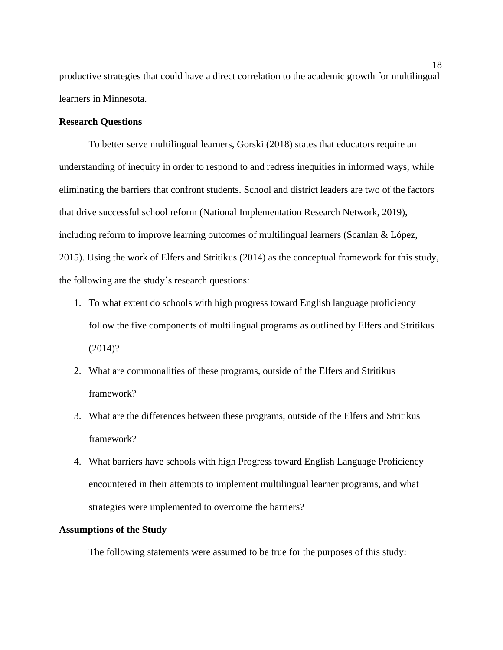productive strategies that could have a direct correlation to the academic growth for multilingual learners in Minnesota.

### **Research Questions**

To better serve multilingual learners, Gorski (2018) states that educators require an understanding of inequity in order to respond to and redress inequities in informed ways, while eliminating the barriers that confront students. School and district leaders are two of the factors that drive successful school reform (National Implementation Research Network, 2019), including reform to improve learning outcomes of multilingual learners (Scanlan & López, 2015). Using the work of Elfers and Stritikus (2014) as the conceptual framework for this study, the following are the study's research questions:

- 1. To what extent do schools with high progress toward English language proficiency follow the five components of multilingual programs as outlined by Elfers and Stritikus (2014)?
- 2. What are commonalities of these programs, outside of the Elfers and Stritikus framework?
- 3. What are the differences between these programs, outside of the Elfers and Stritikus framework?
- 4. What barriers have schools with high Progress toward English Language Proficiency encountered in their attempts to implement multilingual learner programs, and what strategies were implemented to overcome the barriers?

#### **Assumptions of the Study**

The following statements were assumed to be true for the purposes of this study: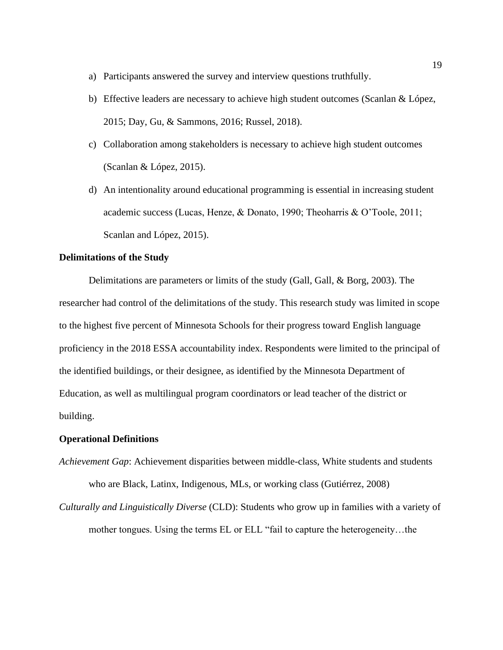- a) Participants answered the survey and interview questions truthfully.
- b) Effective leaders are necessary to achieve high student outcomes (Scanlan & López, 2015; Day, Gu, & Sammons, 2016; Russel, 2018).
- c) Collaboration among stakeholders is necessary to achieve high student outcomes (Scanlan & López, 2015).
- d) An intentionality around educational programming is essential in increasing student academic success (Lucas, Henze, & Donato, 1990; Theoharris & O'Toole, 2011; Scanlan and López, 2015).

#### **Delimitations of the Study**

Delimitations are parameters or limits of the study (Gall, Gall, & Borg, 2003). The researcher had control of the delimitations of the study. This research study was limited in scope to the highest five percent of Minnesota Schools for their progress toward English language proficiency in the 2018 ESSA accountability index. Respondents were limited to the principal of the identified buildings, or their designee, as identified by the Minnesota Department of Education, as well as multilingual program coordinators or lead teacher of the district or building.

#### **Operational Definitions**

*Achievement Gap*: Achievement disparities between middle-class, White students and students who are Black, Latinx, Indigenous, MLs, or working class (Gutiérrez, 2008)

*Culturally and Linguistically Diverse* (CLD): Students who grow up in families with a variety of mother tongues. Using the terms EL or ELL "fail to capture the heterogeneity…the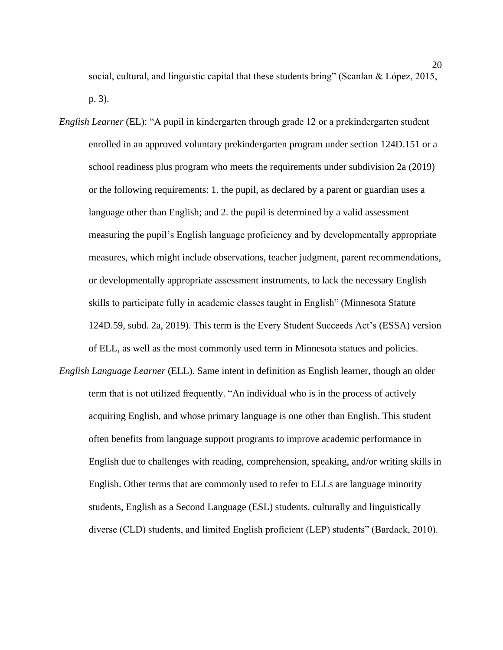social, cultural, and linguistic capital that these students bring" (Scanlan & López, 2015, p. 3).

- *English Learner* (EL): "A pupil in kindergarten through grade 12 or a prekindergarten student enrolled in an approved voluntary prekindergarten program under section 124D.151 or a school readiness plus program who meets the requirements under subdivision 2a (2019) or the following requirements: 1. the pupil, as declared by a parent or guardian uses a language other than English; and 2. the pupil is determined by a valid assessment measuring the pupil's English language proficiency and by developmentally appropriate measures, which might include observations, teacher judgment, parent recommendations, or developmentally appropriate assessment instruments, to lack the necessary English skills to participate fully in academic classes taught in English" (Minnesota Statute 124D.59, subd. 2a, 2019). This term is the Every Student Succeeds Act's (ESSA) version of ELL, as well as the most commonly used term in Minnesota statues and policies.
- *English Language Learner* (ELL). Same intent in definition as English learner, though an older term that is not utilized frequently. "An individual who is in the process of actively acquiring English, and whose primary language is one other than English. This student often benefits from language support programs to improve academic performance in English due to challenges with reading, comprehension, speaking, and/or writing skills in English. Other terms that are commonly used to refer to ELLs are language minority students, English as a Second Language (ESL) students, culturally and linguistically diverse (CLD) students, and limited English proficient (LEP) students" (Bardack, 2010).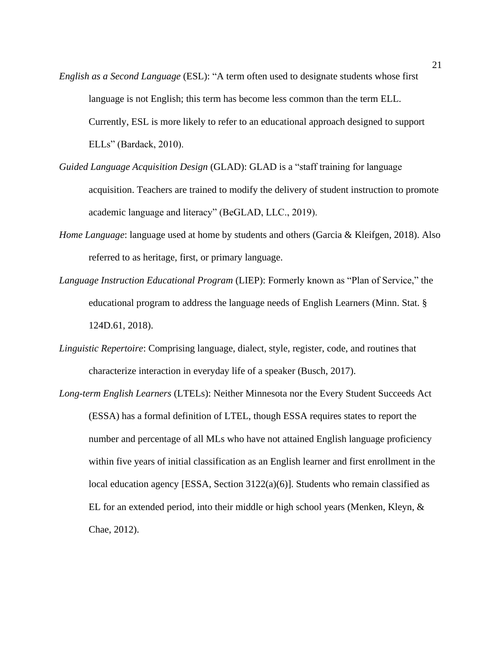- *English as a Second Language* (ESL): "A term often used to designate students whose first language is not English; this term has become less common than the term ELL. Currently, ESL is more likely to refer to an educational approach designed to support ELLs" (Bardack, 2010).
- *Guided Language Acquisition Design* (GLAD): GLAD is a "staff training for language acquisition. Teachers are trained to modify the delivery of student instruction to promote academic language and literacy" (BeGLAD, LLC., 2019).
- *Home Language*: language used at home by students and others (Garcia & Kleifgen, 2018). Also referred to as heritage, first, or primary language.
- *Language Instruction Educational Program* (LIEP): Formerly known as "Plan of Service," the educational program to address the language needs of English Learners (Minn. Stat. § 124D.61, 2018).
- *Linguistic Repertoire*: Comprising language, dialect, style, register, code, and routines that characterize interaction in everyday life of a speaker (Busch, 2017).
- *Long-term English Learners* (LTELs): Neither Minnesota nor the Every Student Succeeds Act (ESSA) has a formal definition of LTEL, though ESSA requires states to report the number and percentage of all MLs who have not attained English language proficiency within five years of initial classification as an English learner and first enrollment in the local education agency [ESSA, Section 3122(a)(6)]. Students who remain classified as EL for an extended period, into their middle or high school years (Menken, Kleyn,  $\&$ Chae, 2012).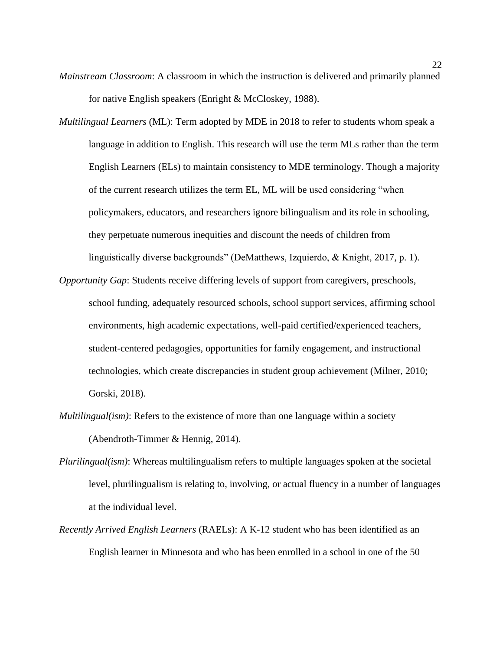- *Mainstream Classroom*: A classroom in which the instruction is delivered and primarily planned for native English speakers (Enright & McCloskey, 1988).
- *Multilingual Learners* (ML): Term adopted by MDE in 2018 to refer to students whom speak a language in addition to English. This research will use the term MLs rather than the term English Learners (ELs) to maintain consistency to MDE terminology. Though a majority of the current research utilizes the term EL, ML will be used considering "when policymakers, educators, and researchers ignore bilingualism and its role in schooling, they perpetuate numerous inequities and discount the needs of children from linguistically diverse backgrounds" (DeMatthews, Izquierdo, & Knight, 2017, p. 1).
- *Opportunity Gap*: Students receive differing levels of support from caregivers, preschools, school funding, adequately resourced schools, school support services, affirming school environments, high academic expectations, well-paid certified/experienced teachers, student-centered pedagogies, opportunities for family engagement, and instructional technologies, which create discrepancies in student group achievement (Milner, 2010; Gorski, 2018).
- *Multilingual(ism)*: Refers to the existence of more than one language within a society (Abendroth-Timmer & Hennig, 2014).
- *Plurilingual(ism)*: Whereas multilingualism refers to multiple languages spoken at the societal level, plurilingualism is relating to, involving, or actual fluency in a number of languages at the individual level.
- *Recently Arrived English Learners* (RAELs): A K-12 student who has been identified as an English learner in Minnesota and who has been enrolled in a school in one of the 50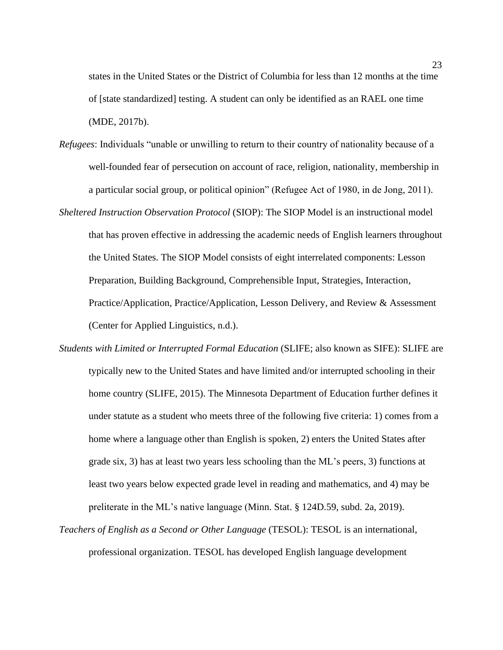states in the United States or the District of Columbia for less than 12 months at the time of [state standardized] testing. A student can only be identified as an RAEL one time (MDE, 2017b).

- *Refugees*: Individuals "unable or unwilling to return to their country of nationality because of a well-founded fear of persecution on account of race, religion, nationality, membership in a particular social group, or political opinion" (Refugee Act of 1980, in de Jong, 2011).
- *Sheltered Instruction Observation Protocol* (SIOP): The SIOP Model is an instructional model that has proven effective in addressing the academic needs of English learners throughout the United States. The SIOP Model consists of eight interrelated components: Lesson Preparation, Building Background, Comprehensible Input, Strategies, Interaction, Practice/Application, Practice/Application, Lesson Delivery, and Review & Assessment (Center for Applied Linguistics, n.d.).
- *Students with Limited or Interrupted Formal Education* (SLIFE; also known as SIFE): SLIFE are typically new to the United States and have limited and/or interrupted schooling in their home country (SLIFE, 2015). The Minnesota Department of Education further defines it under statute as a student who meets three of the following five criteria: 1) comes from a home where a language other than English is spoken, 2) enters the United States after grade six, 3) has at least two years less schooling than the ML's peers, 3) functions at least two years below expected grade level in reading and mathematics, and 4) may be preliterate in the ML's native language (Minn. Stat. § [124D.59, subd. 2a, 2019\).](https://www.revisor.mn.gov/statutes/?id=124D.59)
- *Teachers of English as a Second or Other Language* (TESOL): TESOL is an international, professional organization. TESOL has developed English language development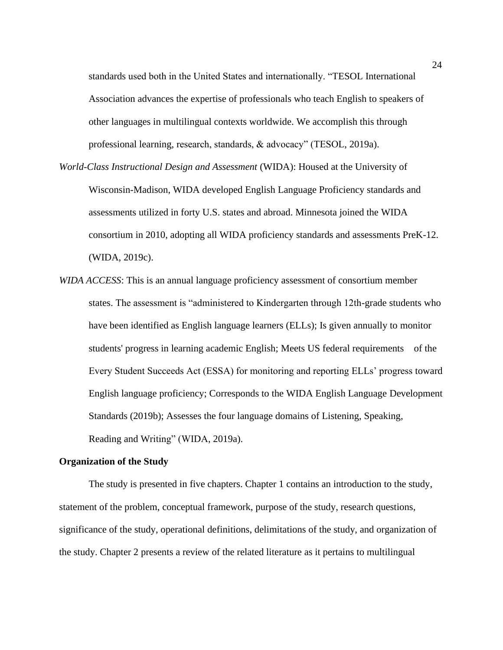standards used both in the United States and internationally. "TESOL International Association advances the expertise of professionals who teach English to speakers of other languages in multilingual contexts worldwide. We accomplish this through professional learning, research, standards, & advocacy" (TESOL, 2019a).

- *World-Class Instructional Design and Assessment* (WIDA): Housed at the University of Wisconsin-Madison, WIDA developed English Language Proficiency standards and assessments utilized in forty U.S. states and abroad. Minnesota joined the WIDA consortium in 2010, adopting all WIDA proficiency standards and assessments PreK-12. (WIDA, 2019c).
- *WIDA ACCESS*: This is an annual language proficiency assessment of consortium member states. The assessment is "administered to Kindergarten through 12th-grade students who have been identified as English language learners (ELLs); Is given annually to monitor students' progress in learning academic English; Meets US federal requirements of the Every Student Succeeds Act (ESSA) for monitoring and reporting ELLs' progress toward English language proficiency; Corresponds to the WIDA English Language Development Standards (2019b); Assesses the four language domains of Listening, Speaking, Reading and Writing" (WIDA, 2019a).

#### **Organization of the Study**

The study is presented in five chapters. Chapter 1 contains an introduction to the study, statement of the problem, conceptual framework, purpose of the study, research questions, significance of the study, operational definitions, delimitations of the study, and organization of the study. Chapter 2 presents a review of the related literature as it pertains to multilingual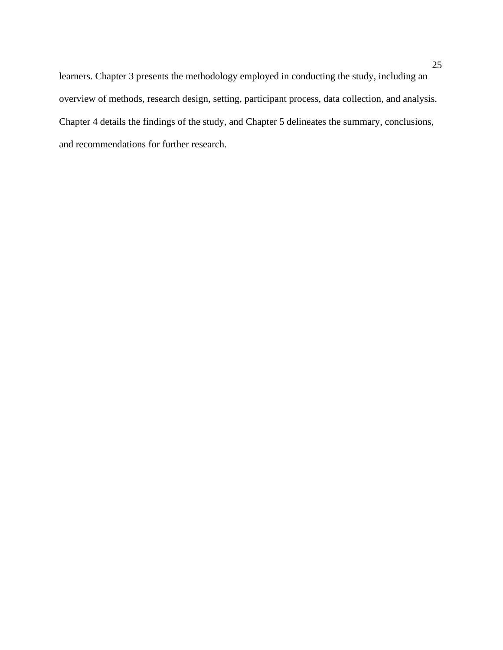learners. Chapter 3 presents the methodology employed in conducting the study, including an overview of methods, research design, setting, participant process, data collection, and analysis. Chapter 4 details the findings of the study, and Chapter 5 delineates the summary, conclusions, and recommendations for further research.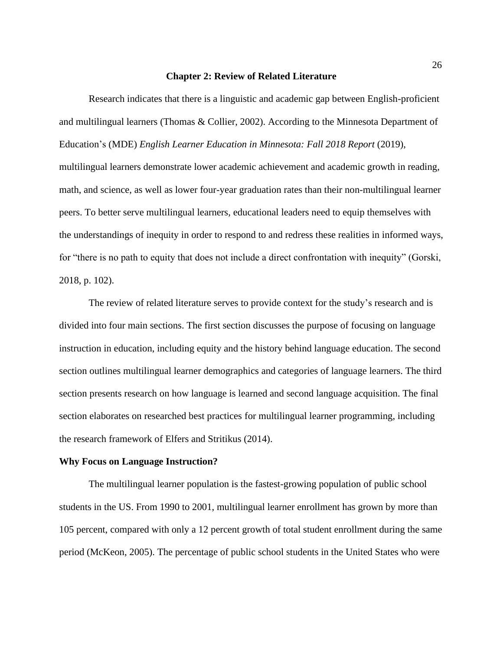#### **Chapter 2: Review of Related Literature**

Research indicates that there is a linguistic and academic gap between English-proficient and multilingual learners (Thomas & Collier, 2002). According to the Minnesota Department of Education's (MDE) *English Learner Education in Minnesota: Fall 2018 Report* (2019), multilingual learners demonstrate lower academic achievement and academic growth in reading, math, and science, as well as lower four-year graduation rates than their non-multilingual learner peers. To better serve multilingual learners, educational leaders need to equip themselves with the understandings of inequity in order to respond to and redress these realities in informed ways, for "there is no path to equity that does not include a direct confrontation with inequity" (Gorski, 2018, p. 102).

The review of related literature serves to provide context for the study's research and is divided into four main sections. The first section discusses the purpose of focusing on language instruction in education, including equity and the history behind language education. The second section outlines multilingual learner demographics and categories of language learners. The third section presents research on how language is learned and second language acquisition. The final section elaborates on researched best practices for multilingual learner programming, including the research framework of Elfers and Stritikus (2014).

#### **Why Focus on Language Instruction?**

The multilingual learner population is the fastest-growing population of public school students in the US. From 1990 to 2001, multilingual learner enrollment has grown by more than 105 percent, compared with only a 12 percent growth of total student enrollment during the same period (McKeon, 2005). The percentage of public school students in the United States who were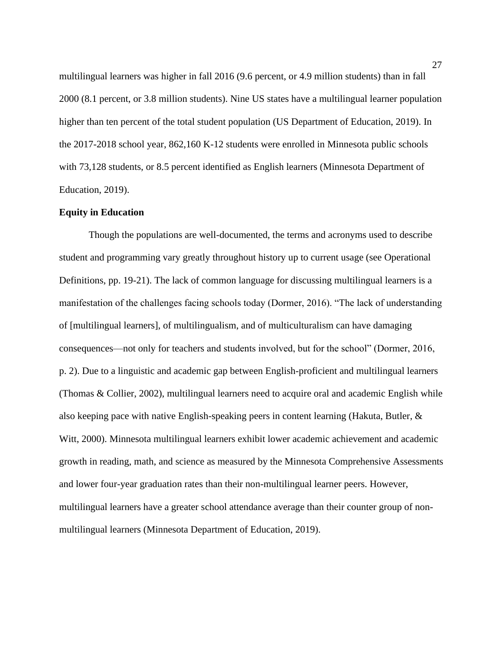multilingual learners was higher in fall 2016 (9.6 percent, or 4.9 million students) than in fall 2000 (8.1 percent, or 3.8 million students). Nine US states have a multilingual learner population higher than ten percent of the total student population (US Department of Education, 2019). In the 2017-2018 school year, 862,160 K-12 students were enrolled in Minnesota public schools with 73,128 students, or 8.5 percent identified as English learners (Minnesota Department of Education, 2019).

#### **Equity in Education**

Though the populations are well-documented, the terms and acronyms used to describe student and programming vary greatly throughout history up to current usage (see Operational Definitions, pp. 19-21). The lack of common language for discussing multilingual learners is a manifestation of the challenges facing schools today (Dormer, 2016). "The lack of understanding of [multilingual learners], of multilingualism, and of multiculturalism can have damaging consequences—not only for teachers and students involved, but for the school" (Dormer, 2016, p. 2). Due to a linguistic and academic gap between English-proficient and multilingual learners (Thomas & Collier, 2002), multilingual learners need to acquire oral and academic English while also keeping pace with native English-speaking peers in content learning (Hakuta, Butler, & Witt, 2000). Minnesota multilingual learners exhibit lower academic achievement and academic growth in reading, math, and science as measured by the Minnesota Comprehensive Assessments and lower four-year graduation rates than their non-multilingual learner peers. However, multilingual learners have a greater school attendance average than their counter group of nonmultilingual learners (Minnesota Department of Education, 2019).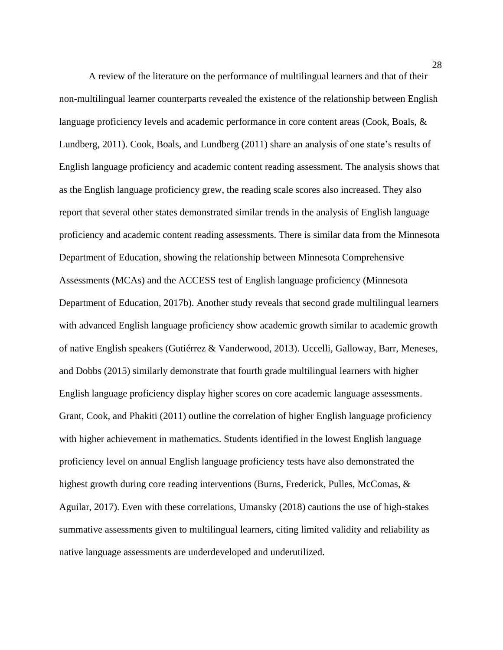A review of the literature on the performance of multilingual learners and that of their non-multilingual learner counterparts revealed the existence of the relationship between English language proficiency levels and academic performance in core content areas (Cook, Boals, & Lundberg, 2011). Cook, Boals, and Lundberg (2011) share an analysis of one state's results of English language proficiency and academic content reading assessment. The analysis shows that as the English language proficiency grew, the reading scale scores also increased. They also report that several other states demonstrated similar trends in the analysis of English language proficiency and academic content reading assessments. There is similar data from the Minnesota Department of Education, showing the relationship between Minnesota Comprehensive Assessments (MCAs) and the ACCESS test of English language proficiency (Minnesota Department of Education, 2017b). Another study reveals that second grade multilingual learners with advanced English language proficiency show academic growth similar to academic growth of native English speakers (Gutiérrez & Vanderwood, 2013). Uccelli, Galloway, Barr, Meneses, and Dobbs (2015) similarly demonstrate that fourth grade multilingual learners with higher English language proficiency display higher scores on core academic language assessments. Grant, Cook, and Phakiti (2011) outline the correlation of higher English language proficiency with higher achievement in mathematics. Students identified in the lowest English language proficiency level on annual English language proficiency tests have also demonstrated the highest growth during core reading interventions (Burns, Frederick, Pulles, McComas, & Aguilar, 2017). Even with these correlations, Umansky (2018) cautions the use of high-stakes summative assessments given to multilingual learners, citing limited validity and reliability as native language assessments are underdeveloped and underutilized.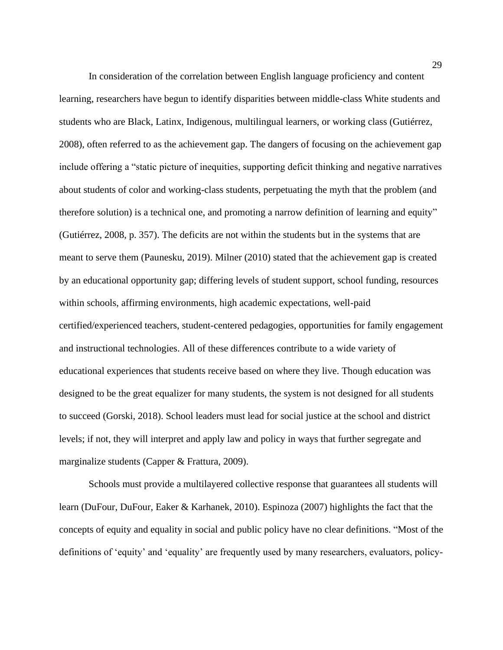In consideration of the correlation between English language proficiency and content learning, researchers have begun to identify disparities between middle-class White students and students who are Black, Latinx, Indigenous, multilingual learners, or working class (Gutiérrez, 2008), often referred to as the achievement gap. The dangers of focusing on the achievement gap include offering a "static picture of inequities, supporting deficit thinking and negative narratives about students of color and working-class students, perpetuating the myth that the problem (and therefore solution) is a technical one, and promoting a narrow definition of learning and equity" (Gutiérrez, 2008, p. 357). The deficits are not within the students but in the systems that are meant to serve them (Paunesku, 2019). Milner (2010) stated that the achievement gap is created by an educational opportunity gap; differing levels of student support, school funding, resources within schools, affirming environments, high academic expectations, well-paid certified/experienced teachers, student-centered pedagogies, opportunities for family engagement and instructional technologies. All of these differences contribute to a wide variety of educational experiences that students receive based on where they live. Though education was designed to be the great equalizer for many students, the system is not designed for all students to succeed (Gorski, 2018). School leaders must lead for social justice at the school and district levels; if not, they will interpret and apply law and policy in ways that further segregate and marginalize students (Capper & Frattura, 2009).

Schools must provide a multilayered collective response that guarantees all students will learn (DuFour, DuFour, Eaker & Karhanek, 2010). Espinoza (2007) highlights the fact that the concepts of equity and equality in social and public policy have no clear definitions. "Most of the definitions of 'equity' and 'equality' are frequently used by many researchers, evaluators, policy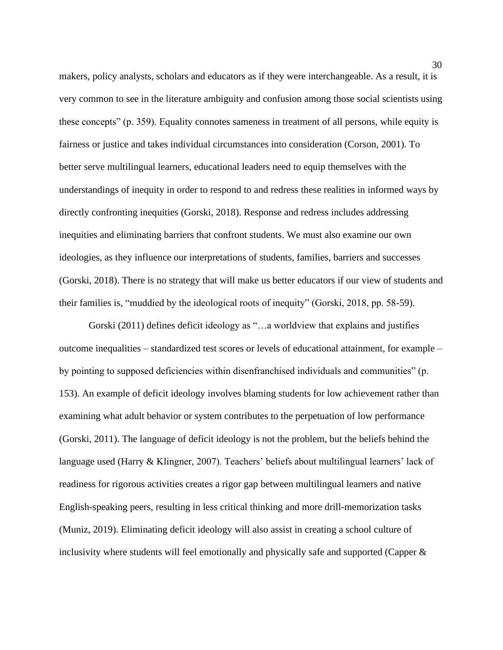makers, policy analysts, scholars and educators as if they were interchangeable. As a result, it is very common to see in the literature ambiguity and confusion among those social scientists using these concepts" (p. 359). Equality connotes sameness in treatment of all persons, while equity is fairness or justice and takes individual circumstances into consideration (Corson, 2001). To better serve multilingual learners, educational leaders need to equip themselves with the understandings of inequity in order to respond to and redress these realities in informed ways by directly confronting inequities (Gorski, 2018). Response and redress includes addressing inequities and eliminating barriers that confront students. We must also examine our own ideologies, as they influence our interpretations of students, families, barriers and successes (Gorski, 2018). There is no strategy that will make us better educators if our view of students and their families is, "muddied by the ideological roots of inequity" (Gorski, 2018, pp. 58-59).

Gorski (2011) defines deficit ideology as "…a worldview that explains and justifies outcome inequalities – standardized test scores or levels of educational attainment, for example – by pointing to supposed deficiencies within disenfranchised individuals and communities" (p. 153). An example of deficit ideology involves blaming students for low achievement rather than examining what adult behavior or system contributes to the perpetuation of low performance (Gorski, 2011). The language of deficit ideology is not the problem, but the beliefs behind the language used (Harry & Klingner, 2007). Teachers' beliefs about multilingual learners' lack of readiness for rigorous activities creates a rigor gap between multilingual learners and native English-speaking peers, resulting in less critical thinking and more drill-memorization tasks (Muniz, 2019). Eliminating deficit ideology will also assist in creating a school culture of inclusivity where students will feel emotionally and physically safe and supported (Capper &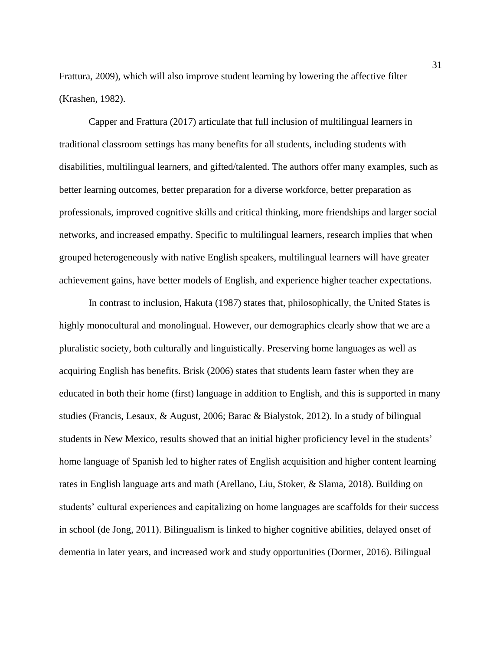Frattura, 2009), which will also improve student learning by lowering the affective filter (Krashen, 1982).

Capper and Frattura (2017) articulate that full inclusion of multilingual learners in traditional classroom settings has many benefits for all students, including students with disabilities, multilingual learners, and gifted/talented. The authors offer many examples, such as better learning outcomes, better preparation for a diverse workforce, better preparation as professionals, improved cognitive skills and critical thinking, more friendships and larger social networks, and increased empathy. Specific to multilingual learners, research implies that when grouped heterogeneously with native English speakers, multilingual learners will have greater achievement gains, have better models of English, and experience higher teacher expectations.

In contrast to inclusion, Hakuta (1987) states that, philosophically, the United States is highly monocultural and monolingual. However, our demographics clearly show that we are a pluralistic society, both culturally and linguistically. Preserving home languages as well as acquiring English has benefits. Brisk (2006) states that students learn faster when they are educated in both their home (first) language in addition to English, and this is supported in many studies (Francis, Lesaux, & August, 2006; Barac & Bialystok, 2012). In a study of bilingual students in New Mexico, results showed that an initial higher proficiency level in the students' home language of Spanish led to higher rates of English acquisition and higher content learning rates in English language arts and math (Arellano, Liu, Stoker, & Slama, 2018). Building on students' cultural experiences and capitalizing on home languages are scaffolds for their success in school (de Jong, 2011). Bilingualism is linked to higher cognitive abilities, delayed onset of dementia in later years, and increased work and study opportunities (Dormer, 2016). Bilingual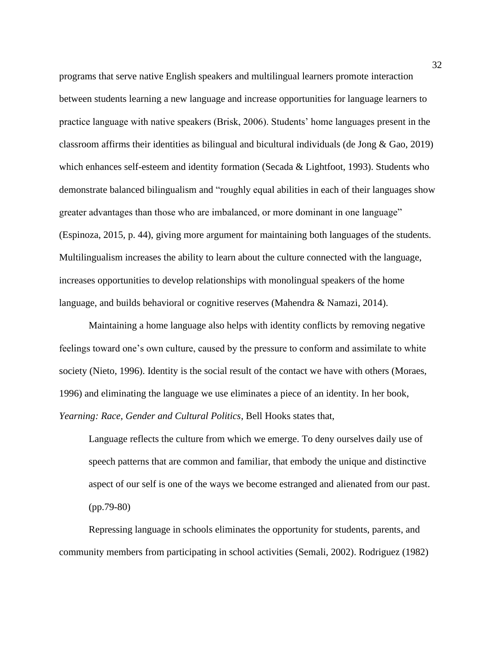programs that serve native English speakers and multilingual learners promote interaction between students learning a new language and increase opportunities for language learners to practice language with native speakers (Brisk, 2006). Students' home languages present in the classroom affirms their identities as bilingual and bicultural individuals (de Jong & Gao, 2019) which enhances self-esteem and identity formation (Secada & Lightfoot, 1993). Students who demonstrate balanced bilingualism and "roughly equal abilities in each of their languages show greater advantages than those who are imbalanced, or more dominant in one language" (Espinoza, 2015, p. 44), giving more argument for maintaining both languages of the students. Multilingualism increases the ability to learn about the culture connected with the language, increases opportunities to develop relationships with monolingual speakers of the home language, and builds behavioral or cognitive reserves (Mahendra & Namazi, 2014).

Maintaining a home language also helps with identity conflicts by removing negative feelings toward one's own culture, caused by the pressure to conform and assimilate to white society (Nieto, 1996). Identity is the social result of the contact we have with others (Moraes, 1996) and eliminating the language we use eliminates a piece of an identity. In her book, *Yearning: Race, Gender and Cultural Politics*, Bell Hooks states that,

Language reflects the culture from which we emerge. To deny ourselves daily use of speech patterns that are common and familiar, that embody the unique and distinctive aspect of our self is one of the ways we become estranged and alienated from our past. (pp.79-80)

Repressing language in schools eliminates the opportunity for students, parents, and community members from participating in school activities (Semali, 2002). Rodriguez (1982)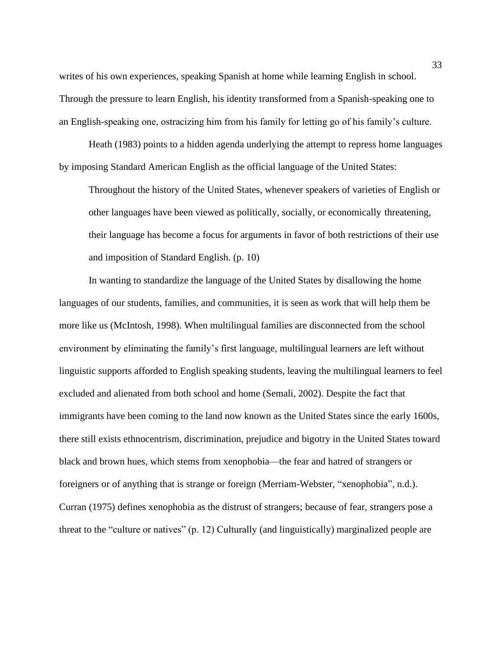writes of his own experiences, speaking Spanish at home while learning English in school. Through the pressure to learn English, his identity transformed from a Spanish-speaking one to an English-speaking one, ostracizing him from his family for letting go of his family's culture.

Heath (1983) points to a hidden agenda underlying the attempt to repress home languages by imposing Standard American English as the official language of the United States:

Throughout the history of the United States, whenever speakers of varieties of English or other languages have been viewed as politically, socially, or economically threatening, their language has become a focus for arguments in favor of both restrictions of their use and imposition of Standard English. (p. 10)

In wanting to standardize the language of the United States by disallowing the home languages of our students, families, and communities, it is seen as work that will help them be more like us (McIntosh, 1998). When multilingual families are disconnected from the school environment by eliminating the family's first language, multilingual learners are left without linguistic supports afforded to English speaking students, leaving the multilingual learners to feel excluded and alienated from both school and home (Semali, 2002). Despite the fact that immigrants have been coming to the land now known as the United States since the early 1600s, there still exists ethnocentrism, discrimination, prejudice and bigotry in the United States toward black and brown hues, which stems from xenophobia—the fear and hatred of strangers or foreigners or of anything that is strange or foreign (Merriam-Webster, "xenophobia", n.d.). Curran (1975) defines xenophobia as the distrust of strangers; because of fear, strangers pose a threat to the "culture or natives" (p. 12) Culturally (and linguistically) marginalized people are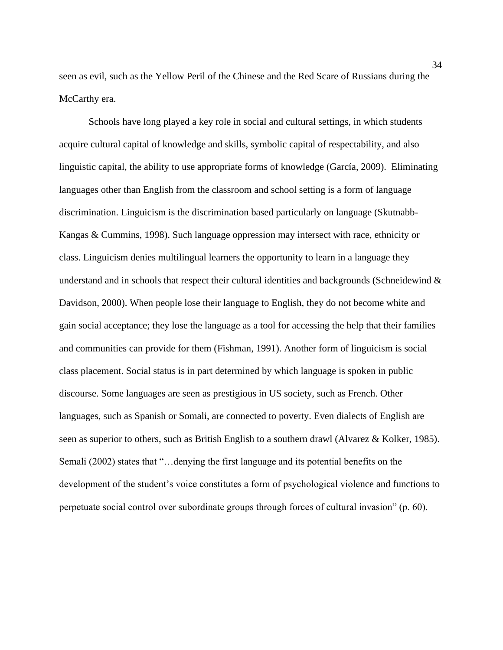seen as evil, such as the Yellow Peril of the Chinese and the Red Scare of Russians during the McCarthy era.

Schools have long played a key role in social and cultural settings, in which students acquire cultural capital of knowledge and skills, symbolic capital of respectability, and also linguistic capital, the ability to use appropriate forms of knowledge (García, 2009). Eliminating languages other than English from the classroom and school setting is a form of language discrimination. Linguicism is the discrimination based particularly on language (Skutnabb-Kangas & Cummins, 1998). Such language oppression may intersect with race, ethnicity or class. Linguicism denies multilingual learners the opportunity to learn in a language they understand and in schools that respect their cultural identities and backgrounds (Schneidewind  $\&$ Davidson, 2000). When people lose their language to English, they do not become white and gain social acceptance; they lose the language as a tool for accessing the help that their families and communities can provide for them (Fishman, 1991). Another form of linguicism is social class placement. Social status is in part determined by which language is spoken in public discourse. Some languages are seen as prestigious in US society, such as French. Other languages, such as Spanish or Somali, are connected to poverty. Even dialects of English are seen as superior to others, such as British English to a southern drawl (Alvarez & Kolker, 1985). Semali (2002) states that "…denying the first language and its potential benefits on the development of the student's voice constitutes a form of psychological violence and functions to perpetuate social control over subordinate groups through forces of cultural invasion" (p. 60).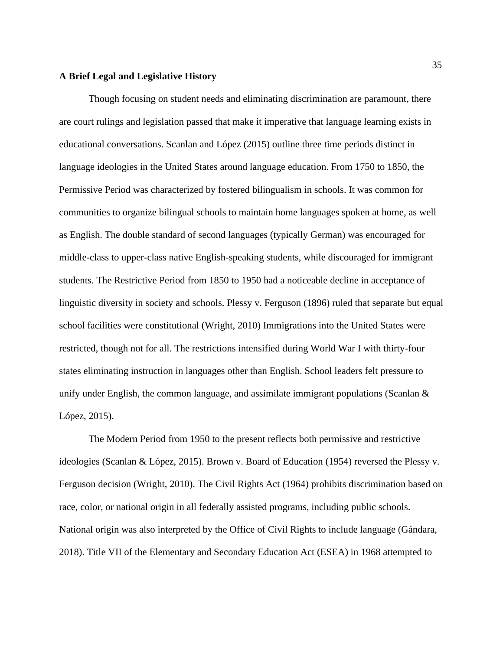#### **A Brief Legal and Legislative History**

Though focusing on student needs and eliminating discrimination are paramount, there are court rulings and legislation passed that make it imperative that language learning exists in educational conversations. Scanlan and López (2015) outline three time periods distinct in language ideologies in the United States around language education. From 1750 to 1850, the Permissive Period was characterized by fostered bilingualism in schools. It was common for communities to organize bilingual schools to maintain home languages spoken at home, as well as English. The double standard of second languages (typically German) was encouraged for middle-class to upper-class native English-speaking students, while discouraged for immigrant students. The Restrictive Period from 1850 to 1950 had a noticeable decline in acceptance of linguistic diversity in society and schools. Plessy v. Ferguson (1896) ruled that separate but equal school facilities were constitutional (Wright, 2010) Immigrations into the United States were restricted, though not for all. The restrictions intensified during World War I with thirty-four states eliminating instruction in languages other than English. School leaders felt pressure to unify under English, the common language, and assimilate immigrant populations (Scanlan & López, 2015).

The Modern Period from 1950 to the present reflects both permissive and restrictive ideologies (Scanlan & López, 2015). Brown v. Board of Education (1954) reversed the Plessy v. Ferguson decision (Wright, 2010). The Civil Rights Act (1964) prohibits discrimination based on race, color, or national origin in all federally assisted programs, including public schools. National origin was also interpreted by the Office of Civil Rights to include language (Gándara, 2018). Title VII of the Elementary and Secondary Education Act (ESEA) in 1968 attempted to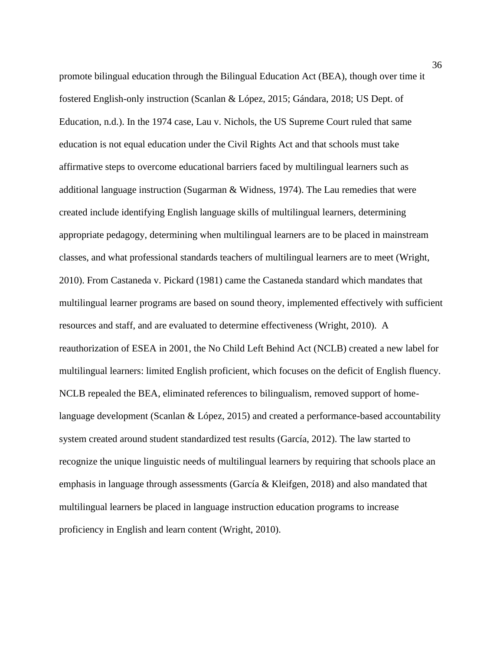promote bilingual education through the Bilingual Education Act (BEA), though over time it fostered English-only instruction (Scanlan & López, 2015; Gándara, 2018; US Dept. of Education, n.d.). In the 1974 case, Lau v. Nichols, the US Supreme Court ruled that same education is not equal education under the Civil Rights Act and that schools must take affirmative steps to overcome educational barriers faced by multilingual learners such as additional language instruction (Sugarman & Widness, 1974). The Lau remedies that were created include identifying English language skills of multilingual learners, determining appropriate pedagogy, determining when multilingual learners are to be placed in mainstream classes, and what professional standards teachers of multilingual learners are to meet (Wright, 2010). From Castaneda v. Pickard (1981) came the Castaneda standard which mandates that multilingual learner programs are based on sound theory, implemented effectively with sufficient resources and staff, and are evaluated to determine effectiveness (Wright, 2010). A reauthorization of ESEA in 2001, the No Child Left Behind Act (NCLB) created a new label for multilingual learners: limited English proficient, which focuses on the deficit of English fluency. NCLB repealed the BEA, eliminated references to bilingualism, removed support of homelanguage development (Scanlan & López, 2015) and created a performance-based accountability system created around student standardized test results (García, 2012). The law started to recognize the unique linguistic needs of multilingual learners by requiring that schools place an emphasis in language through assessments (García & Kleifgen, 2018) and also mandated that multilingual learners be placed in language instruction education programs to increase proficiency in English and learn content (Wright, 2010).

36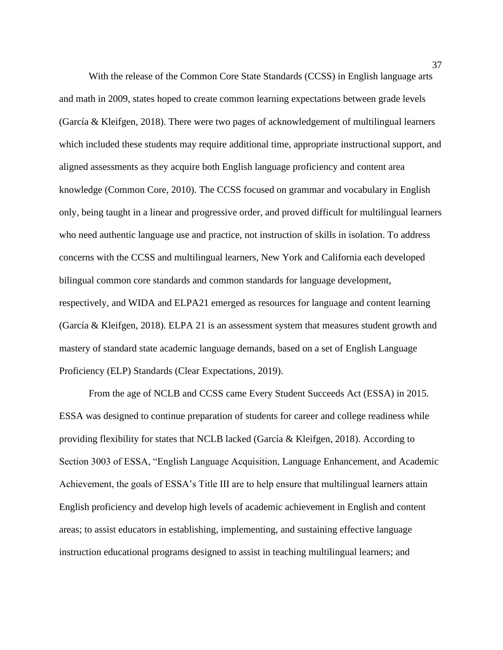With the release of the Common Core State Standards (CCSS) in English language arts and math in 2009, states hoped to create common learning expectations between grade levels (García & Kleifgen, 2018). There were two pages of acknowledgement of multilingual learners which included these students may require additional time, appropriate instructional support, and aligned assessments as they acquire both English language proficiency and content area knowledge (Common Core, 2010). The CCSS focused on grammar and vocabulary in English only, being taught in a linear and progressive order, and proved difficult for multilingual learners who need authentic language use and practice, not instruction of skills in isolation. To address concerns with the CCSS and multilingual learners, New York and California each developed bilingual common core standards and common standards for language development, respectively, and WIDA and ELPA21 emerged as resources for language and content learning (García & Kleifgen, 2018). ELPA 21 is an assessment system that measures student growth and mastery of standard state academic language demands, based on a set of English [Language](http://elpa21.org/wp-content/uploads/2019/03/Final-4_30-ELPA21-Standards_1.pdf) [Proficiency](http://elpa21.org/wp-content/uploads/2019/03/Final-4_30-ELPA21-Standards_1.pdf) (ELP) Standards (Clear Expectations, 2019).

From the age of NCLB and CCSS came Every Student Succeeds Act (ESSA) in 2015. ESSA was designed to continue preparation of students for career and college readiness while providing flexibility for states that NCLB lacked (García & Kleifgen, 2018). According to Section 3003 of ESSA, "English Language Acquisition, Language Enhancement, and Academic Achievement, the goals of ESSA's Title III are to help ensure that multilingual learners attain English proficiency and develop high levels of academic achievement in English and content areas; to assist educators in establishing, implementing, and sustaining effective language instruction educational programs designed to assist in teaching multilingual learners; and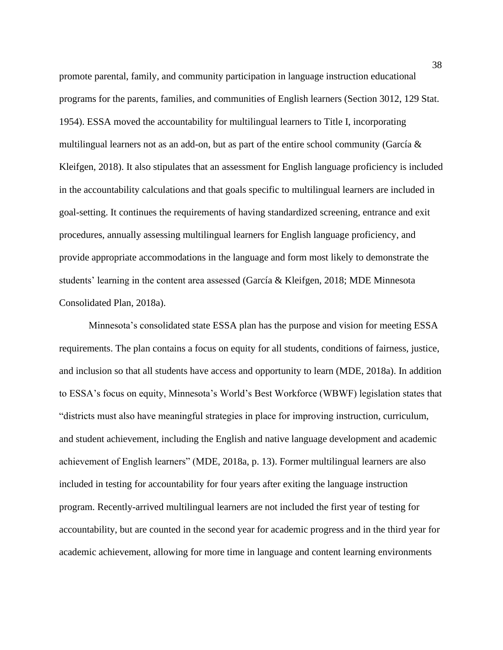promote parental, family, and community participation in language instruction educational programs for the parents, families, and communities of English learners (Section 3012, 129 Stat. 1954). ESSA moved the accountability for multilingual learners to Title I, incorporating multilingual learners not as an add-on, but as part of the entire school community (García & Kleifgen, 2018). It also stipulates that an assessment for English language proficiency is included in the accountability calculations and that goals specific to multilingual learners are included in goal-setting. It continues the requirements of having standardized screening, entrance and exit procedures, annually assessing multilingual learners for English language proficiency, and provide appropriate accommodations in the language and form most likely to demonstrate the students' learning in the content area assessed (García & Kleifgen, 2018; MDE Minnesota Consolidated Plan, 2018a).

Minnesota's consolidated state ESSA plan has the purpose and vision for meeting ESSA requirements. The plan contains a focus on equity for all students, conditions of fairness, justice, and inclusion so that all students have access and opportunity to learn (MDE, 2018a). In addition to ESSA's focus on equity, Minnesota's World's Best Workforce (WBWF) legislation states that "districts must also have meaningful strategies in place for improving instruction, curriculum, and student achievement, including the English and native language development and academic achievement of English learners" (MDE, 2018a, p. 13). Former multilingual learners are also included in testing for accountability for four years after exiting the language instruction program. Recently-arrived multilingual learners are not included the first year of testing for accountability, but are counted in the second year for academic progress and in the third year for academic achievement, allowing for more time in language and content learning environments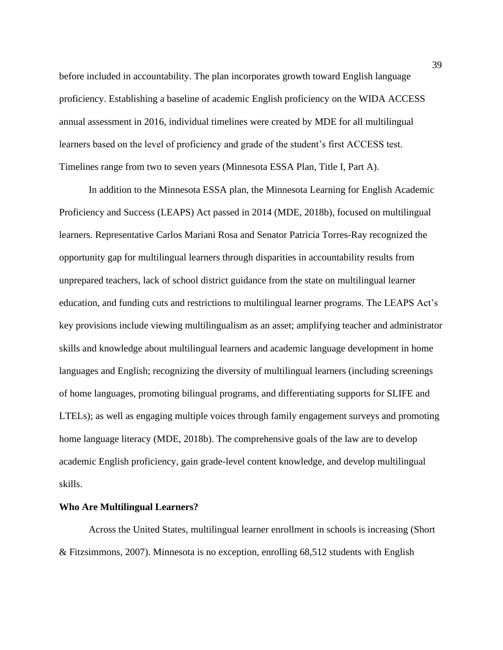before included in accountability. The plan incorporates growth toward English language proficiency. Establishing a baseline of academic English proficiency on the WIDA ACCESS annual assessment in 2016, individual timelines were created by MDE for all multilingual learners based on the level of proficiency and grade of the student's first ACCESS test. Timelines range from two to seven years (Minnesota ESSA Plan, Title I, Part A).

In addition to the Minnesota ESSA plan, the Minnesota Learning for English Academic Proficiency and Success (LEAPS) Act passed in 2014 (MDE, 2018b), focused on multilingual learners. Representative Carlos Mariani Rosa and Senator Patricia Torres-Ray recognized the opportunity gap for multilingual learners through disparities in accountability results from unprepared teachers, lack of school district guidance from the state on multilingual learner education, and funding cuts and restrictions to multilingual learner programs. The LEAPS Act's key provisions include viewing multilingualism as an asset; amplifying teacher and administrator skills and knowledge about multilingual learners and academic language development in home languages and English; recognizing the diversity of multilingual learners (including screenings of home languages, promoting bilingual programs, and differentiating supports for SLIFE and LTELs); as well as engaging multiple voices through family engagement surveys and promoting home language literacy (MDE, 2018b). The comprehensive goals of the law are to develop academic English proficiency, gain grade-level content knowledge, and develop multilingual skills.

## **Who Are Multilingual Learners?**

Across the United States, multilingual learner enrollment in schools is increasing (Short & Fitzsimmons, 2007). Minnesota is no exception, enrolling 68,512 students with English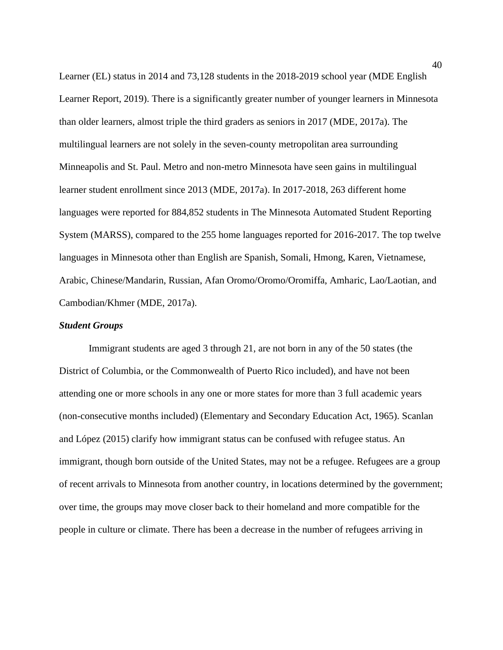Learner (EL) status in 2014 and 73,128 students in the 2018-2019 school year (MDE English Learner Report, 2019). There is a significantly greater number of younger learners in Minnesota than older learners, almost triple the third graders as seniors in 2017 (MDE, 2017a). The multilingual learners are not solely in the seven-county metropolitan area surrounding Minneapolis and St. Paul. Metro and non-metro Minnesota have seen gains in multilingual learner student enrollment since 2013 (MDE, 2017a). In 2017-2018, 263 different home languages were reported for 884,852 students in The Minnesota Automated Student Reporting System (MARSS), compared to the 255 home languages reported for 2016-2017. The top twelve languages in Minnesota other than English are Spanish, Somali, Hmong, Karen, Vietnamese, Arabic, Chinese/Mandarin, Russian, Afan Oromo/Oromo/Oromiffa, Amharic, Lao/Laotian, and Cambodian/Khmer (MDE, 2017a).

## *Student Groups*

Immigrant students are aged 3 through 21, are not born in any of the 50 states (the District of Columbia, or the Commonwealth of Puerto Rico included), and have not been attending one or more schools in any one or more states for more than 3 full academic years (non-consecutive months included) (Elementary and Secondary Education Act, 1965). Scanlan and López (2015) clarify how immigrant status can be confused with refugee status. An immigrant, though born outside of the United States, may not be a refugee. Refugees are a group of recent arrivals to Minnesota from another country, in locations determined by the government; over time, the groups may move closer back to their homeland and more compatible for the people in culture or climate. There has been a decrease in the number of refugees arriving in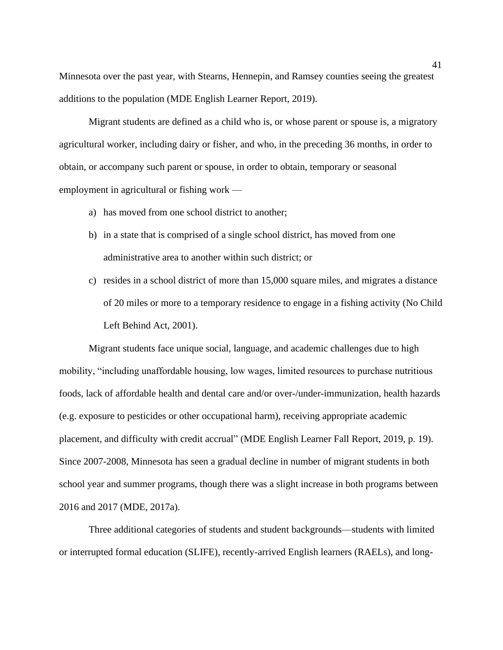Minnesota over the past year, with Stearns, Hennepin, and Ramsey counties seeing the greatest additions to the population (MDE English Learner Report, 2019).

Migrant students are defined as a child who is, or whose parent or spouse is, a migratory agricultural worker, including dairy or fisher, and who, in the preceding 36 months, in order to obtain, or accompany such parent or spouse, in order to obtain, temporary or seasonal employment in agricultural or fishing work —

- a) has moved from one school district to another;
- b) in a state that is comprised of a single school district, has moved from one administrative area to another within such district; or
- c) resides in a school district of more than 15,000 square miles, and migrates a distance of 20 miles or more to a temporary residence to engage in a fishing activity (No Child Left Behind Act, 2001).

Migrant students face unique social, language, and academic challenges due to high mobility, "including unaffordable housing, low wages, limited resources to purchase nutritious foods, lack of affordable health and dental care and/or over-/under-immunization, health hazards (e.g. exposure to pesticides or other occupational harm), receiving appropriate academic placement, and difficulty with credit accrual" (MDE English Learner Fall Report, 2019, p. 19). Since 2007-2008, Minnesota has seen a gradual decline in number of migrant students in both school year and summer programs, though there was a slight increase in both programs between 2016 and 2017 (MDE, 2017a).

Three additional categories of students and student backgrounds—students with limited or interrupted formal education (SLIFE), recently-arrived English learners (RAELs), and long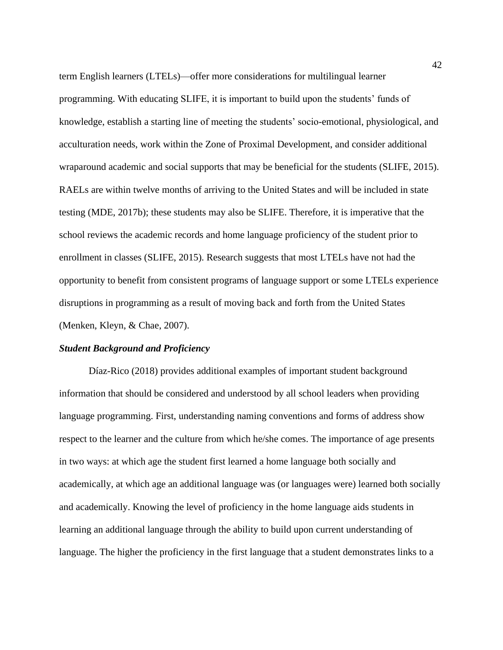term English learners (LTELs)—offer more considerations for multilingual learner programming. With educating SLIFE, it is important to build upon the students' funds of knowledge, establish a starting line of meeting the students' socio-emotional, physiological, and acculturation needs, work within the Zone of Proximal Development, and consider additional wraparound academic and social supports that may be beneficial for the students (SLIFE, 2015). RAELs are within twelve months of arriving to the United States and will be included in state testing (MDE, 2017b); these students may also be SLIFE. Therefore, it is imperative that the school reviews the academic records and home language proficiency of the student prior to enrollment in classes (SLIFE, 2015). Research suggests that most LTELs have not had the opportunity to benefit from consistent programs of language support or some LTELs experience disruptions in programming as a result of moving back and forth from the United States (Menken, Kleyn, & Chae, 2007).

#### *Student Background and Proficiency*

Díaz-Rico (2018) provides additional examples of important student background information that should be considered and understood by all school leaders when providing language programming. First, understanding naming conventions and forms of address show respect to the learner and the culture from which he/she comes. The importance of age presents in two ways: at which age the student first learned a home language both socially and academically, at which age an additional language was (or languages were) learned both socially and academically. Knowing the level of proficiency in the home language aids students in learning an additional language through the ability to build upon current understanding of language. The higher the proficiency in the first language that a student demonstrates links to a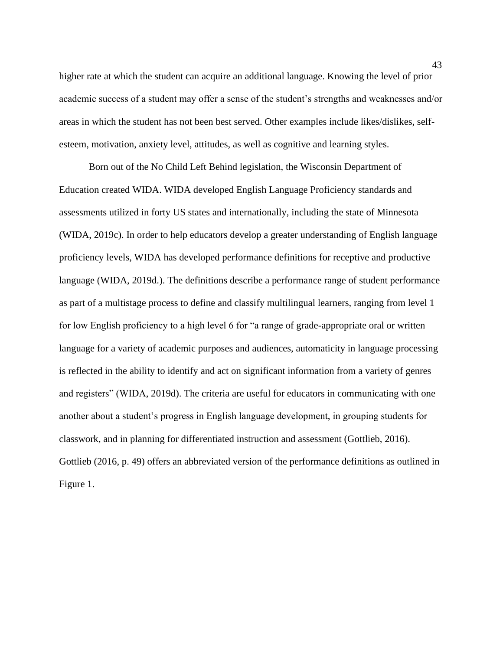higher rate at which the student can acquire an additional language. Knowing the level of prior academic success of a student may offer a sense of the student's strengths and weaknesses and/or areas in which the student has not been best served. Other examples include likes/dislikes, selfesteem, motivation, anxiety level, attitudes, as well as cognitive and learning styles.

Born out of the No Child Left Behind legislation, the Wisconsin Department of Education created WIDA. WIDA developed English Language Proficiency standards and assessments utilized in forty US states and internationally, including the state of Minnesota (WIDA, 2019c). In order to help educators develop a greater understanding of English language proficiency levels, WIDA has developed performance definitions for receptive and productive language (WIDA, 2019d.). The definitions describe a performance range of student performance as part of a multistage process to define and classify multilingual learners, ranging from level 1 for low English proficiency to a high level 6 for "a range of grade-appropriate oral or written language for a variety of academic purposes and audiences, automaticity in language processing is reflected in the ability to identify and act on significant information from a variety of genres and registers" (WIDA, 2019d). The criteria are useful for educators in communicating with one another about a student's progress in English language development, in grouping students for classwork, and in planning for differentiated instruction and assessment (Gottlieb, 2016). Gottlieb (2016, p. 49) offers an abbreviated version of the performance definitions as outlined in Figure 1.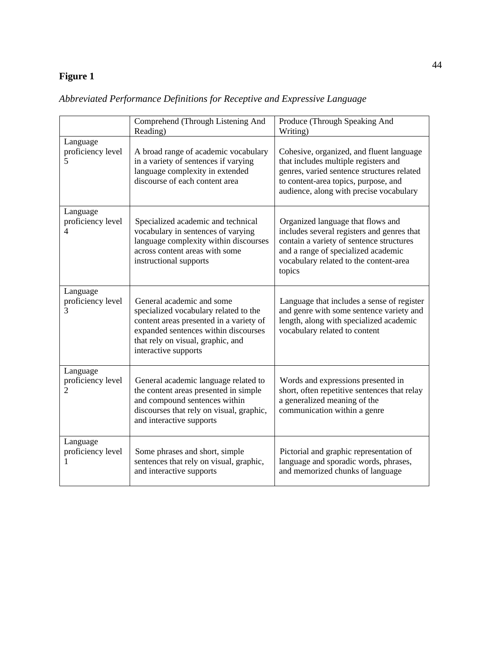# **Figure 1**

|                                                 | Comprehend (Through Listening And<br>Reading)                                                                                                                                                                      | Produce (Through Speaking And<br>Writing)                                                                                                                                                                              |  |  |  |
|-------------------------------------------------|--------------------------------------------------------------------------------------------------------------------------------------------------------------------------------------------------------------------|------------------------------------------------------------------------------------------------------------------------------------------------------------------------------------------------------------------------|--|--|--|
| Language<br>proficiency level<br>5              | A broad range of academic vocabulary<br>in a variety of sentences if varying<br>language complexity in extended<br>discourse of each content area                                                                  | Cohesive, organized, and fluent language<br>that includes multiple registers and<br>genres, varied sentence structures related<br>to content-area topics, purpose, and<br>audience, along with precise vocabulary      |  |  |  |
| Language<br>proficiency level<br>4              | Specialized academic and technical<br>vocabulary in sentences of varying<br>language complexity within discourses<br>across content areas with some<br>instructional supports                                      | Organized language that flows and<br>includes several registers and genres that<br>contain a variety of sentence structures<br>and a range of specialized academic<br>vocabulary related to the content-area<br>topics |  |  |  |
| Language<br>proficiency level<br>3              | General academic and some<br>specialized vocabulary related to the<br>content areas presented in a variety of<br>expanded sentences within discourses<br>that rely on visual, graphic, and<br>interactive supports | Language that includes a sense of register<br>and genre with some sentence variety and<br>length, along with specialized academic<br>vocabulary related to content                                                     |  |  |  |
| Language<br>proficiency level<br>$\overline{2}$ | General academic language related to<br>the content areas presented in simple<br>and compound sentences within<br>discourses that rely on visual, graphic,<br>and interactive supports                             | Words and expressions presented in<br>short, often repetitive sentences that relay<br>a generalized meaning of the<br>communication within a genre                                                                     |  |  |  |
| Language<br>proficiency level<br>1              | Some phrases and short, simple<br>sentences that rely on visual, graphic,<br>and interactive supports                                                                                                              | Pictorial and graphic representation of<br>language and sporadic words, phrases,<br>and memorized chunks of language                                                                                                   |  |  |  |

*Abbreviated Performance Definitions for Receptive and Expressive Language*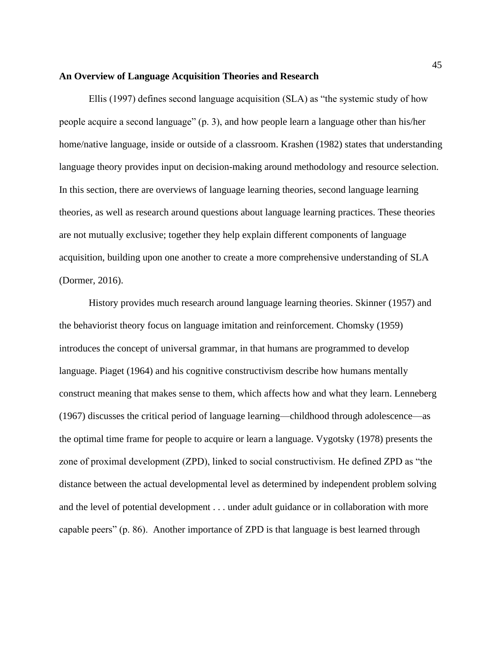#### **An Overview of Language Acquisition Theories and Research**

Ellis (1997) defines second language acquisition (SLA) as "the systemic study of how people acquire a second language" (p. 3), and how people learn a language other than his/her home/native language, inside or outside of a classroom. Krashen (1982) states that understanding language theory provides input on decision-making around methodology and resource selection. In this section, there are overviews of language learning theories, second language learning theories, as well as research around questions about language learning practices. These theories are not mutually exclusive; together they help explain different components of language acquisition, building upon one another to create a more comprehensive understanding of SLA (Dormer, 2016).

History provides much research around language learning theories. Skinner (1957) and the behaviorist theory focus on language imitation and reinforcement. Chomsky (1959) introduces the concept of universal grammar, in that humans are programmed to develop language. Piaget (1964) and his cognitive constructivism describe how humans mentally construct meaning that makes sense to them, which affects how and what they learn. Lenneberg (1967) discusses the critical period of language learning—childhood through adolescence—as the optimal time frame for people to acquire or learn a language. Vygotsky (1978) presents the zone of proximal development (ZPD), linked to social constructivism. He defined ZPD as "the distance between the actual developmental level as determined by independent problem solving and the level of potential development . . . under adult guidance or in collaboration with more capable peers" (p. 86). Another importance of ZPD is that language is best learned through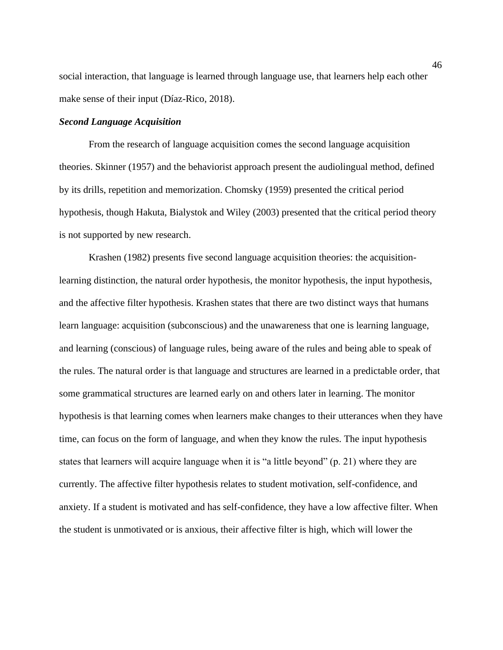social interaction, that language is learned through language use, that learners help each other make sense of their input (Díaz-Rico, 2018).

#### *Second Language Acquisition*

From the research of language acquisition comes the second language acquisition theories. Skinner (1957) and the behaviorist approach present the audiolingual method, defined by its drills, repetition and memorization. Chomsky (1959) presented the critical period hypothesis, though Hakuta, Bialystok and Wiley (2003) presented that the critical period theory is not supported by new research.

Krashen (1982) presents five second language acquisition theories: the acquisitionlearning distinction, the natural order hypothesis, the monitor hypothesis, the input hypothesis, and the affective filter hypothesis. Krashen states that there are two distinct ways that humans learn language: acquisition (subconscious) and the unawareness that one is learning language, and learning (conscious) of language rules, being aware of the rules and being able to speak of the rules. The natural order is that language and structures are learned in a predictable order, that some grammatical structures are learned early on and others later in learning. The monitor hypothesis is that learning comes when learners make changes to their utterances when they have time, can focus on the form of language, and when they know the rules. The input hypothesis states that learners will acquire language when it is "a little beyond" (p. 21) where they are currently. The affective filter hypothesis relates to student motivation, self-confidence, and anxiety. If a student is motivated and has self-confidence, they have a low affective filter. When the student is unmotivated or is anxious, their affective filter is high, which will lower the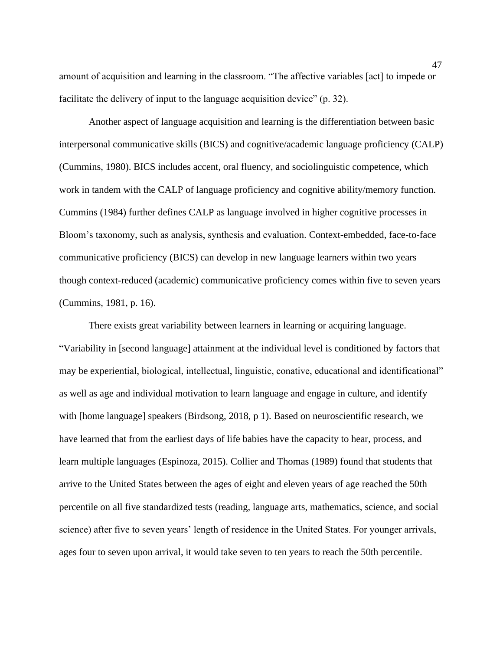amount of acquisition and learning in the classroom. "The affective variables [act] to impede or facilitate the delivery of input to the language acquisition device" (p. 32).

Another aspect of language acquisition and learning is the differentiation between basic interpersonal communicative skills (BICS) and cognitive/academic language proficiency (CALP) (Cummins, 1980). BICS includes accent, oral fluency, and sociolinguistic competence, which work in tandem with the CALP of language proficiency and cognitive ability/memory function. Cummins (1984) further defines CALP as language involved in higher cognitive processes in Bloom's taxonomy, such as analysis, synthesis and evaluation. Context-embedded, face-to-face communicative proficiency (BICS) can develop in new language learners within two years though context-reduced (academic) communicative proficiency comes within five to seven years (Cummins, 1981, p. 16).

There exists great variability between learners in learning or acquiring language. "Variability in [second language] attainment at the individual level is conditioned by factors that may be experiential, biological, intellectual, linguistic, conative, educational and identificational" as well as age and individual motivation to learn language and engage in culture, and identify with [home language] speakers (Birdsong, 2018, p 1). Based on neuroscientific research, we have learned that from the earliest days of life babies have the capacity to hear, process, and learn multiple languages (Espinoza, 2015). Collier and Thomas (1989) found that students that arrive to the United States between the ages of eight and eleven years of age reached the 50th percentile on all five standardized tests (reading, language arts, mathematics, science, and social science) after five to seven years' length of residence in the United States. For younger arrivals, ages four to seven upon arrival, it would take seven to ten years to reach the 50th percentile.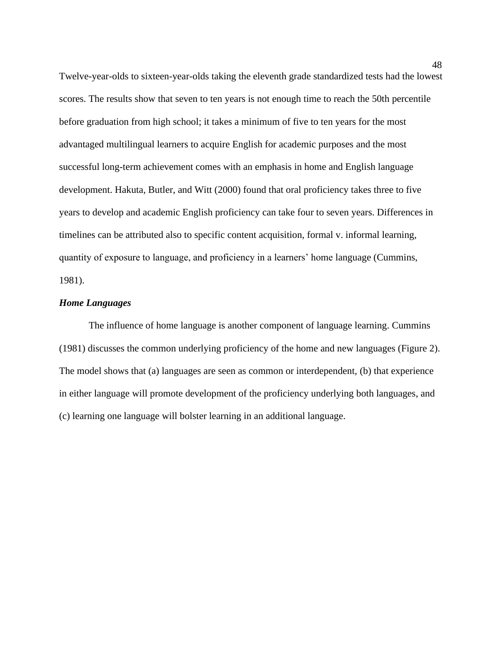Twelve-year-olds to sixteen-year-olds taking the eleventh grade standardized tests had the lowest scores. The results show that seven to ten years is not enough time to reach the 50th percentile before graduation from high school; it takes a minimum of five to ten years for the most advantaged multilingual learners to acquire English for academic purposes and the most successful long-term achievement comes with an emphasis in home and English language development. Hakuta, Butler, and Witt (2000) found that oral proficiency takes three to five years to develop and academic English proficiency can take four to seven years. Differences in timelines can be attributed also to specific content acquisition, formal v. informal learning, quantity of exposure to language, and proficiency in a learners' home language (Cummins, 1981).

# *Home Languages*

The influence of home language is another component of language learning. Cummins (1981) discusses the common underlying proficiency of the home and new languages (Figure 2). The model shows that (a) languages are seen as common or interdependent, (b) that experience in either language will promote development of the proficiency underlying both languages, and (c) learning one language will bolster learning in an additional language.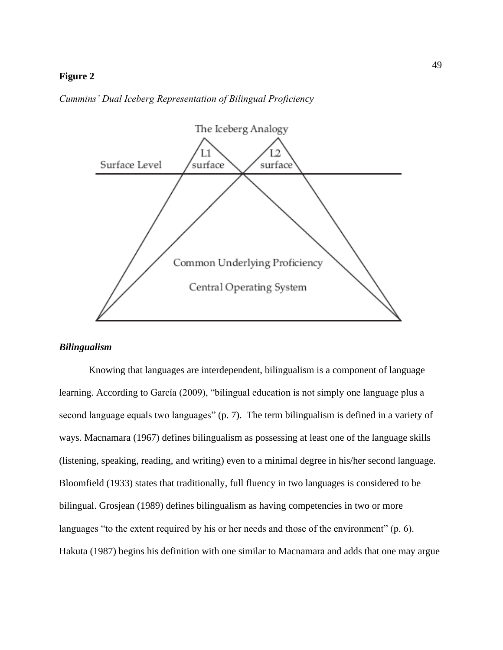## **Figure 2**

#### *Cummins' Dual Iceberg Representation of Bilingual Proficiency*



## *Bilingualism*

Knowing that languages are interdependent, bilingualism is a component of language learning. According to García (2009), "bilingual education is not simply one language plus a second language equals two languages" (p. 7). The term bilingualism is defined in a variety of ways. Macnamara (1967) defines bilingualism as possessing at least one of the language skills (listening, speaking, reading, and writing) even to a minimal degree in his/her second language. Bloomfield (1933) states that traditionally, full fluency in two languages is considered to be bilingual. Grosjean (1989) defines bilingualism as having competencies in two or more languages "to the extent required by his or her needs and those of the environment" (p. 6). Hakuta (1987) begins his definition with one similar to Macnamara and adds that one may argue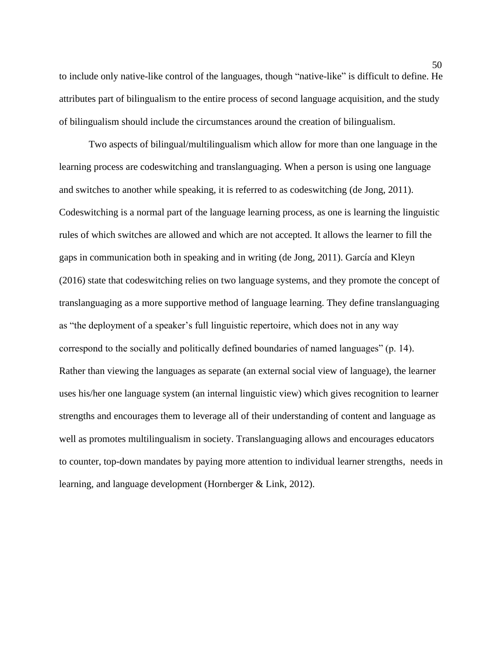to include only native-like control of the languages, though "native-like" is difficult to define. He attributes part of bilingualism to the entire process of second language acquisition, and the study of bilingualism should include the circumstances around the creation of bilingualism.

Two aspects of bilingual/multilingualism which allow for more than one language in the learning process are codeswitching and translanguaging. When a person is using one language and switches to another while speaking, it is referred to as codeswitching (de Jong, 2011). Codeswitching is a normal part of the language learning process, as one is learning the linguistic rules of which switches are allowed and which are not accepted. It allows the learner to fill the gaps in communication both in speaking and in writing (de Jong, 2011). García and Kleyn (2016) state that codeswitching relies on two language systems, and they promote the concept of translanguaging as a more supportive method of language learning. They define translanguaging as "the deployment of a speaker's full linguistic repertoire, which does not in any way correspond to the socially and politically defined boundaries of named languages" (p. 14). Rather than viewing the languages as separate (an external social view of language), the learner uses his/her one language system (an internal linguistic view) which gives recognition to learner strengths and encourages them to leverage all of their understanding of content and language as well as promotes multilingualism in society. Translanguaging allows and encourages educators to counter, top-down mandates by paying more attention to individual learner strengths, needs in learning, and language development (Hornberger & Link, 2012).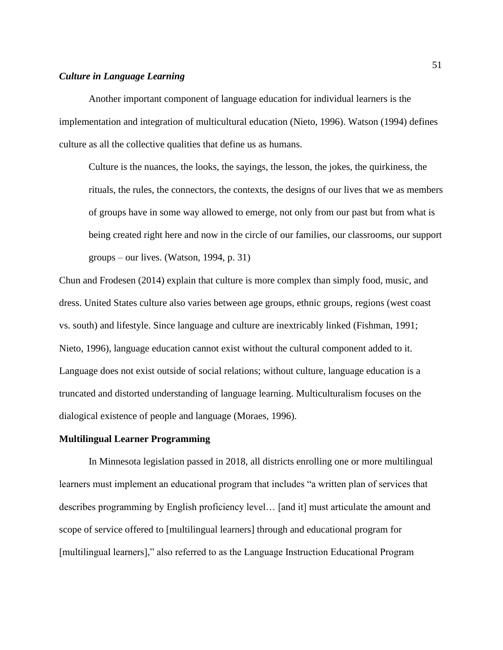# *Culture in Language Learning*

Another important component of language education for individual learners is the implementation and integration of multicultural education (Nieto, 1996). Watson (1994) defines culture as all the collective qualities that define us as humans.

Culture is the nuances, the looks, the sayings, the lesson, the jokes, the quirkiness, the rituals, the rules, the connectors, the contexts, the designs of our lives that we as members of groups have in some way allowed to emerge, not only from our past but from what is being created right here and now in the circle of our families, our classrooms, our support groups – our lives. (Watson, 1994, p. 31)

Chun and Frodesen (2014) explain that culture is more complex than simply food, music, and dress. United States culture also varies between age groups, ethnic groups, regions (west coast vs. south) and lifestyle. Since language and culture are inextricably linked (Fishman, 1991; Nieto, 1996), language education cannot exist without the cultural component added to it. Language does not exist outside of social relations; without culture, language education is a truncated and distorted understanding of language learning. Multiculturalism focuses on the dialogical existence of people and language (Moraes, 1996).

#### **Multilingual Learner Programming**

In Minnesota legislation passed in 2018, all districts enrolling one or more multilingual learners must implement an educational program that includes "a written plan of services that describes programming by English proficiency level… [and it] must articulate the amount and scope of service offered to [multilingual learners] through and educational program for [multilingual learners]," also referred to as the Language Instruction Educational Program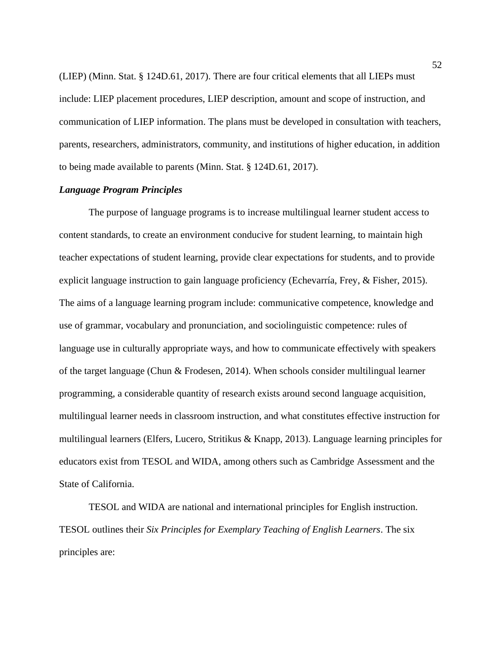(LIEP) (Minn. Stat. § 124D.61, 2017). There are four critical elements that all LIEPs must include: LIEP placement procedures, LIEP description, amount and scope of instruction, and communication of LIEP information. The plans must be developed in consultation with teachers, parents, researchers, administrators, community, and institutions of higher education, in addition to being made available to parents (Minn. Stat. § 124D.61, 2017).

### *Language Program Principles*

The purpose of language programs is to increase multilingual learner student access to content standards, to create an environment conducive for student learning, to maintain high teacher expectations of student learning, provide clear expectations for students, and to provide explicit language instruction to gain language proficiency (Echevarría, Frey, & Fisher, 2015). The aims of a language learning program include: communicative competence, knowledge and use of grammar, vocabulary and pronunciation, and sociolinguistic competence: rules of language use in culturally appropriate ways, and how to communicate effectively with speakers of the target language (Chun & Frodesen, 2014). When schools consider multilingual learner programming, a considerable quantity of research exists around second language acquisition, multilingual learner needs in classroom instruction, and what constitutes effective instruction for multilingual learners (Elfers, Lucero, Stritikus & Knapp, 2013). Language learning principles for educators exist from TESOL and WIDA, among others such as Cambridge Assessment and the State of California.

TESOL and WIDA are national and international principles for English instruction. TESOL outlines their *Six Principles for Exemplary Teaching of English Learners*. The six principles are: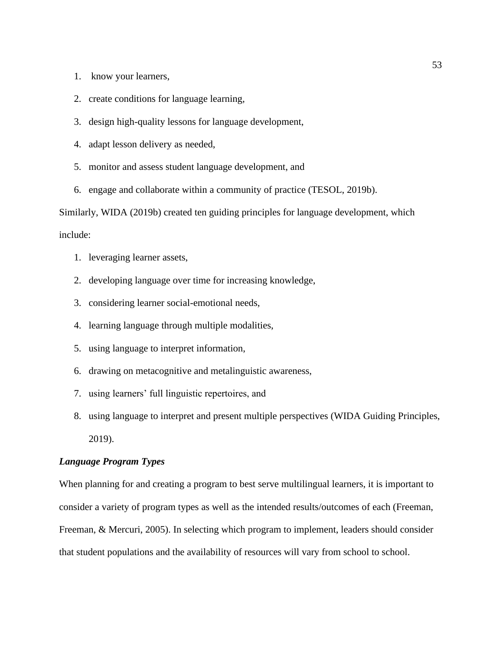- 1. know your learners,
- 2. create conditions for language learning,
- 3. design high-quality lessons for language development,
- 4. adapt lesson delivery as needed,
- 5. monitor and assess student language development, and
- 6. engage and collaborate within a community of practice (TESOL, 2019b).

Similarly, WIDA (2019b) created ten guiding principles for language development, which include:

- 1. leveraging learner assets,
- 2. developing language over time for increasing knowledge,
- 3. considering learner social-emotional needs,
- 4. learning language through multiple modalities,
- 5. using language to interpret information,
- 6. drawing on metacognitive and metalinguistic awareness,
- 7. using learners' full linguistic repertoires, and
- 8. using language to interpret and present multiple perspectives (WIDA Guiding Principles, 2019).

# *Language Program Types*

When planning for and creating a program to best serve multilingual learners, it is important to consider a variety of program types as well as the intended results/outcomes of each (Freeman, Freeman, & Mercuri, 2005). In selecting which program to implement, leaders should consider that student populations and the availability of resources will vary from school to school.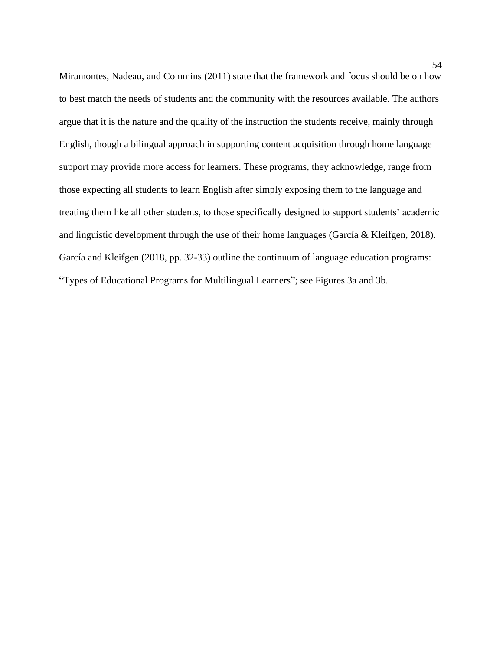Miramontes, Nadeau, and Commins (2011) state that the framework and focus should be on how to best match the needs of students and the community with the resources available. The authors argue that it is the nature and the quality of the instruction the students receive, mainly through English, though a bilingual approach in supporting content acquisition through home language support may provide more access for learners. These programs, they acknowledge, range from those expecting all students to learn English after simply exposing them to the language and treating them like all other students, to those specifically designed to support students' academic and linguistic development through the use of their home languages (García & Kleifgen, 2018). García and Kleifgen (2018, pp. 32-33) outline the continuum of language education programs: "Types of Educational Programs for Multilingual Learners"; see Figures 3a and 3b.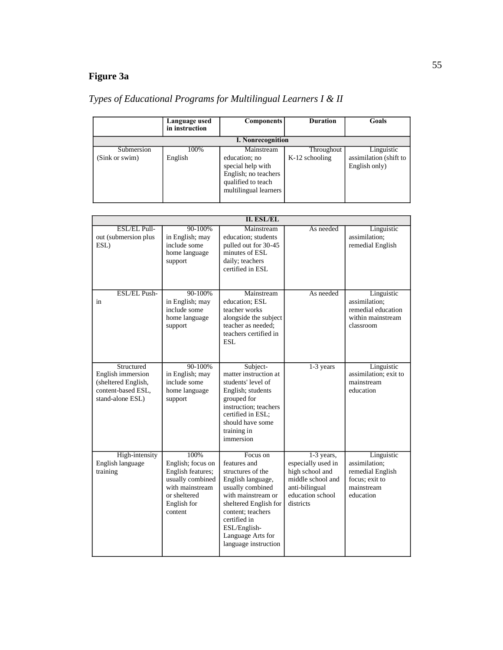# **Figure 3a**

# *Types of Educational Programs for Multilingual Learners I & II*

|                | Language used<br>in instruction | <b>Components</b>                                                                                         | <b>Duration</b>  | Goals                                   |
|----------------|---------------------------------|-----------------------------------------------------------------------------------------------------------|------------------|-----------------------------------------|
|                |                                 | <b>I. Nonrecognition</b>                                                                                  |                  |                                         |
| Submersion     | 100%                            | Mainstream                                                                                                | Throughout       | Linguistic                              |
| (Sink or swim) | English                         | education; no<br>special help with<br>English; no teachers<br>qualified to teach<br>multilingual learners | $K-12$ schooling | assimilation (shift to<br>English only) |

|                                                                                                  |                                                                                                                                 | <b>II. ESL/EL</b>                                                                                                                                                                                                                       |                                                                                                                             |                                                                                              |
|--------------------------------------------------------------------------------------------------|---------------------------------------------------------------------------------------------------------------------------------|-----------------------------------------------------------------------------------------------------------------------------------------------------------------------------------------------------------------------------------------|-----------------------------------------------------------------------------------------------------------------------------|----------------------------------------------------------------------------------------------|
| ESL/EL Pull-<br>out (submersion plus<br>ESL)                                                     | 90-100%<br>in English; may<br>include some<br>home language<br>support                                                          | Mainstream<br>education; students<br>pulled out for 30-45<br>minutes of ESL<br>daily; teachers<br>certified in ESL                                                                                                                      | As needed                                                                                                                   | Linguistic<br>assimilation;<br>remedial English                                              |
| <b>ESL/EL Push-</b><br>in                                                                        | $90 - 100%$<br>in English; may<br>include some<br>home language<br>support                                                      | Mainstream<br>education: ESL<br>teacher works<br>alongside the subject<br>teacher as needed;<br>teachers certified in<br>ESL                                                                                                            | As needed                                                                                                                   | Linguistic<br>assimilation;<br>remedial education<br>within mainstream<br>classroom          |
| Structured<br>English immersion<br>(sheltered English,<br>content-based ESL,<br>stand-alone ESL) | $90 - 100%$<br>in English; may<br>include some<br>home language<br>support                                                      | Subject-<br>matter instruction at<br>students' level of<br>English; students<br>grouped for<br>instruction: teachers<br>certified in ESL;<br>should have some<br>training in<br>immersion                                               | $1-3$ years                                                                                                                 | Linguistic<br>assimilation: exit to<br>mainstream<br>education                               |
| High-intensity<br>English language<br>training                                                   | 100%<br>English; focus on<br>English features;<br>usually combined<br>with mainstream<br>or sheltered<br>English for<br>content | Focus on<br>features and<br>structures of the<br>English language,<br>usually combined<br>with mainstream or<br>sheltered English for<br>content: teachers<br>certified in<br>ESL/English-<br>Language Arts for<br>language instruction | 1-3 years,<br>especially used in<br>high school and<br>middle school and<br>anti-bilingual<br>education school<br>districts | Linguistic<br>assimilation;<br>remedial English<br>focus; exit to<br>mainstream<br>education |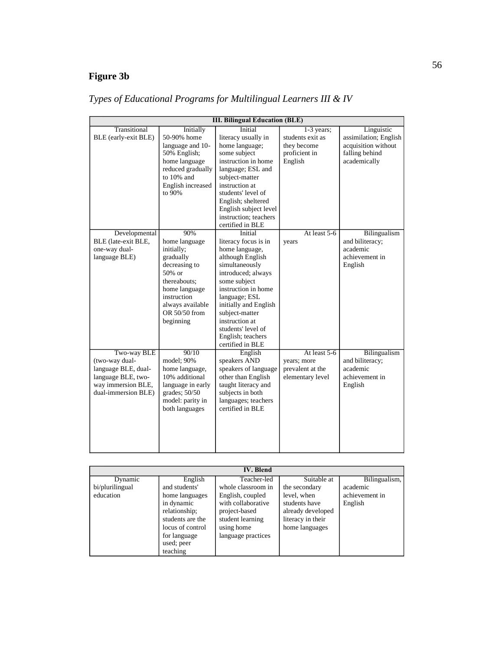# **Figure 3b**

| <b>III. Bilingual Education (BLE)</b> |                   |                       |                  |                       |  |  |  |  |
|---------------------------------------|-------------------|-----------------------|------------------|-----------------------|--|--|--|--|
| Transitional                          | Initially         | <b>Initial</b>        | $1-3$ years;     | Linguistic            |  |  |  |  |
| BLE (early-exit BLE)                  | 50-90% home       | literacy usually in   | students exit as | assimilation; English |  |  |  |  |
|                                       | language and 10-  | home language;        | they become      | acquisition without   |  |  |  |  |
|                                       | 50% English;      | some subject          | proficient in    | falling behind        |  |  |  |  |
|                                       | home language     | instruction in home   | English          | academically          |  |  |  |  |
|                                       | reduced gradually | language; ESL and     |                  |                       |  |  |  |  |
|                                       | to 10% and        | subject-matter        |                  |                       |  |  |  |  |
|                                       | English increased | instruction at        |                  |                       |  |  |  |  |
|                                       | to 90%            | students' level of    |                  |                       |  |  |  |  |
|                                       |                   | English; sheltered    |                  |                       |  |  |  |  |
|                                       |                   | English subject level |                  |                       |  |  |  |  |
|                                       |                   | instruction: teachers |                  |                       |  |  |  |  |
|                                       |                   | certified in BLE      |                  |                       |  |  |  |  |
| Developmental                         | 90%               | Initial               | At least 5-6     | Bilingualism          |  |  |  |  |
| BLE (late-exit BLE,                   | home language     | literacy focus is in  | years            | and biliteracy;       |  |  |  |  |
| one-way dual-                         | initially;        | home language,        |                  | academic              |  |  |  |  |
| language BLE)                         | gradually         | although English      |                  | achievement in        |  |  |  |  |
|                                       | decreasing to     | simultaneously        |                  | English               |  |  |  |  |
|                                       | 50% or            | introduced; always    |                  |                       |  |  |  |  |
|                                       | thereabouts:      | some subject          |                  |                       |  |  |  |  |
|                                       | home language     | instruction in home   |                  |                       |  |  |  |  |
|                                       | instruction       | language; ESL         |                  |                       |  |  |  |  |
|                                       | always available  | initially and English |                  |                       |  |  |  |  |
|                                       | OR 50/50 from     | subject-matter        |                  |                       |  |  |  |  |
|                                       | beginning         | instruction at        |                  |                       |  |  |  |  |
|                                       |                   | students' level of    |                  |                       |  |  |  |  |
|                                       |                   | English; teachers     |                  |                       |  |  |  |  |
|                                       |                   | certified in BLE      |                  |                       |  |  |  |  |
| Two-way BLE                           | 90/10             | English               | At least 5-6     | Bilingualism          |  |  |  |  |
| (two-way dual-                        | model; 90%        | speakers AND          | years; more      | and biliteracy;       |  |  |  |  |
| language BLE, dual-                   | home language,    | speakers of language  | prevalent at the | academic              |  |  |  |  |
| language BLE, two-                    | 10% additional    | other than English    | elementary level | achievement in        |  |  |  |  |
| way immersion BLE,                    | language in early | taught literacy and   |                  | English               |  |  |  |  |
| dual-immersion BLE)                   | grades; $50/50$   | subjects in both      |                  |                       |  |  |  |  |
|                                       | model: parity in  | languages; teachers   |                  |                       |  |  |  |  |
|                                       | both languages    | certified in BLE      |                  |                       |  |  |  |  |
|                                       |                   |                       |                  |                       |  |  |  |  |
|                                       |                   |                       |                  |                       |  |  |  |  |
|                                       |                   |                       |                  |                       |  |  |  |  |
|                                       |                   |                       |                  |                       |  |  |  |  |
|                                       |                   |                       |                  |                       |  |  |  |  |

|  |  |  |  |  | Types of Educational Programs for Multilingual Learners III & IV |  |  |
|--|--|--|--|--|------------------------------------------------------------------|--|--|
|  |  |  |  |  |                                                                  |  |  |

| <b>IV. Blend</b> |                  |                    |                   |                |  |  |  |  |
|------------------|------------------|--------------------|-------------------|----------------|--|--|--|--|
| Dynamic          | English          | Teacher-led        | Suitable at       | Bilingualism,  |  |  |  |  |
| bi/plurilingual  | and students'    | whole classroom in | the secondary     | academic       |  |  |  |  |
| education        | home languages   | English, coupled   | level, when       | achievement in |  |  |  |  |
|                  | in dynamic       | with collaborative | students have     | English        |  |  |  |  |
|                  | relationship;    | project-based      | already developed |                |  |  |  |  |
|                  | students are the | student learning   | literacy in their |                |  |  |  |  |
|                  | locus of control | using home         | home languages    |                |  |  |  |  |
|                  | for language     | language practices |                   |                |  |  |  |  |
|                  | used; peer       |                    |                   |                |  |  |  |  |
|                  | teaching         |                    |                   |                |  |  |  |  |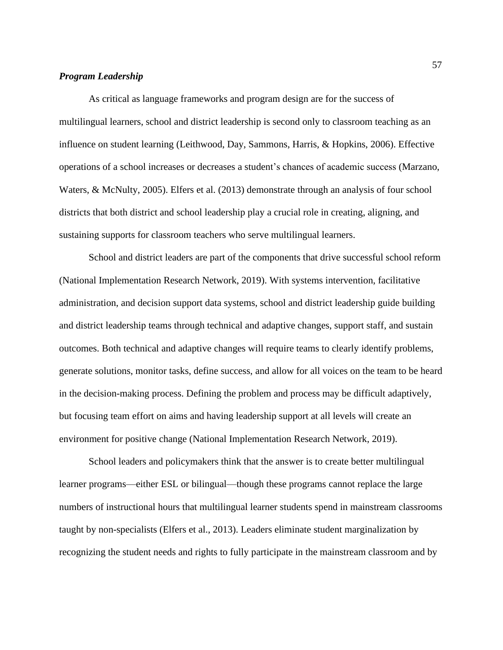# *Program Leadership*

As critical as language frameworks and program design are for the success of multilingual learners, school and district leadership is second only to classroom teaching as an influence on student learning (Leithwood, Day, Sammons, Harris, & Hopkins, 2006). Effective operations of a school increases or decreases a student's chances of academic success (Marzano, Waters, & McNulty, 2005). Elfers et al. (2013) demonstrate through an analysis of four school districts that both district and school leadership play a crucial role in creating, aligning, and sustaining supports for classroom teachers who serve multilingual learners.

School and district leaders are part of the components that drive successful school reform (National Implementation Research Network, 2019). With systems intervention, facilitative administration, and decision support data systems, school and district leadership guide building and district leadership teams through technical and adaptive changes, support staff, and sustain outcomes. Both technical and adaptive changes will require teams to clearly identify problems, generate solutions, monitor tasks, define success, and allow for all voices on the team to be heard in the decision-making process. Defining the problem and process may be difficult adaptively, but focusing team effort on aims and having leadership support at all levels will create an environment for positive change (National Implementation Research Network, 2019).

School leaders and policymakers think that the answer is to create better multilingual learner programs—either ESL or bilingual—though these programs cannot replace the large numbers of instructional hours that multilingual learner students spend in mainstream classrooms taught by non-specialists (Elfers et al., 2013). Leaders eliminate student marginalization by recognizing the student needs and rights to fully participate in the mainstream classroom and by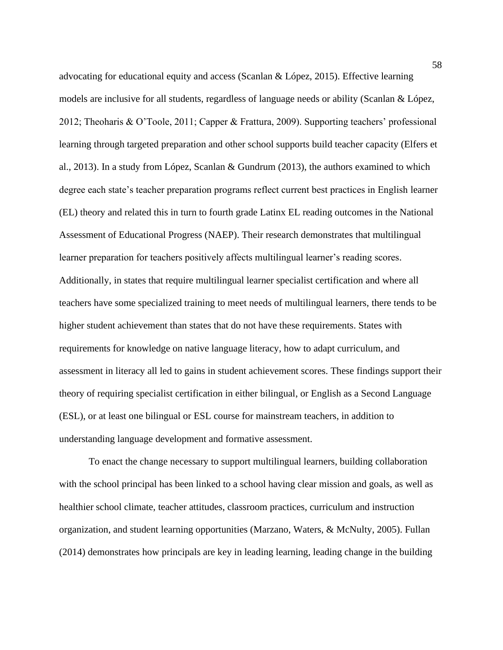advocating for educational equity and access (Scanlan & López, 2015). Effective learning models are inclusive for all students, regardless of language needs or ability (Scanlan & López, 2012; Theoharis & O'Toole, 2011; Capper & Frattura, 2009). Supporting teachers' professional learning through targeted preparation and other school supports build teacher capacity (Elfers et al., 2013). In a study from López, Scanlan & Gundrum (2013), the authors examined to which degree each state's teacher preparation programs reflect current best practices in English learner (EL) theory and related this in turn to fourth grade Latinx EL reading outcomes in the National Assessment of Educational Progress (NAEP). Their research demonstrates that multilingual learner preparation for teachers positively affects multilingual learner's reading scores. Additionally, in states that require multilingual learner specialist certification and where all teachers have some specialized training to meet needs of multilingual learners, there tends to be higher student achievement than states that do not have these requirements. States with requirements for knowledge on native language literacy, how to adapt curriculum, and assessment in literacy all led to gains in student achievement scores. These findings support their theory of requiring specialist certification in either bilingual, or English as a Second Language (ESL), or at least one bilingual or ESL course for mainstream teachers, in addition to understanding language development and formative assessment.

To enact the change necessary to support multilingual learners, building collaboration with the school principal has been linked to a school having clear mission and goals, as well as healthier school climate, teacher attitudes, classroom practices, curriculum and instruction organization, and student learning opportunities (Marzano, Waters, & McNulty, 2005). Fullan (2014) demonstrates how principals are key in leading learning, leading change in the building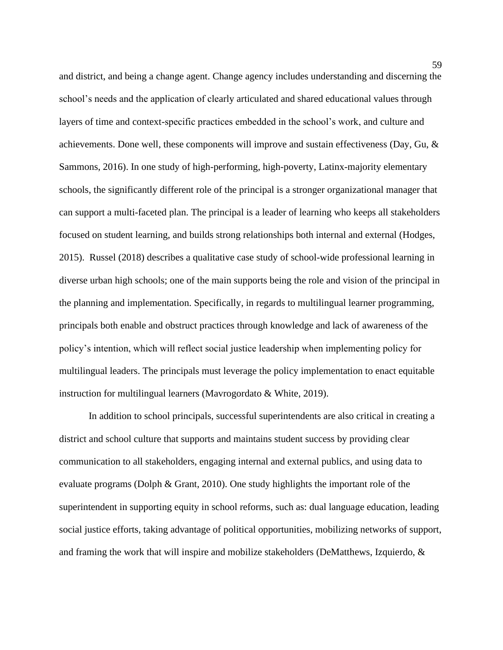and district, and being a change agent. Change agency includes understanding and discerning the school's needs and the application of clearly articulated and shared educational values through layers of time and context-specific practices embedded in the school's work, and culture and achievements. Done well, these components will improve and sustain effectiveness (Day, Gu, & Sammons, 2016). In one study of high-performing, high-poverty, Latinx-majority elementary schools, the significantly different role of the principal is a stronger organizational manager that can support a multi-faceted plan. The principal is a leader of learning who keeps all stakeholders focused on student learning, and builds strong relationships both internal and external (Hodges, 2015). Russel (2018) describes a qualitative case study of school-wide professional learning in diverse urban high schools; one of the main supports being the role and vision of the principal in the planning and implementation. Specifically, in regards to multilingual learner programming, principals both enable and obstruct practices through knowledge and lack of awareness of the policy's intention, which will reflect social justice leadership when implementing policy for multilingual leaders. The principals must leverage the policy implementation to enact equitable instruction for multilingual learners (Mavrogordato & White, 2019).

In addition to school principals, successful superintendents are also critical in creating a district and school culture that supports and maintains student success by providing clear communication to all stakeholders, engaging internal and external publics, and using data to evaluate programs (Dolph & Grant, 2010). One study highlights the important role of the superintendent in supporting equity in school reforms, such as: dual language education, leading social justice efforts, taking advantage of political opportunities, mobilizing networks of support, and framing the work that will inspire and mobilize stakeholders (DeMatthews, Izquierdo, &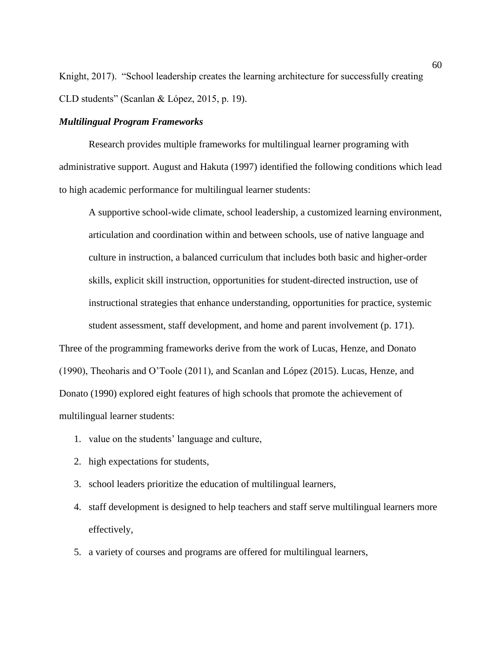Knight, 2017). "School leadership creates the learning architecture for successfully creating CLD students" (Scanlan & López, 2015, p. 19).

#### *Multilingual Program Frameworks*

Research provides multiple frameworks for multilingual learner programing with administrative support. August and Hakuta (1997) identified the following conditions which lead to high academic performance for multilingual learner students:

A supportive school-wide climate, school leadership, a customized learning environment, articulation and coordination within and between schools, use of native language and culture in instruction, a balanced curriculum that includes both basic and higher-order skills, explicit skill instruction, opportunities for student-directed instruction, use of instructional strategies that enhance understanding, opportunities for practice, systemic student assessment, staff development, and home and parent involvement (p. 171).

Three of the programming frameworks derive from the work of Lucas, Henze, and Donato (1990), Theoharis and O'Toole (2011), and Scanlan and López (2015). Lucas, Henze, and Donato (1990) explored eight features of high schools that promote the achievement of multilingual learner students:

- 1. value on the students' language and culture,
- 2. high expectations for students,
- 3. school leaders prioritize the education of multilingual learners,
- 4. staff development is designed to help teachers and staff serve multilingual learners more effectively,
- 5. a variety of courses and programs are offered for multilingual learners,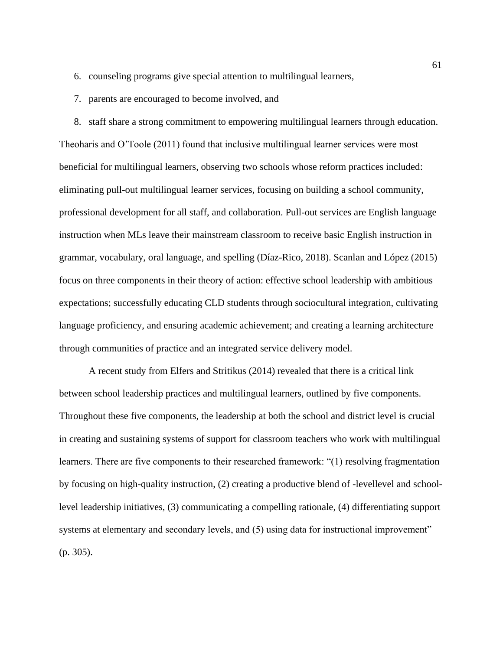- 6. counseling programs give special attention to multilingual learners,
- 7. parents are encouraged to become involved, and

8. staff share a strong commitment to empowering multilingual learners through education. Theoharis and O'Toole (2011) found that inclusive multilingual learner services were most beneficial for multilingual learners, observing two schools whose reform practices included: eliminating pull-out multilingual learner services, focusing on building a school community, professional development for all staff, and collaboration. Pull-out services are English language instruction when MLs leave their mainstream classroom to receive basic English instruction in grammar, vocabulary, oral language, and spelling (Díaz-Rico, 2018). Scanlan and López (2015) focus on three components in their theory of action: effective school leadership with ambitious expectations; successfully educating CLD students through sociocultural integration, cultivating language proficiency, and ensuring academic achievement; and creating a learning architecture through communities of practice and an integrated service delivery model.

A recent study from Elfers and Stritikus (2014) revealed that there is a critical link between school leadership practices and multilingual learners, outlined by five components. Throughout these five components, the leadership at both the school and district level is crucial in creating and sustaining systems of support for classroom teachers who work with multilingual learners. There are five components to their researched framework: "(1) resolving fragmentation by focusing on high-quality instruction, (2) creating a productive blend of -levellevel and schoollevel leadership initiatives, (3) communicating a compelling rationale, (4) differentiating support systems at elementary and secondary levels, and (5) using data for instructional improvement" (p. 305).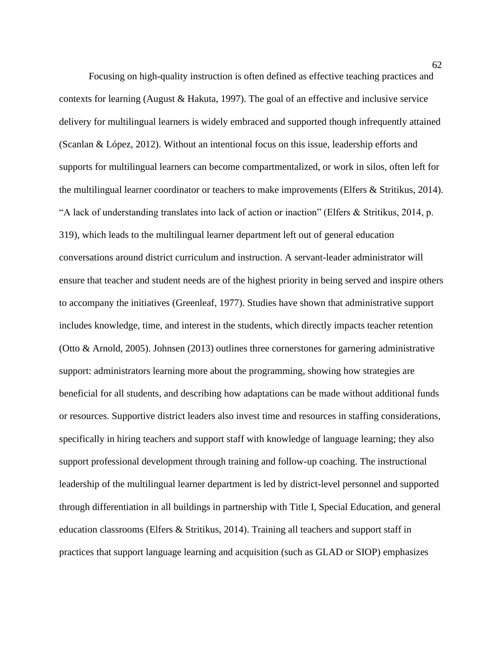Focusing on high-quality instruction is often defined as effective teaching practices and contexts for learning (August & Hakuta, 1997). The goal of an effective and inclusive service delivery for multilingual learners is widely embraced and supported though infrequently attained (Scanlan & López, 2012). Without an intentional focus on this issue, leadership efforts and supports for multilingual learners can become compartmentalized, or work in silos, often left for the multilingual learner coordinator or teachers to make improvements (Elfers & Stritikus, 2014). "A lack of understanding translates into lack of action or inaction" (Elfers & Stritikus, 2014, p. 319), which leads to the multilingual learner department left out of general education conversations around district curriculum and instruction. A servant-leader administrator will ensure that teacher and student needs are of the highest priority in being served and inspire others to accompany the initiatives (Greenleaf, 1977). Studies have shown that administrative support includes knowledge, time, and interest in the students, which directly impacts teacher retention (Otto & Arnold, 2005). Johnsen (2013) outlines three cornerstones for garnering administrative support: administrators learning more about the programming, showing how strategies are beneficial for all students, and describing how adaptations can be made without additional funds or resources. Supportive district leaders also invest time and resources in staffing considerations, specifically in hiring teachers and support staff with knowledge of language learning; they also support professional development through training and follow-up coaching. The instructional leadership of the multilingual learner department is led by district-level personnel and supported through differentiation in all buildings in partnership with Title I, Special Education, and general education classrooms (Elfers & Stritikus, 2014). Training all teachers and support staff in practices that support language learning and acquisition (such as GLAD or SIOP) emphasizes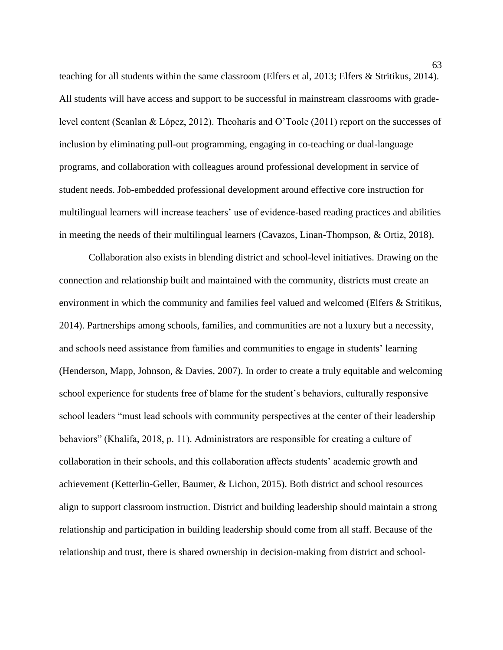teaching for all students within the same classroom (Elfers et al, 2013; Elfers & Stritikus, 2014). All students will have access and support to be successful in mainstream classrooms with gradelevel content (Scanlan & López, 2012). Theoharis and O'Toole (2011) report on the successes of inclusion by eliminating pull-out programming, engaging in co-teaching or dual-language programs, and collaboration with colleagues around professional development in service of student needs. Job-embedded professional development around effective core instruction for multilingual learners will increase teachers' use of evidence-based reading practices and abilities in meeting the needs of their multilingual learners (Cavazos, Linan-Thompson, & Ortiz, 2018).

Collaboration also exists in blending district and school-level initiatives. Drawing on the connection and relationship built and maintained with the community, districts must create an environment in which the community and families feel valued and welcomed (Elfers & Stritikus, 2014). Partnerships among schools, families, and communities are not a luxury but a necessity, and schools need assistance from families and communities to engage in students' learning (Henderson, Mapp, Johnson, & Davies, 2007). In order to create a truly equitable and welcoming school experience for students free of blame for the student's behaviors, culturally responsive school leaders "must lead schools with community perspectives at the center of their leadership behaviors" (Khalifa, 2018, p. 11). Administrators are responsible for creating a culture of collaboration in their schools, and this collaboration affects students' academic growth and achievement (Ketterlin-Geller, Baumer, & Lichon, 2015). Both district and school resources align to support classroom instruction. District and building leadership should maintain a strong relationship and participation in building leadership should come from all staff. Because of the relationship and trust, there is shared ownership in decision-making from district and school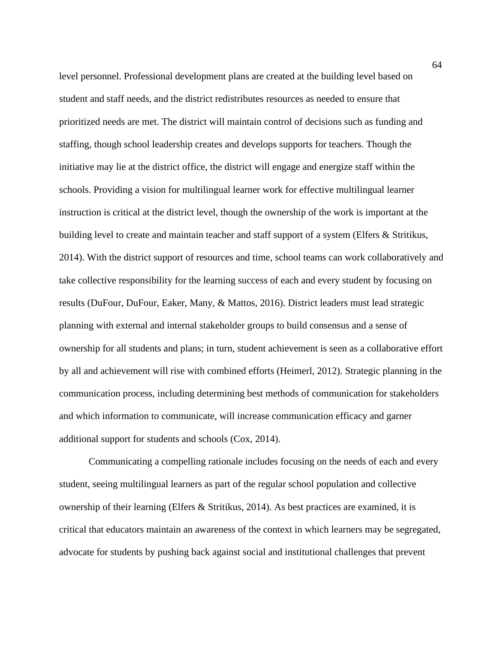level personnel. Professional development plans are created at the building level based on student and staff needs, and the district redistributes resources as needed to ensure that prioritized needs are met. The district will maintain control of decisions such as funding and staffing, though school leadership creates and develops supports for teachers. Though the initiative may lie at the district office, the district will engage and energize staff within the schools. Providing a vision for multilingual learner work for effective multilingual learner instruction is critical at the district level, though the ownership of the work is important at the building level to create and maintain teacher and staff support of a system (Elfers & Stritikus, 2014). With the district support of resources and time, school teams can work collaboratively and take collective responsibility for the learning success of each and every student by focusing on results (DuFour, DuFour, Eaker, Many, & Mattos, 2016). District leaders must lead strategic planning with external and internal stakeholder groups to build consensus and a sense of ownership for all students and plans; in turn, student achievement is seen as a collaborative effort by all and achievement will rise with combined efforts (Heimerl, 2012). Strategic planning in the communication process, including determining best methods of communication for stakeholders and which information to communicate, will increase communication efficacy and garner additional support for students and schools (Cox, 2014).

Communicating a compelling rationale includes focusing on the needs of each and every student, seeing multilingual learners as part of the regular school population and collective ownership of their learning (Elfers & Stritikus, 2014). As best practices are examined, it is critical that educators maintain an awareness of the context in which learners may be segregated, advocate for students by pushing back against social and institutional challenges that prevent

64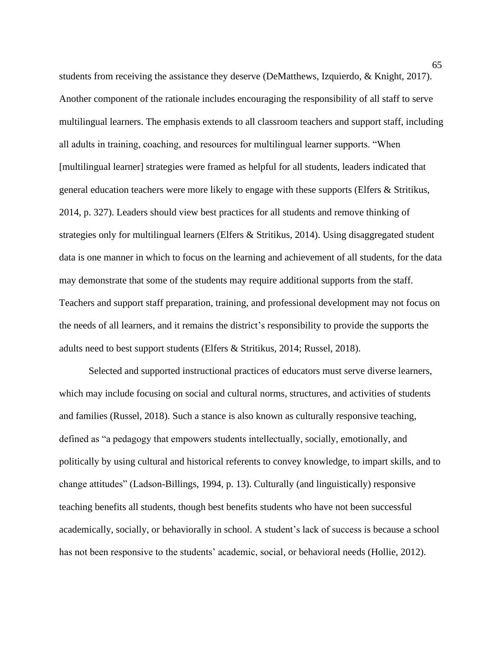students from receiving the assistance they deserve (DeMatthews, Izquierdo, & Knight, 2017). Another component of the rationale includes encouraging the responsibility of all staff to serve multilingual learners. The emphasis extends to all classroom teachers and support staff, including all adults in training, coaching, and resources for multilingual learner supports. "When [multilingual learner] strategies were framed as helpful for all students, leaders indicated that general education teachers were more likely to engage with these supports (Elfers & Stritikus, 2014, p. 327). Leaders should view best practices for all students and remove thinking of strategies only for multilingual learners (Elfers & Stritikus, 2014). Using disaggregated student data is one manner in which to focus on the learning and achievement of all students, for the data may demonstrate that some of the students may require additional supports from the staff. Teachers and support staff preparation, training, and professional development may not focus on the needs of all learners, and it remains the district's responsibility to provide the supports the adults need to best support students (Elfers & Stritikus, 2014; Russel, 2018).

Selected and supported instructional practices of educators must serve diverse learners, which may include focusing on social and cultural norms, structures, and activities of students and families (Russel, 2018). Such a stance is also known as culturally responsive teaching, defined as "a pedagogy that empowers students intellectually, socially, emotionally, and politically by using cultural and historical referents to convey knowledge, to impart skills, and to change attitudes" (Ladson-Billings, 1994, p. 13). Culturally (and linguistically) responsive teaching benefits all students, though best benefits students who have not been successful academically, socially, or behaviorally in school. A student's lack of success is because a school has not been responsive to the students' academic, social, or behavioral needs (Hollie, 2012).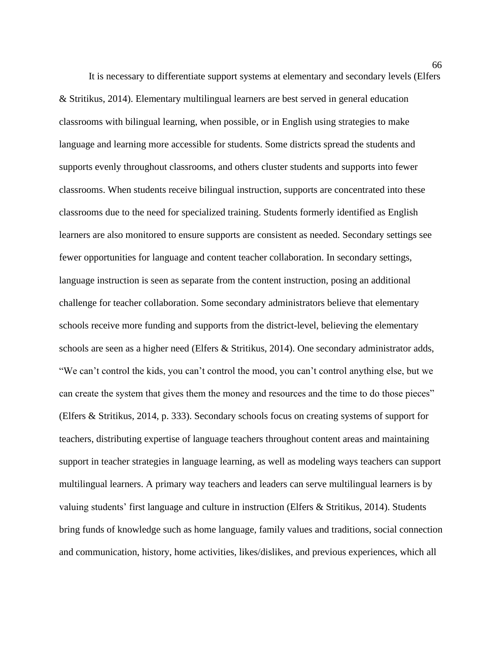It is necessary to differentiate support systems at elementary and secondary levels (Elfers & Stritikus, 2014). Elementary multilingual learners are best served in general education classrooms with bilingual learning, when possible, or in English using strategies to make language and learning more accessible for students. Some districts spread the students and supports evenly throughout classrooms, and others cluster students and supports into fewer classrooms. When students receive bilingual instruction, supports are concentrated into these classrooms due to the need for specialized training. Students formerly identified as English learners are also monitored to ensure supports are consistent as needed. Secondary settings see fewer opportunities for language and content teacher collaboration. In secondary settings, language instruction is seen as separate from the content instruction, posing an additional challenge for teacher collaboration. Some secondary administrators believe that elementary schools receive more funding and supports from the district-level, believing the elementary schools are seen as a higher need (Elfers & Stritikus, 2014). One secondary administrator adds, "We can't control the kids, you can't control the mood, you can't control anything else, but we can create the system that gives them the money and resources and the time to do those pieces" (Elfers & Stritikus, 2014, p. 333). Secondary schools focus on creating systems of support for teachers, distributing expertise of language teachers throughout content areas and maintaining support in teacher strategies in language learning, as well as modeling ways teachers can support multilingual learners. A primary way teachers and leaders can serve multilingual learners is by valuing students' first language and culture in instruction (Elfers & Stritikus, 2014). Students bring funds of knowledge such as home language, family values and traditions, social connection and communication, history, home activities, likes/dislikes, and previous experiences, which all

66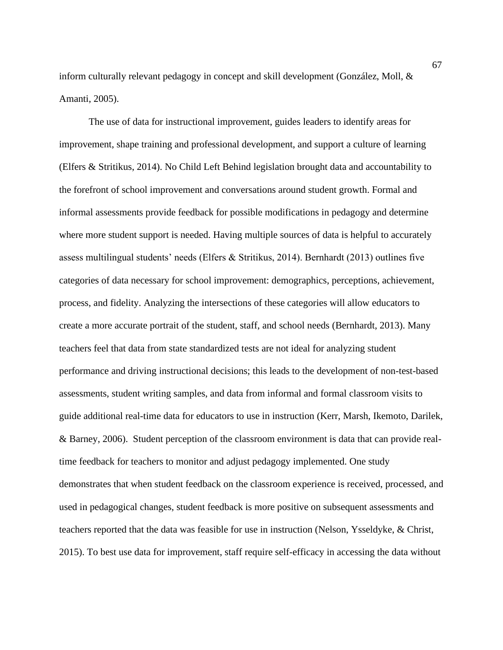inform culturally relevant pedagogy in concept and skill development (González, Moll, & Amanti, 2005).

The use of data for instructional improvement, guides leaders to identify areas for improvement, shape training and professional development, and support a culture of learning (Elfers & Stritikus, 2014). No Child Left Behind legislation brought data and accountability to the forefront of school improvement and conversations around student growth. Formal and informal assessments provide feedback for possible modifications in pedagogy and determine where more student support is needed. Having multiple sources of data is helpful to accurately assess multilingual students' needs (Elfers & Stritikus, 2014). Bernhardt (2013) outlines five categories of data necessary for school improvement: demographics, perceptions, achievement, process, and fidelity. Analyzing the intersections of these categories will allow educators to create a more accurate portrait of the student, staff, and school needs (Bernhardt, 2013). Many teachers feel that data from state standardized tests are not ideal for analyzing student performance and driving instructional decisions; this leads to the development of non-test-based assessments, student writing samples, and data from informal and formal classroom visits to guide additional real-time data for educators to use in instruction (Kerr, Marsh, Ikemoto, Darilek, & Barney, 2006). Student perception of the classroom environment is data that can provide realtime feedback for teachers to monitor and adjust pedagogy implemented. One study demonstrates that when student feedback on the classroom experience is received, processed, and used in pedagogical changes, student feedback is more positive on subsequent assessments and teachers reported that the data was feasible for use in instruction (Nelson, Ysseldyke, & Christ, 2015). To best use data for improvement, staff require self-efficacy in accessing the data without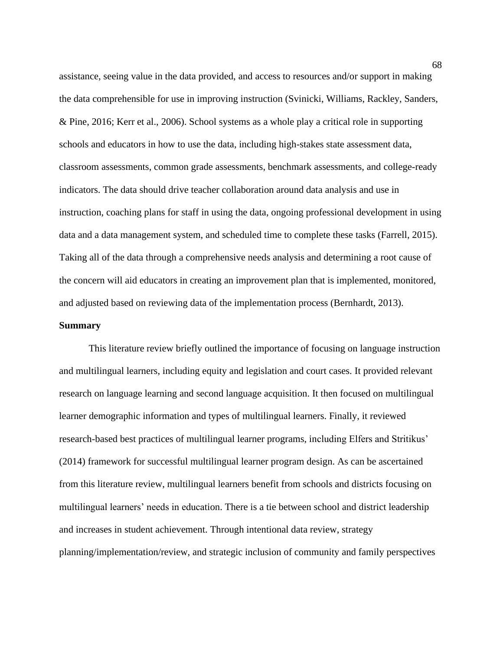assistance, seeing value in the data provided, and access to resources and/or support in making the data comprehensible for use in improving instruction (Svinicki, Williams, Rackley, Sanders, & Pine, 2016; Kerr et al., 2006). School systems as a whole play a critical role in supporting schools and educators in how to use the data, including high-stakes state assessment data, classroom assessments, common grade assessments, benchmark assessments, and college-ready indicators. The data should drive teacher collaboration around data analysis and use in instruction, coaching plans for staff in using the data, ongoing professional development in using data and a data management system, and scheduled time to complete these tasks (Farrell, 2015). Taking all of the data through a comprehensive needs analysis and determining a root cause of the concern will aid educators in creating an improvement plan that is implemented, monitored, and adjusted based on reviewing data of the implementation process (Bernhardt, 2013).

## **Summary**

This literature review briefly outlined the importance of focusing on language instruction and multilingual learners, including equity and legislation and court cases. It provided relevant research on language learning and second language acquisition. It then focused on multilingual learner demographic information and types of multilingual learners. Finally, it reviewed research-based best practices of multilingual learner programs, including Elfers and Stritikus' (2014) framework for successful multilingual learner program design. As can be ascertained from this literature review, multilingual learners benefit from schools and districts focusing on multilingual learners' needs in education. There is a tie between school and district leadership and increases in student achievement. Through intentional data review, strategy planning/implementation/review, and strategic inclusion of community and family perspectives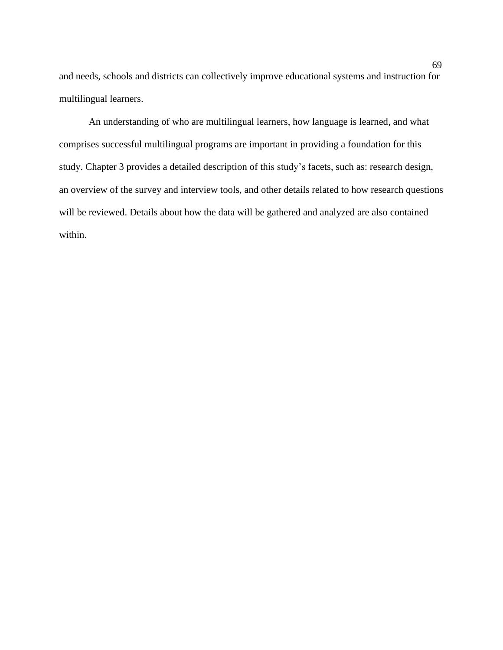and needs, schools and districts can collectively improve educational systems and instruction for multilingual learners.

An understanding of who are multilingual learners, how language is learned, and what comprises successful multilingual programs are important in providing a foundation for this study. Chapter 3 provides a detailed description of this study's facets, such as: research design, an overview of the survey and interview tools, and other details related to how research questions will be reviewed. Details about how the data will be gathered and analyzed are also contained within.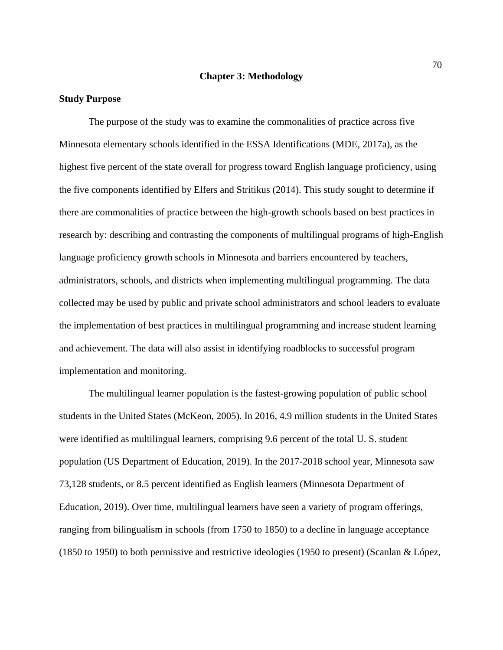#### **Chapter 3: Methodology**

#### **Study Purpose**

The purpose of the study was to examine the commonalities of practice across five Minnesota elementary schools identified in the ESSA Identifications (MDE, 2017a), as the highest five percent of the state overall for progress toward English language proficiency, using the five components identified by Elfers and Stritikus (2014). This study sought to determine if there are commonalities of practice between the high-growth schools based on best practices in research by: describing and contrasting the components of multilingual programs of high-English language proficiency growth schools in Minnesota and barriers encountered by teachers, administrators, schools, and districts when implementing multilingual programming. The data collected may be used by public and private school administrators and school leaders to evaluate the implementation of best practices in multilingual programming and increase student learning and achievement. The data will also assist in identifying roadblocks to successful program implementation and monitoring.

The multilingual learner population is the fastest-growing population of public school students in the United States (McKeon, 2005). In 2016, 4.9 million students in the United States were identified as multilingual learners, comprising 9.6 percent of the total U. S. student population (US Department of Education, 2019). In the 2017-2018 school year, Minnesota saw 73,128 students, or 8.5 percent identified as English learners (Minnesota Department of Education, 2019). Over time, multilingual learners have seen a variety of program offerings, ranging from bilingualism in schools (from 1750 to 1850) to a decline in language acceptance (1850 to 1950) to both permissive and restrictive ideologies (1950 to present) (Scanlan & López,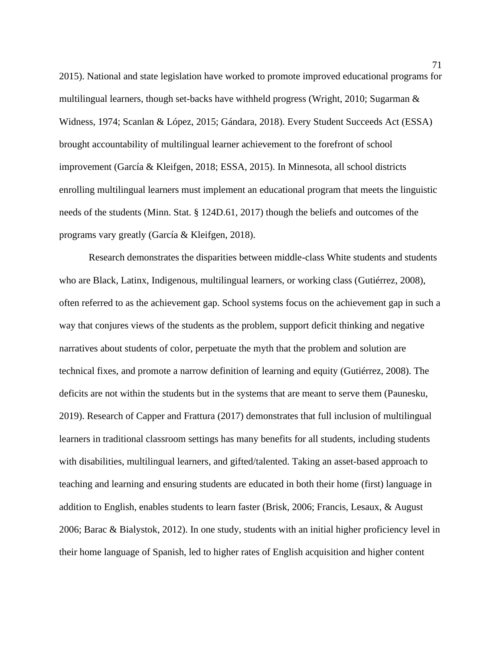2015). National and state legislation have worked to promote improved educational programs for multilingual learners, though set-backs have withheld progress (Wright, 2010; Sugarman & Widness, 1974; Scanlan & López, 2015; Gándara, 2018). Every Student Succeeds Act (ESSA) brought accountability of multilingual learner achievement to the forefront of school improvement (García & Kleifgen, 2018; ESSA, 2015). In Minnesota, all school districts enrolling multilingual learners must implement an educational program that meets the linguistic needs of the students (Minn. Stat. § 124D.61, 2017) though the beliefs and outcomes of the programs vary greatly (García & Kleifgen, 2018).

Research demonstrates the disparities between middle-class White students and students who are Black, Latinx, Indigenous, multilingual learners, or working class (Gutiérrez, 2008), often referred to as the achievement gap. School systems focus on the achievement gap in such a way that conjures views of the students as the problem, support deficit thinking and negative narratives about students of color, perpetuate the myth that the problem and solution are technical fixes, and promote a narrow definition of learning and equity (Gutiérrez, 2008). The deficits are not within the students but in the systems that are meant to serve them (Paunesku, 2019). Research of Capper and Frattura (2017) demonstrates that full inclusion of multilingual learners in traditional classroom settings has many benefits for all students, including students with disabilities, multilingual learners, and gifted/talented. Taking an asset-based approach to teaching and learning and ensuring students are educated in both their home (first) language in addition to English, enables students to learn faster (Brisk, 2006; Francis, Lesaux, & August 2006; Barac & Bialystok, 2012). In one study, students with an initial higher proficiency level in their home language of Spanish, led to higher rates of English acquisition and higher content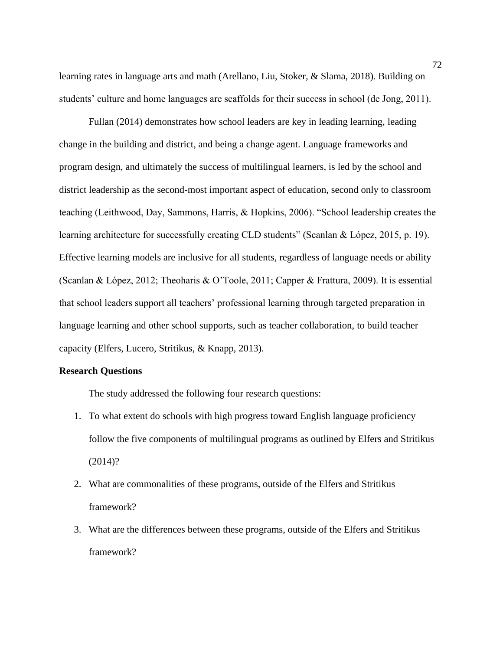learning rates in language arts and math (Arellano, Liu, Stoker, & Slama, 2018). Building on students' culture and home languages are scaffolds for their success in school (de Jong, 2011).

Fullan (2014) demonstrates how school leaders are key in leading learning, leading change in the building and district, and being a change agent. Language frameworks and program design, and ultimately the success of multilingual learners, is led by the school and district leadership as the second-most important aspect of education, second only to classroom teaching (Leithwood, Day, Sammons, Harris, & Hopkins, 2006). "School leadership creates the learning architecture for successfully creating CLD students" (Scanlan & López, 2015, p. 19). Effective learning models are inclusive for all students, regardless of language needs or ability (Scanlan & López, 2012; Theoharis & O'Toole, 2011; Capper & Frattura, 2009). It is essential that school leaders support all teachers' professional learning through targeted preparation in language learning and other school supports, such as teacher collaboration, to build teacher capacity (Elfers, Lucero, Stritikus, & Knapp, 2013).

## **Research Questions**

The study addressed the following four research questions:

- 1. To what extent do schools with high progress toward English language proficiency follow the five components of multilingual programs as outlined by Elfers and Stritikus (2014)?
- 2. What are commonalities of these programs, outside of the Elfers and Stritikus framework?
- 3. What are the differences between these programs, outside of the Elfers and Stritikus framework?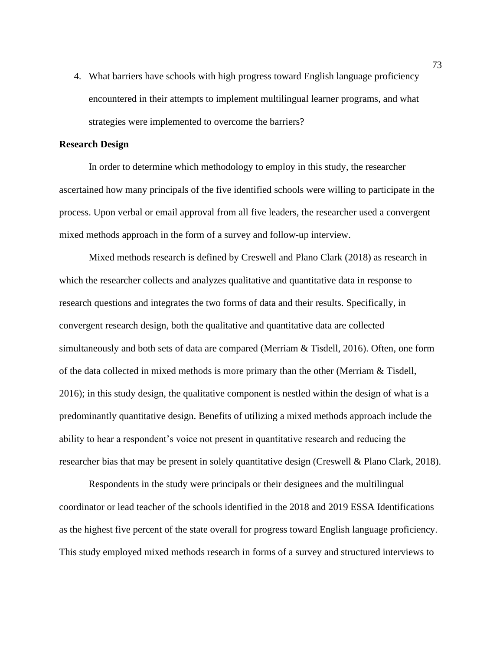4. What barriers have schools with high progress toward English language proficiency encountered in their attempts to implement multilingual learner programs, and what strategies were implemented to overcome the barriers?

# **Research Design**

In order to determine which methodology to employ in this study, the researcher ascertained how many principals of the five identified schools were willing to participate in the process. Upon verbal or email approval from all five leaders, the researcher used a convergent mixed methods approach in the form of a survey and follow-up interview.

Mixed methods research is defined by Creswell and Plano Clark (2018) as research in which the researcher collects and analyzes qualitative and quantitative data in response to research questions and integrates the two forms of data and their results. Specifically, in convergent research design, both the qualitative and quantitative data are collected simultaneously and both sets of data are compared (Merriam & Tisdell, 2016). Often, one form of the data collected in mixed methods is more primary than the other (Merriam & Tisdell, 2016); in this study design, the qualitative component is nestled within the design of what is a predominantly quantitative design. Benefits of utilizing a mixed methods approach include the ability to hear a respondent's voice not present in quantitative research and reducing the researcher bias that may be present in solely quantitative design (Creswell & Plano Clark, 2018).

Respondents in the study were principals or their designees and the multilingual coordinator or lead teacher of the schools identified in the 2018 and 2019 ESSA Identifications as the highest five percent of the state overall for progress toward English language proficiency. This study employed mixed methods research in forms of a survey and structured interviews to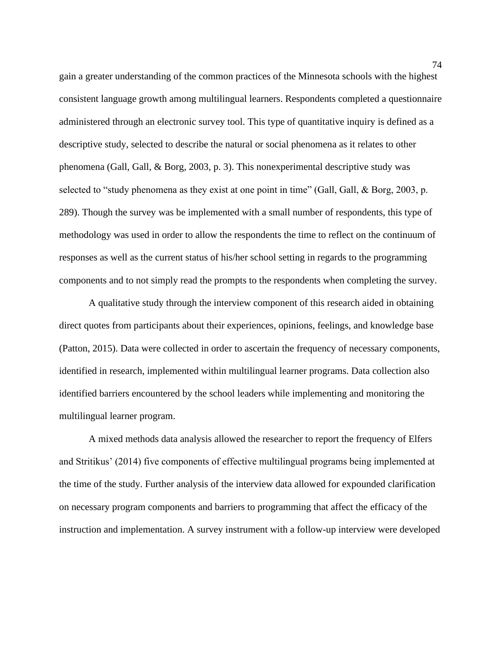gain a greater understanding of the common practices of the Minnesota schools with the highest consistent language growth among multilingual learners. Respondents completed a questionnaire administered through an electronic survey tool. This type of quantitative inquiry is defined as a descriptive study, selected to describe the natural or social phenomena as it relates to other phenomena (Gall, Gall, & Borg, 2003, p. 3). This nonexperimental descriptive study was selected to "study phenomena as they exist at one point in time" (Gall, Gall, & Borg, 2003, p. 289). Though the survey was be implemented with a small number of respondents, this type of methodology was used in order to allow the respondents the time to reflect on the continuum of responses as well as the current status of his/her school setting in regards to the programming components and to not simply read the prompts to the respondents when completing the survey.

A qualitative study through the interview component of this research aided in obtaining direct quotes from participants about their experiences, opinions, feelings, and knowledge base (Patton, 2015). Data were collected in order to ascertain the frequency of necessary components, identified in research, implemented within multilingual learner programs. Data collection also identified barriers encountered by the school leaders while implementing and monitoring the multilingual learner program.

A mixed methods data analysis allowed the researcher to report the frequency of Elfers and Stritikus' (2014) five components of effective multilingual programs being implemented at the time of the study. Further analysis of the interview data allowed for expounded clarification on necessary program components and barriers to programming that affect the efficacy of the instruction and implementation. A survey instrument with a follow-up interview were developed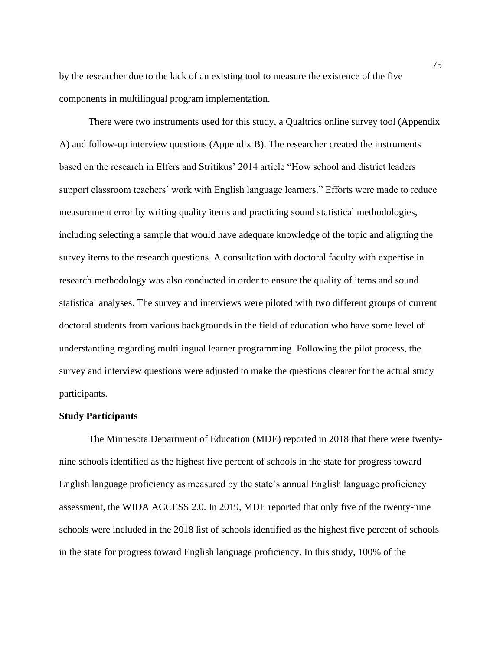by the researcher due to the lack of an existing tool to measure the existence of the five components in multilingual program implementation.

There were two instruments used for this study, a Qualtrics online survey tool (Appendix A) and follow-up interview questions (Appendix B). The researcher created the instruments based on the research in Elfers and Stritikus' 2014 article "How school and district leaders support classroom teachers' work with English language learners." Efforts were made to reduce measurement error by writing quality items and practicing sound statistical methodologies, including selecting a sample that would have adequate knowledge of the topic and aligning the survey items to the research questions. A consultation with doctoral faculty with expertise in research methodology was also conducted in order to ensure the quality of items and sound statistical analyses. The survey and interviews were piloted with two different groups of current doctoral students from various backgrounds in the field of education who have some level of understanding regarding multilingual learner programming. Following the pilot process, the survey and interview questions were adjusted to make the questions clearer for the actual study participants.

#### **Study Participants**

The Minnesota Department of Education (MDE) reported in 2018 that there were twentynine schools identified as the highest five percent of schools in the state for progress toward English language proficiency as measured by the state's annual English language proficiency assessment, the WIDA ACCESS 2.0. In 2019, MDE reported that only five of the twenty-nine schools were included in the 2018 list of schools identified as the highest five percent of schools in the state for progress toward English language proficiency. In this study, 100% of the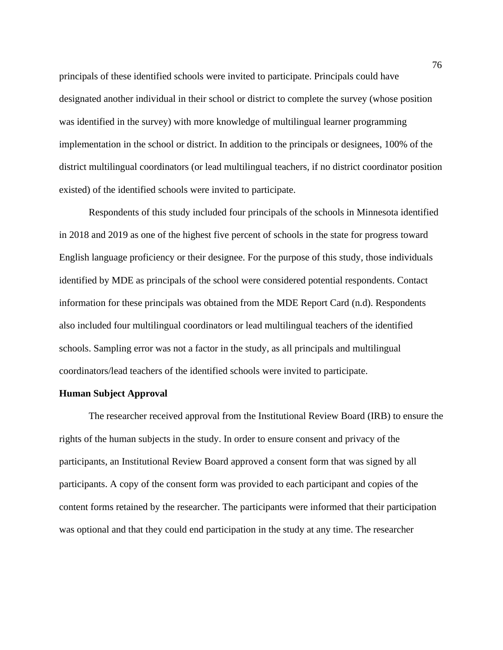principals of these identified schools were invited to participate. Principals could have designated another individual in their school or district to complete the survey (whose position was identified in the survey) with more knowledge of multilingual learner programming implementation in the school or district. In addition to the principals or designees, 100% of the district multilingual coordinators (or lead multilingual teachers, if no district coordinator position existed) of the identified schools were invited to participate.

Respondents of this study included four principals of the schools in Minnesota identified in 2018 and 2019 as one of the highest five percent of schools in the state for progress toward English language proficiency or their designee. For the purpose of this study, those individuals identified by MDE as principals of the school were considered potential respondents. Contact information for these principals was obtained from the MDE Report Card (n.d). Respondents also included four multilingual coordinators or lead multilingual teachers of the identified schools. Sampling error was not a factor in the study, as all principals and multilingual coordinators/lead teachers of the identified schools were invited to participate.

#### **Human Subject Approval**

The researcher received approval from the Institutional Review Board (IRB) to ensure the rights of the human subjects in the study. In order to ensure consent and privacy of the participants, an Institutional Review Board approved a consent form that was signed by all participants. A copy of the consent form was provided to each participant and copies of the content forms retained by the researcher. The participants were informed that their participation was optional and that they could end participation in the study at any time. The researcher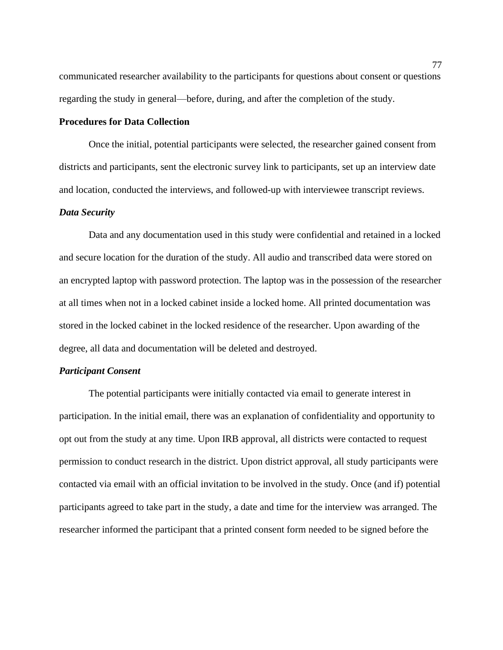communicated researcher availability to the participants for questions about consent or questions regarding the study in general—before, during, and after the completion of the study.

# **Procedures for Data Collection**

Once the initial, potential participants were selected, the researcher gained consent from districts and participants, sent the electronic survey link to participants, set up an interview date and location, conducted the interviews, and followed-up with interviewee transcript reviews.

## *Data Security*

Data and any documentation used in this study were confidential and retained in a locked and secure location for the duration of the study. All audio and transcribed data were stored on an encrypted laptop with password protection. The laptop was in the possession of the researcher at all times when not in a locked cabinet inside a locked home. All printed documentation was stored in the locked cabinet in the locked residence of the researcher. Upon awarding of the degree, all data and documentation will be deleted and destroyed.

# *Participant Consent*

The potential participants were initially contacted via email to generate interest in participation. In the initial email, there was an explanation of confidentiality and opportunity to opt out from the study at any time. Upon IRB approval, all districts were contacted to request permission to conduct research in the district. Upon district approval, all study participants were contacted via email with an official invitation to be involved in the study. Once (and if) potential participants agreed to take part in the study, a date and time for the interview was arranged. The researcher informed the participant that a printed consent form needed to be signed before the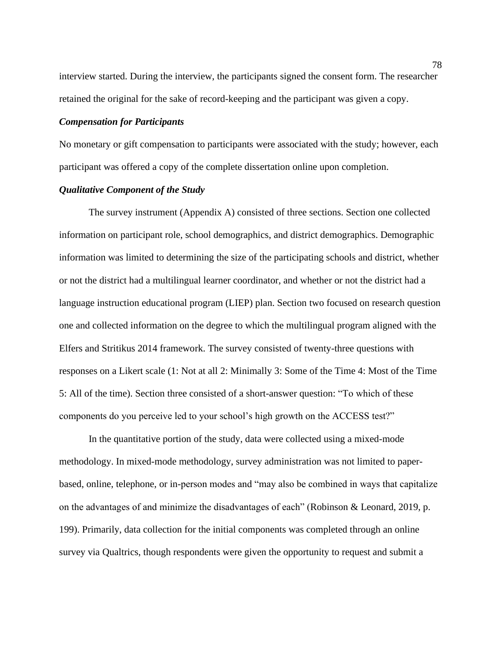interview started. During the interview, the participants signed the consent form. The researcher retained the original for the sake of record-keeping and the participant was given a copy.

## *Compensation for Participants*

No monetary or gift compensation to participants were associated with the study; however, each participant was offered a copy of the complete dissertation online upon completion.

# *Qualitative Component of the Study*

The survey instrument (Appendix A) consisted of three sections. Section one collected information on participant role, school demographics, and district demographics. Demographic information was limited to determining the size of the participating schools and district, whether or not the district had a multilingual learner coordinator, and whether or not the district had a language instruction educational program (LIEP) plan. Section two focused on research question one and collected information on the degree to which the multilingual program aligned with the Elfers and Stritikus 2014 framework. The survey consisted of twenty-three questions with responses on a Likert scale (1: Not at all 2: Minimally 3: Some of the Time 4: Most of the Time 5: All of the time). Section three consisted of a short-answer question: "To which of these components do you perceive led to your school's high growth on the ACCESS test?"

In the quantitative portion of the study, data were collected using a mixed-mode methodology. In mixed-mode methodology, survey administration was not limited to paperbased, online, telephone, or in-person modes and "may also be combined in ways that capitalize on the advantages of and minimize the disadvantages of each" (Robinson & Leonard, 2019, p. 199). Primarily, data collection for the initial components was completed through an online survey via Qualtrics, though respondents were given the opportunity to request and submit a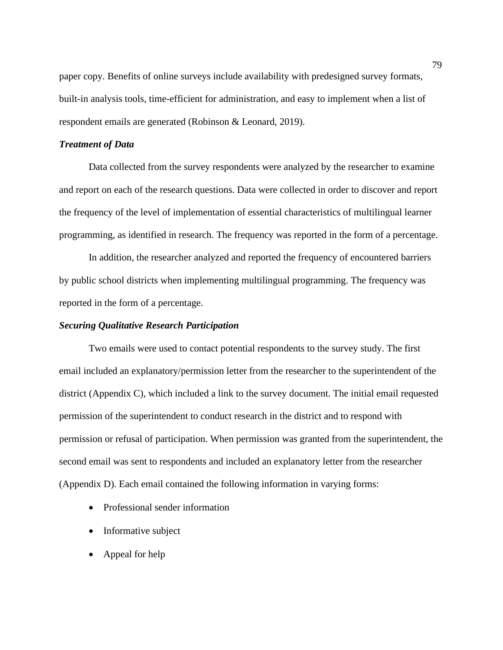paper copy. Benefits of online surveys include availability with predesigned survey formats, built-in analysis tools, time-efficient for administration, and easy to implement when a list of respondent emails are generated (Robinson & Leonard, 2019).

## *Treatment of Data*

Data collected from the survey respondents were analyzed by the researcher to examine and report on each of the research questions. Data were collected in order to discover and report the frequency of the level of implementation of essential characteristics of multilingual learner programming, as identified in research. The frequency was reported in the form of a percentage.

In addition, the researcher analyzed and reported the frequency of encountered barriers by public school districts when implementing multilingual programming. The frequency was reported in the form of a percentage.

#### *Securing Qualitative Research Participation*

Two emails were used to contact potential respondents to the survey study. The first email included an explanatory/permission letter from the researcher to the superintendent of the district (Appendix C), which included a link to the survey document. The initial email requested permission of the superintendent to conduct research in the district and to respond with permission or refusal of participation. When permission was granted from the superintendent, the second email was sent to respondents and included an explanatory letter from the researcher (Appendix D). Each email contained the following information in varying forms:

- Professional sender information
- Informative subject
- Appeal for help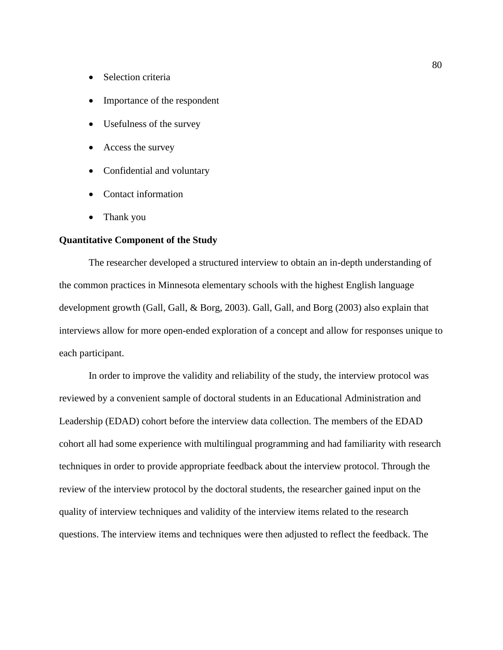- Selection criteria
- Importance of the respondent
- Usefulness of the survey
- Access the survey
- Confidential and voluntary
- Contact information
- Thank you

# **Quantitative Component of the Study**

The researcher developed a structured interview to obtain an in-depth understanding of the common practices in Minnesota elementary schools with the highest English language development growth (Gall, Gall, & Borg, 2003). Gall, Gall, and Borg (2003) also explain that interviews allow for more open-ended exploration of a concept and allow for responses unique to each participant.

In order to improve the validity and reliability of the study, the interview protocol was reviewed by a convenient sample of doctoral students in an Educational Administration and Leadership (EDAD) cohort before the interview data collection. The members of the EDAD cohort all had some experience with multilingual programming and had familiarity with research techniques in order to provide appropriate feedback about the interview protocol. Through the review of the interview protocol by the doctoral students, the researcher gained input on the quality of interview techniques and validity of the interview items related to the research questions. The interview items and techniques were then adjusted to reflect the feedback. The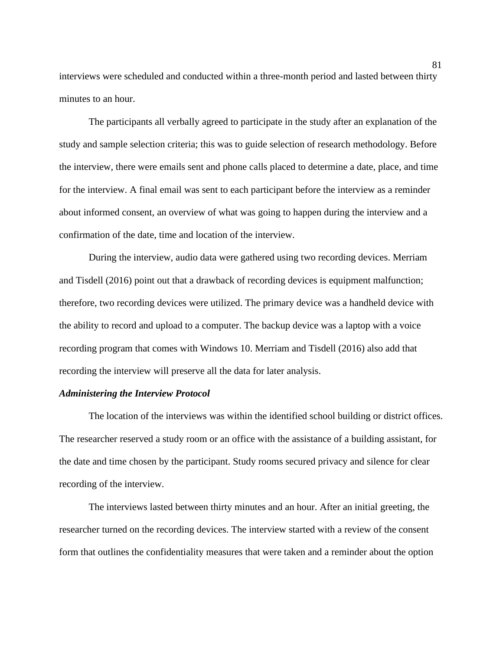interviews were scheduled and conducted within a three-month period and lasted between thirty minutes to an hour.

The participants all verbally agreed to participate in the study after an explanation of the study and sample selection criteria; this was to guide selection of research methodology. Before the interview, there were emails sent and phone calls placed to determine a date, place, and time for the interview. A final email was sent to each participant before the interview as a reminder about informed consent, an overview of what was going to happen during the interview and a confirmation of the date, time and location of the interview.

During the interview, audio data were gathered using two recording devices. Merriam and Tisdell (2016) point out that a drawback of recording devices is equipment malfunction; therefore, two recording devices were utilized. The primary device was a handheld device with the ability to record and upload to a computer. The backup device was a laptop with a voice recording program that comes with Windows 10. Merriam and Tisdell (2016) also add that recording the interview will preserve all the data for later analysis.

## *Administering the Interview Protocol*

The location of the interviews was within the identified school building or district offices. The researcher reserved a study room or an office with the assistance of a building assistant, for the date and time chosen by the participant. Study rooms secured privacy and silence for clear recording of the interview.

The interviews lasted between thirty minutes and an hour. After an initial greeting, the researcher turned on the recording devices. The interview started with a review of the consent form that outlines the confidentiality measures that were taken and a reminder about the option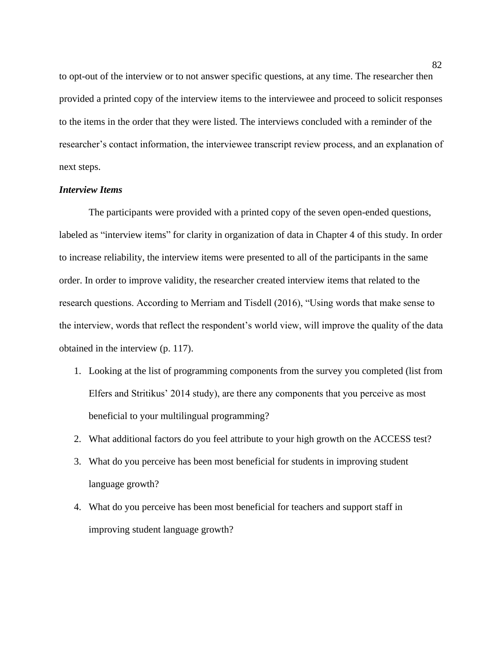to opt-out of the interview or to not answer specific questions, at any time. The researcher then provided a printed copy of the interview items to the interviewee and proceed to solicit responses to the items in the order that they were listed. The interviews concluded with a reminder of the researcher's contact information, the interviewee transcript review process, and an explanation of next steps.

# *Interview Items*

The participants were provided with a printed copy of the seven open-ended questions, labeled as "interview items" for clarity in organization of data in Chapter 4 of this study. In order to increase reliability, the interview items were presented to all of the participants in the same order. In order to improve validity, the researcher created interview items that related to the research questions. According to Merriam and Tisdell (2016), "Using words that make sense to the interview, words that reflect the respondent's world view, will improve the quality of the data obtained in the interview (p. 117).

- 1. Looking at the list of programming components from the survey you completed (list from Elfers and Stritikus' 2014 study), are there any components that you perceive as most beneficial to your multilingual programming?
- 2. What additional factors do you feel attribute to your high growth on the ACCESS test?
- 3. What do you perceive has been most beneficial for students in improving student language growth?
- 4. What do you perceive has been most beneficial for teachers and support staff in improving student language growth?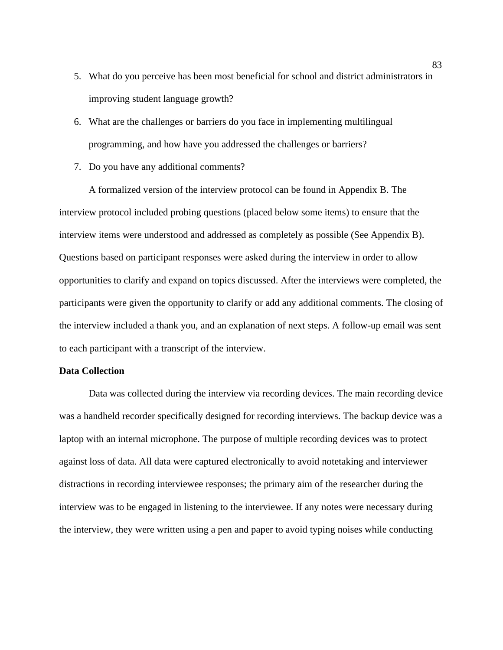- 5. What do you perceive has been most beneficial for school and district administrators in improving student language growth?
- 6. What are the challenges or barriers do you face in implementing multilingual programming, and how have you addressed the challenges or barriers?
- 7. Do you have any additional comments?

A formalized version of the interview protocol can be found in Appendix B. The interview protocol included probing questions (placed below some items) to ensure that the interview items were understood and addressed as completely as possible (See Appendix B). Questions based on participant responses were asked during the interview in order to allow opportunities to clarify and expand on topics discussed. After the interviews were completed, the participants were given the opportunity to clarify or add any additional comments. The closing of the interview included a thank you, and an explanation of next steps. A follow-up email was sent to each participant with a transcript of the interview.

# **Data Collection**

Data was collected during the interview via recording devices. The main recording device was a handheld recorder specifically designed for recording interviews. The backup device was a laptop with an internal microphone. The purpose of multiple recording devices was to protect against loss of data. All data were captured electronically to avoid notetaking and interviewer distractions in recording interviewee responses; the primary aim of the researcher during the interview was to be engaged in listening to the interviewee. If any notes were necessary during the interview, they were written using a pen and paper to avoid typing noises while conducting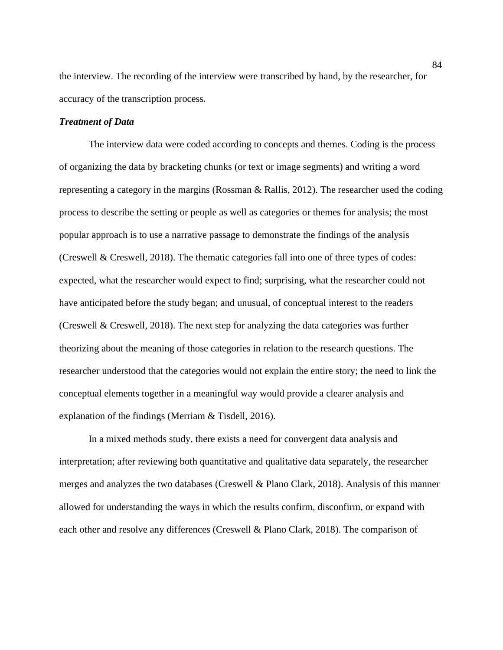the interview. The recording of the interview were transcribed by hand, by the researcher, for accuracy of the transcription process.

## *Treatment of Data*

The interview data were coded according to concepts and themes. Coding is the process of organizing the data by bracketing chunks (or text or image segments) and writing a word representing a category in the margins (Rossman & Rallis, 2012). The researcher used the coding process to describe the setting or people as well as categories or themes for analysis; the most popular approach is to use a narrative passage to demonstrate the findings of the analysis (Creswell & Creswell, 2018). The thematic categories fall into one of three types of codes: expected, what the researcher would expect to find; surprising, what the researcher could not have anticipated before the study began; and unusual, of conceptual interest to the readers (Creswell & Creswell, 2018). The next step for analyzing the data categories was further theorizing about the meaning of those categories in relation to the research questions. The researcher understood that the categories would not explain the entire story; the need to link the conceptual elements together in a meaningful way would provide a clearer analysis and explanation of the findings (Merriam & Tisdell, 2016).

In a mixed methods study, there exists a need for convergent data analysis and interpretation; after reviewing both quantitative and qualitative data separately, the researcher merges and analyzes the two databases (Creswell & Plano Clark, 2018). Analysis of this manner allowed for understanding the ways in which the results confirm, disconfirm, or expand with each other and resolve any differences (Creswell & Plano Clark, 2018). The comparison of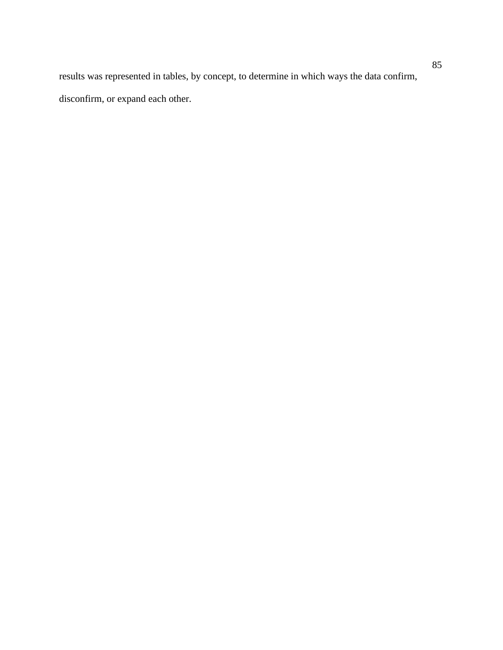results was represented in tables, by concept, to determine in which ways the data confirm, disconfirm, or expand each other.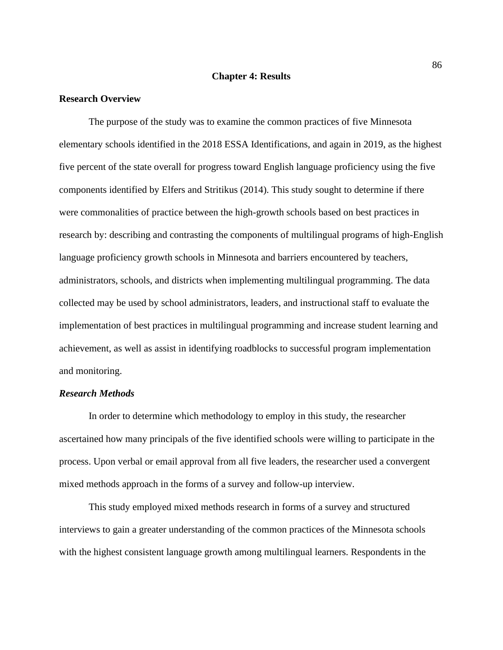## **Chapter 4: Results**

#### **Research Overview**

The purpose of the study was to examine the common practices of five Minnesota elementary schools identified in the 2018 ESSA Identifications, and again in 2019, as the highest five percent of the state overall for progress toward English language proficiency using the five components identified by Elfers and Stritikus (2014). This study sought to determine if there were commonalities of practice between the high-growth schools based on best practices in research by: describing and contrasting the components of multilingual programs of high-English language proficiency growth schools in Minnesota and barriers encountered by teachers, administrators, schools, and districts when implementing multilingual programming. The data collected may be used by school administrators, leaders, and instructional staff to evaluate the implementation of best practices in multilingual programming and increase student learning and achievement, as well as assist in identifying roadblocks to successful program implementation and monitoring.

# *Research Methods*

In order to determine which methodology to employ in this study, the researcher ascertained how many principals of the five identified schools were willing to participate in the process. Upon verbal or email approval from all five leaders, the researcher used a convergent mixed methods approach in the forms of a survey and follow-up interview.

This study employed mixed methods research in forms of a survey and structured interviews to gain a greater understanding of the common practices of the Minnesota schools with the highest consistent language growth among multilingual learners. Respondents in the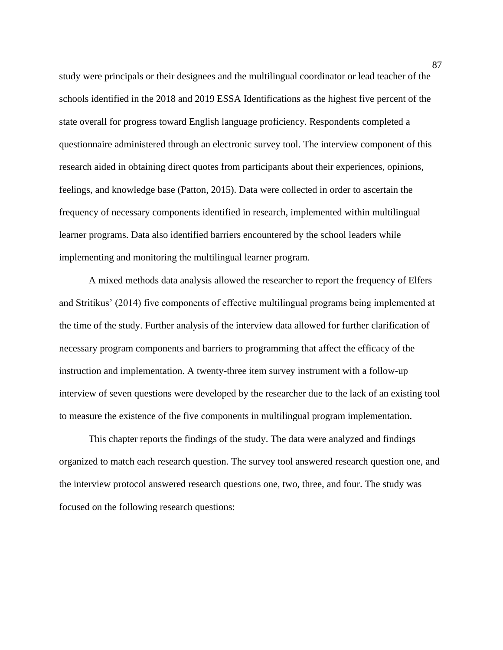study were principals or their designees and the multilingual coordinator or lead teacher of the schools identified in the 2018 and 2019 ESSA Identifications as the highest five percent of the state overall for progress toward English language proficiency. Respondents completed a questionnaire administered through an electronic survey tool. The interview component of this research aided in obtaining direct quotes from participants about their experiences, opinions, feelings, and knowledge base (Patton, 2015). Data were collected in order to ascertain the frequency of necessary components identified in research, implemented within multilingual learner programs. Data also identified barriers encountered by the school leaders while implementing and monitoring the multilingual learner program.

A mixed methods data analysis allowed the researcher to report the frequency of Elfers and Stritikus' (2014) five components of effective multilingual programs being implemented at the time of the study. Further analysis of the interview data allowed for further clarification of necessary program components and barriers to programming that affect the efficacy of the instruction and implementation. A twenty-three item survey instrument with a follow-up interview of seven questions were developed by the researcher due to the lack of an existing tool to measure the existence of the five components in multilingual program implementation.

This chapter reports the findings of the study. The data were analyzed and findings organized to match each research question. The survey tool answered research question one, and the interview protocol answered research questions one, two, three, and four. The study was focused on the following research questions: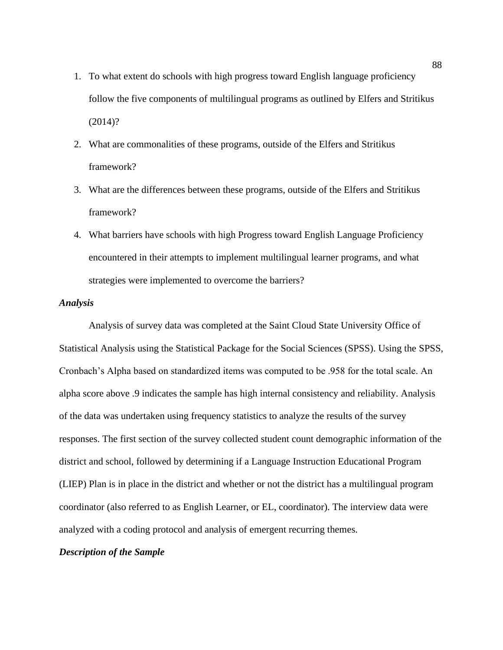- 1. To what extent do schools with high progress toward English language proficiency follow the five components of multilingual programs as outlined by Elfers and Stritikus (2014)?
- 2. What are commonalities of these programs, outside of the Elfers and Stritikus framework?
- 3. What are the differences between these programs, outside of the Elfers and Stritikus framework?
- 4. What barriers have schools with high Progress toward English Language Proficiency encountered in their attempts to implement multilingual learner programs, and what strategies were implemented to overcome the barriers?

## *Analysis*

Analysis of survey data was completed at the Saint Cloud State University Office of Statistical Analysis using the Statistical Package for the Social Sciences (SPSS). Using the SPSS, Cronbach's Alpha based on standardized items was computed to be .958 for the total scale. An alpha score above .9 indicates the sample has high internal consistency and reliability. Analysis of the data was undertaken using frequency statistics to analyze the results of the survey responses. The first section of the survey collected student count demographic information of the district and school, followed by determining if a Language Instruction Educational Program (LIEP) Plan is in place in the district and whether or not the district has a multilingual program coordinator (also referred to as English Learner, or EL, coordinator). The interview data were analyzed with a coding protocol and analysis of emergent recurring themes.

## *Description of the Sample*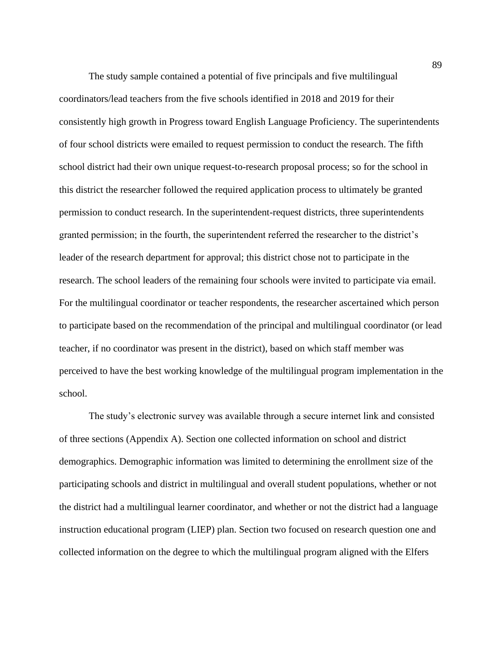The study sample contained a potential of five principals and five multilingual coordinators/lead teachers from the five schools identified in 2018 and 2019 for their consistently high growth in Progress toward English Language Proficiency. The superintendents of four school districts were emailed to request permission to conduct the research. The fifth school district had their own unique request-to-research proposal process; so for the school in this district the researcher followed the required application process to ultimately be granted permission to conduct research. In the superintendent-request districts, three superintendents granted permission; in the fourth, the superintendent referred the researcher to the district's leader of the research department for approval; this district chose not to participate in the research. The school leaders of the remaining four schools were invited to participate via email. For the multilingual coordinator or teacher respondents, the researcher ascertained which person to participate based on the recommendation of the principal and multilingual coordinator (or lead teacher, if no coordinator was present in the district), based on which staff member was perceived to have the best working knowledge of the multilingual program implementation in the school.

The study's electronic survey was available through a secure internet link and consisted of three sections (Appendix A). Section one collected information on school and district demographics. Demographic information was limited to determining the enrollment size of the participating schools and district in multilingual and overall student populations, whether or not the district had a multilingual learner coordinator, and whether or not the district had a language instruction educational program (LIEP) plan. Section two focused on research question one and collected information on the degree to which the multilingual program aligned with the Elfers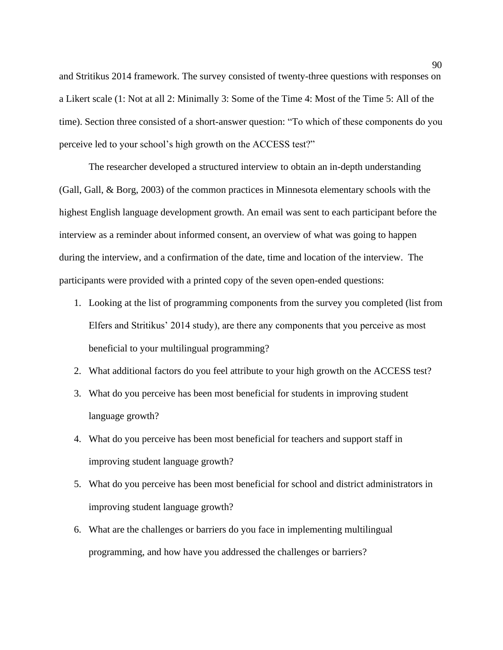and Stritikus 2014 framework. The survey consisted of twenty-three questions with responses on a Likert scale (1: Not at all 2: Minimally 3: Some of the Time 4: Most of the Time 5: All of the time). Section three consisted of a short-answer question: "To which of these components do you perceive led to your school's high growth on the ACCESS test?"

The researcher developed a structured interview to obtain an in-depth understanding (Gall, Gall, & Borg, 2003) of the common practices in Minnesota elementary schools with the highest English language development growth. An email was sent to each participant before the interview as a reminder about informed consent, an overview of what was going to happen during the interview, and a confirmation of the date, time and location of the interview. The participants were provided with a printed copy of the seven open-ended questions:

- 1. Looking at the list of programming components from the survey you completed (list from Elfers and Stritikus' 2014 study), are there any components that you perceive as most beneficial to your multilingual programming?
- 2. What additional factors do you feel attribute to your high growth on the ACCESS test?
- 3. What do you perceive has been most beneficial for students in improving student language growth?
- 4. What do you perceive has been most beneficial for teachers and support staff in improving student language growth?
- 5. What do you perceive has been most beneficial for school and district administrators in improving student language growth?
- 6. What are the challenges or barriers do you face in implementing multilingual programming, and how have you addressed the challenges or barriers?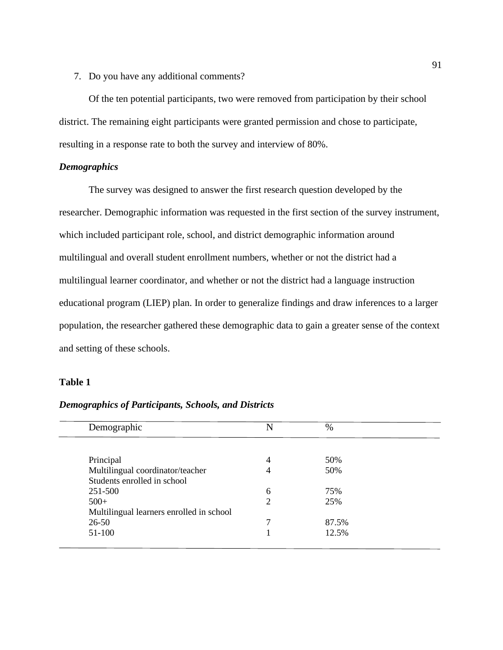7. Do you have any additional comments?

Of the ten potential participants, two were removed from participation by their school district. The remaining eight participants were granted permission and chose to participate, resulting in a response rate to both the survey and interview of 80%.

# *Demographics*

The survey was designed to answer the first research question developed by the researcher. Demographic information was requested in the first section of the survey instrument, which included participant role, school, and district demographic information around multilingual and overall student enrollment numbers, whether or not the district had a multilingual learner coordinator, and whether or not the district had a language instruction educational program (LIEP) plan. In order to generalize findings and draw inferences to a larger population, the researcher gathered these demographic data to gain a greater sense of the context and setting of these schools.

# **Table 1**

| Demographic                              | N              | $\%$  |
|------------------------------------------|----------------|-------|
|                                          |                |       |
| Principal                                | 4              | 50%   |
| Multilingual coordinator/teacher         |                | 50%   |
| Students enrolled in school              |                |       |
| 251-500                                  | 6              | 75%   |
| $500+$                                   | $\overline{2}$ | 25%   |
| Multilingual learners enrolled in school |                |       |
| $26 - 50$                                |                | 87.5% |
| 51-100                                   |                | 12.5% |

*Demographics of Participants, Schools, and Districts*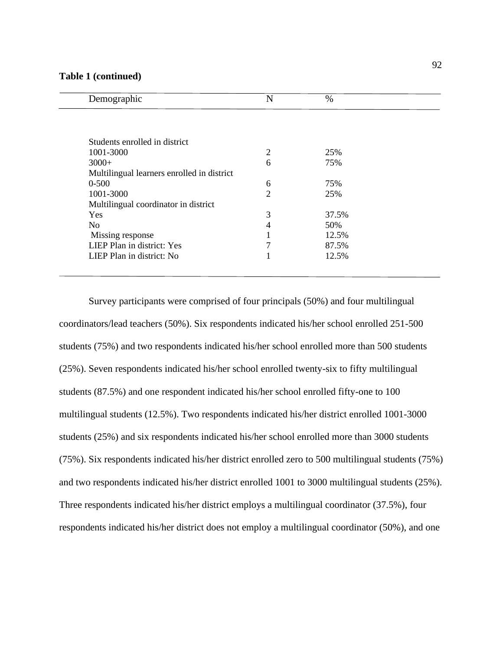## **Table 1 (continued)**

| Demographic                                | N              | $\%$  |
|--------------------------------------------|----------------|-------|
|                                            |                |       |
| Students enrolled in district              |                |       |
| 1001-3000                                  | 2              | 25%   |
| $3000+$                                    | 6              | 75%   |
| Multilingual learners enrolled in district |                |       |
| $0 - 500$                                  | 6              | 75%   |
| 1001-3000                                  | $\overline{2}$ | 25%   |
| Multilingual coordinator in district       |                |       |
| <b>Yes</b>                                 | 3              | 37.5% |
| N <sub>o</sub>                             | 4              | 50%   |
| Missing response                           |                | 12.5% |
| LIEP Plan in district: Yes                 | 7              | 87.5% |
| LIEP Plan in district: No                  |                | 12.5% |

Survey participants were comprised of four principals (50%) and four multilingual coordinators/lead teachers (50%). Six respondents indicated his/her school enrolled 251-500 students (75%) and two respondents indicated his/her school enrolled more than 500 students (25%). Seven respondents indicated his/her school enrolled twenty-six to fifty multilingual students (87.5%) and one respondent indicated his/her school enrolled fifty-one to 100 multilingual students (12.5%). Two respondents indicated his/her district enrolled 1001-3000 students (25%) and six respondents indicated his/her school enrolled more than 3000 students (75%). Six respondents indicated his/her district enrolled zero to 500 multilingual students (75%) and two respondents indicated his/her district enrolled 1001 to 3000 multilingual students (25%). Three respondents indicated his/her district employs a multilingual coordinator (37.5%), four respondents indicated his/her district does not employ a multilingual coordinator (50%), and one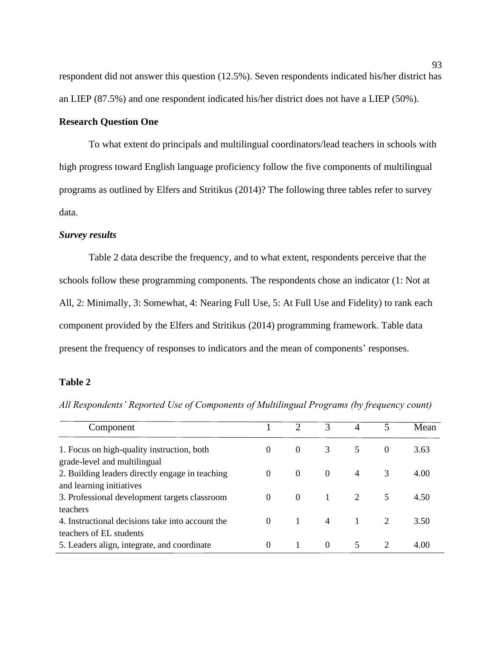respondent did not answer this question (12.5%). Seven respondents indicated his/her district has an LIEP (87.5%) and one respondent indicated his/her district does not have a LIEP (50%).

## **Research Question One**

To what extent do principals and multilingual coordinators/lead teachers in schools with high progress toward English language proficiency follow the five components of multilingual programs as outlined by Elfers and Stritikus (2014)? The following three tables refer to survey data.

## *Survey results*

Table 2 data describe the frequency, and to what extent, respondents perceive that the schools follow these programming components. The respondents chose an indicator (1: Not at All, 2: Minimally, 3: Somewhat, 4: Nearing Full Use, 5: At Full Use and Fidelity) to rank each component provided by the Elfers and Stritikus (2014) programming framework. Table data present the frequency of responses to indicators and the mean of components' responses.

## **Table 2**

*All Respondents' Reported Use of Components of Multilingual Programs (by frequency count)*

| Component                                                                  |          |                | 3              | $\overline{A}$ | 5        | Mean |
|----------------------------------------------------------------------------|----------|----------------|----------------|----------------|----------|------|
| 1. Focus on high-quality instruction, both<br>grade-level and multilingual | $\Omega$ | $\theta$       | 3              | 5              | $\Omega$ | 3.63 |
| 2. Building leaders directly engage in teaching                            | $\Omega$ | $\Omega$       | $\theta$       | $\overline{4}$ | 3        | 4.00 |
| and learning initiatives<br>3. Professional development targets classroom  | $\theta$ | $\Omega$       | $\overline{1}$ | 2              | 5        | 4.50 |
| teachers<br>4. Instructional decisions take into account the               | $\Omega$ | $\overline{1}$ | $\overline{4}$ | $\overline{1}$ |          | 3.50 |
| teachers of EL students<br>5. Leaders align, integrate, and coordinate     | $\Omega$ |                | $\Omega$       | 5              | 2        | 4.00 |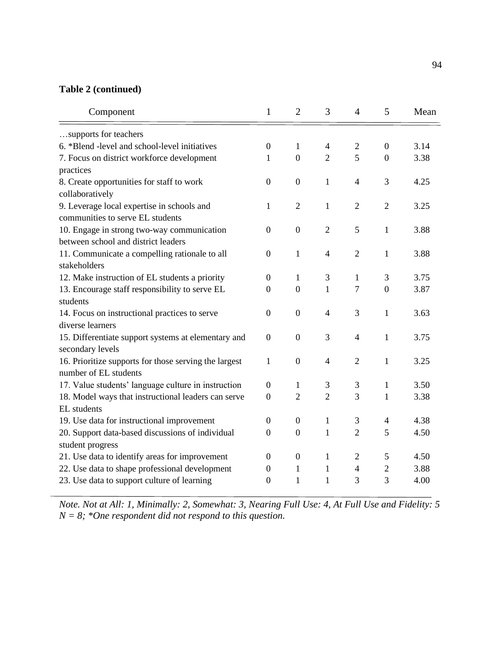# **Table 2 (continued)**

| Component                                             | $\mathbf{1}$     | $\overline{2}$   | 3              | $\overline{4}$ | 5                | Mean |
|-------------------------------------------------------|------------------|------------------|----------------|----------------|------------------|------|
| supports for teachers                                 |                  |                  |                |                |                  |      |
| 6. *Blend -level and school-level initiatives         | $\boldsymbol{0}$ | 1                | 4              | $\mathbf{2}$   | $\boldsymbol{0}$ | 3.14 |
| 7. Focus on district workforce development            | 1                | $\mathbf{0}$     | $\overline{2}$ | 5              | $\boldsymbol{0}$ | 3.38 |
| practices                                             |                  |                  |                |                |                  |      |
| 8. Create opportunities for staff to work             | $\boldsymbol{0}$ | $\boldsymbol{0}$ | 1              | $\overline{4}$ | 3                | 4.25 |
| collaboratively                                       |                  |                  |                |                |                  |      |
| 9. Leverage local expertise in schools and            | 1                | $\overline{2}$   | $\mathbf{1}$   | $\overline{2}$ | $\overline{2}$   | 3.25 |
| communities to serve EL students                      |                  |                  |                |                |                  |      |
| 10. Engage in strong two-way communication            | $\boldsymbol{0}$ | $\mathbf{0}$     | $\overline{2}$ | 5              | 1                | 3.88 |
| between school and district leaders                   |                  |                  |                |                |                  |      |
| 11. Communicate a compelling rationale to all         | $\theta$         | 1                | 4              | $\overline{2}$ | 1                | 3.88 |
| stakeholders                                          |                  |                  |                |                |                  |      |
| 12. Make instruction of EL students a priority        | $\boldsymbol{0}$ | 1                | 3              | $\mathbf{1}$   | 3                | 3.75 |
| 13. Encourage staff responsibility to serve EL        | $\theta$         | $\mathbf{0}$     | $\mathbf{1}$   | 7              | $\overline{0}$   | 3.87 |
| students                                              |                  |                  |                |                |                  |      |
| 14. Focus on instructional practices to serve         | $\overline{0}$   | $\overline{0}$   | $\overline{4}$ | 3              | $\mathbf{1}$     | 3.63 |
| diverse learners                                      |                  |                  |                |                |                  |      |
| 15. Differentiate support systems at elementary and   | $\boldsymbol{0}$ | $\mathbf{0}$     | 3              | $\overline{4}$ | $\mathbf{1}$     | 3.75 |
| secondary levels                                      |                  |                  |                |                |                  |      |
| 16. Prioritize supports for those serving the largest | 1                | $\boldsymbol{0}$ | 4              | $\overline{2}$ | 1                | 3.25 |
| number of EL students                                 |                  |                  |                |                |                  |      |
| 17. Value students' language culture in instruction   | $\boldsymbol{0}$ | 1                | 3              | 3              | 1                | 3.50 |
| 18. Model ways that instructional leaders can serve   | 0                | $\overline{2}$   | $\overline{2}$ | 3              | 1                | 3.38 |
| EL students                                           |                  |                  |                |                |                  |      |
| 19. Use data for instructional improvement            | 0                | $\boldsymbol{0}$ | 1              | 3              | 4                | 4.38 |
| 20. Support data-based discussions of individual      | 0                | $\boldsymbol{0}$ | 1              | $\overline{2}$ | 5                | 4.50 |
| student progress                                      |                  |                  |                |                |                  |      |
| 21. Use data to identify areas for improvement        | 0                | $\boldsymbol{0}$ | $\mathbf{1}$   | $\overline{2}$ | 5                | 4.50 |
| 22. Use data to shape professional development        | 0                | 1                | 1              | 4              | $\overline{2}$   | 3.88 |
| 23. Use data to support culture of learning           | $\overline{0}$   | 1                | 1              | 3              | 3                | 4.00 |
|                                                       |                  |                  |                |                |                  |      |

*Note. Not at All: 1, Minimally: 2, Somewhat: 3, Nearing Full Use: 4, At Full Use and Fidelity: 5 N = 8; \*One respondent did not respond to this question.*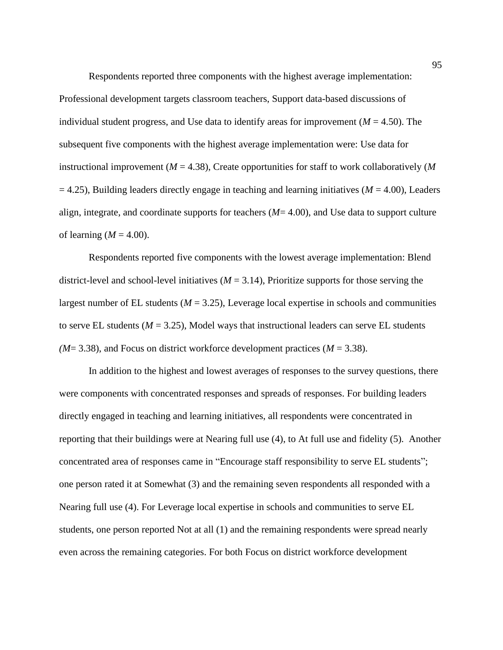Respondents reported three components with the highest average implementation: Professional development targets classroom teachers, Support data-based discussions of individual student progress, and Use data to identify areas for improvement ( $M = 4.50$ ). The subsequent five components with the highest average implementation were: Use data for instructional improvement ( $M = 4.38$ ), Create opportunities for staff to work collaboratively ( $M$  $= 4.25$ ), Building leaders directly engage in teaching and learning initiatives ( $M = 4.00$ ), Leaders align, integrate, and coordinate supports for teachers (*M*= 4.00), and Use data to support culture of learning  $(M = 4.00)$ .

Respondents reported five components with the lowest average implementation: Blend district-level and school-level initiatives  $(M = 3.14)$ , Prioritize supports for those serving the largest number of EL students ( $M = 3.25$ ), Leverage local expertise in schools and communities to serve EL students ( $M = 3.25$ ), Model ways that instructional leaders can serve EL students  $(M=3.38)$ , and Focus on district workforce development practices  $(M=3.38)$ .

In addition to the highest and lowest averages of responses to the survey questions, there were components with concentrated responses and spreads of responses. For building leaders directly engaged in teaching and learning initiatives, all respondents were concentrated in reporting that their buildings were at Nearing full use (4), to At full use and fidelity (5). Another concentrated area of responses came in "Encourage staff responsibility to serve EL students"; one person rated it at Somewhat (3) and the remaining seven respondents all responded with a Nearing full use (4). For Leverage local expertise in schools and communities to serve EL students, one person reported Not at all (1) and the remaining respondents were spread nearly even across the remaining categories. For both Focus on district workforce development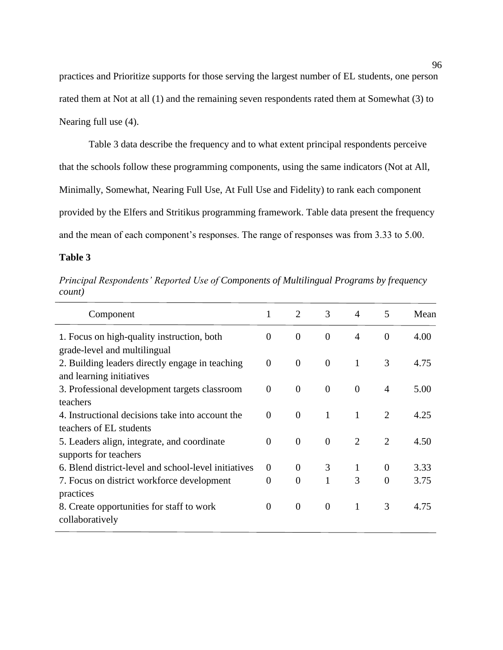practices and Prioritize supports for those serving the largest number of EL students, one person rated them at Not at all (1) and the remaining seven respondents rated them at Somewhat (3) to Nearing full use (4).

Table 3 data describe the frequency and to what extent principal respondents perceive that the schools follow these programming components, using the same indicators (Not at All, Minimally, Somewhat, Nearing Full Use, At Full Use and Fidelity) to rank each component provided by the Elfers and Stritikus programming framework. Table data present the frequency and the mean of each component's responses. The range of responses was from 3.33 to 5.00.

# **Table 3**

*Principal Respondents' Reported Use of Components of Multilingual Programs by frequency count)*

| 1              | $\overline{2}$   | 3              | $\overline{4}$ | 5              | Mean |
|----------------|------------------|----------------|----------------|----------------|------|
| $\overline{0}$ | $\boldsymbol{0}$ | $\theta$       | 4              | $\theta$       | 4.00 |
|                |                  |                |                |                |      |
| $\overline{0}$ | $\overline{0}$   | $\overline{0}$ | 1              | 3              | 4.75 |
|                |                  |                |                |                |      |
| $\overline{0}$ | $\overline{0}$   | $\overline{0}$ | $\overline{0}$ | $\overline{4}$ | 5.00 |
|                |                  |                |                |                |      |
| $\Omega$       | $\overline{0}$   | 1              | 1              | 2              | 4.25 |
|                |                  |                |                |                |      |
| $\overline{0}$ | $\overline{0}$   | $\overline{0}$ | $\overline{2}$ | $\overline{2}$ | 4.50 |
|                |                  |                |                |                |      |
| $\Omega$       | $\theta$         | 3              | 1              | $\overline{0}$ | 3.33 |
| 0              | $\overline{0}$   | $\mathbf{1}$   | 3              | $\theta$       | 3.75 |
|                |                  |                |                |                |      |
| $\Omega$       | $\boldsymbol{0}$ | $\overline{0}$ | 1              | 3              | 4.75 |
|                |                  |                |                |                |      |
|                |                  |                |                |                |      |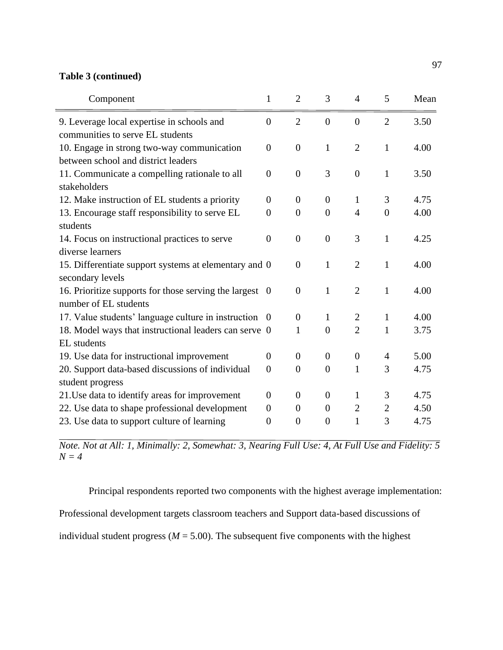# **Table 3 (continued)**

| Component                                                                         | $\mathbf{1}$   | $\overline{2}$ | 3              | 4              | 5              | Mean |
|-----------------------------------------------------------------------------------|----------------|----------------|----------------|----------------|----------------|------|
| 9. Leverage local expertise in schools and<br>communities to serve EL students    | $\theta$       | $\overline{2}$ | $\overline{0}$ | $\overline{0}$ | $\overline{2}$ | 3.50 |
| 10. Engage in strong two-way communication<br>between school and district leaders | $\theta$       | $\overline{0}$ | $\mathbf{1}$   | $\overline{2}$ | $\mathbf{1}$   | 4.00 |
| 11. Communicate a compelling rationale to all<br>stakeholders                     | $\overline{0}$ | $\overline{0}$ | 3              | $\overline{0}$ | $\mathbf{1}$   | 3.50 |
| 12. Make instruction of EL students a priority                                    | $\overline{0}$ | $\overline{0}$ | $\overline{0}$ | $\mathbf{1}$   | 3              | 4.75 |
| 13. Encourage staff responsibility to serve EL                                    | $\overline{0}$ | $\overline{0}$ | $\overline{0}$ | $\overline{4}$ | $\overline{0}$ | 4.00 |
| students                                                                          |                |                |                |                |                |      |
| 14. Focus on instructional practices to serve                                     | $\overline{0}$ | $\overline{0}$ | $\overline{0}$ | 3              | $\mathbf{1}$   | 4.25 |
| diverse learners                                                                  |                |                |                |                |                |      |
| 15. Differentiate support systems at elementary and 0<br>secondary levels         |                | $\overline{0}$ | $\mathbf{1}$   | $\overline{2}$ | $\mathbf{1}$   | 4.00 |
| 16. Prioritize supports for those serving the largest 0<br>number of EL students  |                | $\overline{0}$ | $\mathbf{1}$   | $\overline{2}$ | $\mathbf{1}$   | 4.00 |
| 17. Value students' language culture in instruction                               | - 0            | $\overline{0}$ | $\mathbf{1}$   | $\overline{2}$ | 1              | 4.00 |
| 18. Model ways that instructional leaders can serve 0                             |                | 1              | $\overline{0}$ | $\overline{2}$ | 1              | 3.75 |
| EL students                                                                       |                |                |                |                |                |      |
| 19. Use data for instructional improvement                                        | $\theta$       | $\theta$       | $\theta$       | $\theta$       | $\overline{4}$ | 5.00 |
| 20. Support data-based discussions of individual                                  | $\overline{0}$ | $\overline{0}$ | $\overline{0}$ | $\mathbf{1}$   | 3              | 4.75 |
| student progress                                                                  |                |                |                |                |                |      |
| 21. Use data to identify areas for improvement                                    | $\Omega$       | $\overline{0}$ | $\overline{0}$ | $\mathbf{1}$   | 3              | 4.75 |
| 22. Use data to shape professional development                                    | $\overline{0}$ | $\theta$       | $\theta$       | $\mathbf{2}$   | 2              | 4.50 |
| 23. Use data to support culture of learning                                       | $\theta$       | $\overline{0}$ | $\overline{0}$ | $\mathbf{1}$   | 3              | 4.75 |

*Note. Not at All: 1, Minimally: 2, Somewhat: 3, Nearing Full Use: 4, At Full Use and Fidelity: 5 N = 4*

Principal respondents reported two components with the highest average implementation:

Professional development targets classroom teachers and Support data-based discussions of

individual student progress ( $M = 5.00$ ). The subsequent five components with the highest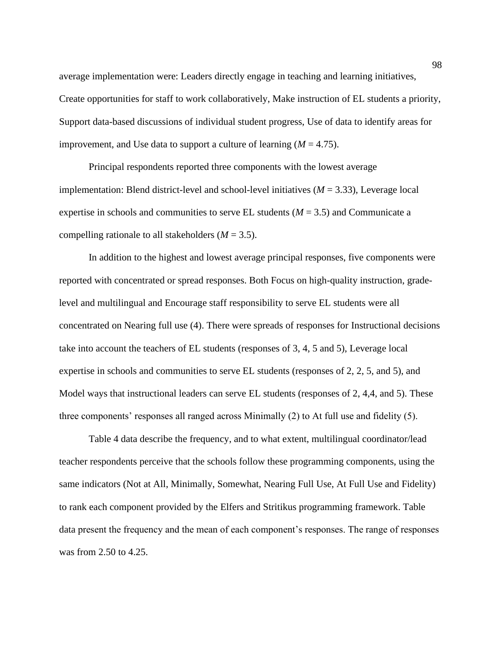average implementation were: Leaders directly engage in teaching and learning initiatives, Create opportunities for staff to work collaboratively, Make instruction of EL students a priority, Support data-based discussions of individual student progress, Use of data to identify areas for improvement, and Use data to support a culture of learning  $(M = 4.75)$ .

Principal respondents reported three components with the lowest average implementation: Blend district-level and school-level initiatives (*M* = 3.33), Leverage local expertise in schools and communities to serve EL students  $(M = 3.5)$  and Communicate a compelling rationale to all stakeholders  $(M = 3.5)$ .

In addition to the highest and lowest average principal responses, five components were reported with concentrated or spread responses. Both Focus on high-quality instruction, gradelevel and multilingual and Encourage staff responsibility to serve EL students were all concentrated on Nearing full use (4). There were spreads of responses for Instructional decisions take into account the teachers of EL students (responses of 3, 4, 5 and 5), Leverage local expertise in schools and communities to serve EL students (responses of 2, 2, 5, and 5), and Model ways that instructional leaders can serve EL students (responses of 2, 4,4, and 5). These three components' responses all ranged across Minimally (2) to At full use and fidelity (5).

Table 4 data describe the frequency, and to what extent, multilingual coordinator/lead teacher respondents perceive that the schools follow these programming components, using the same indicators (Not at All, Minimally, Somewhat, Nearing Full Use, At Full Use and Fidelity) to rank each component provided by the Elfers and Stritikus programming framework. Table data present the frequency and the mean of each component's responses. The range of responses was from 2.50 to 4.25.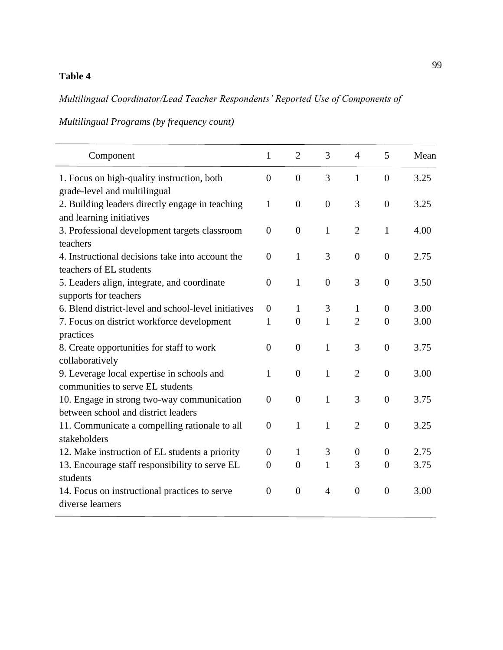# **Table 4**

# *Multilingual Coordinator/Lead Teacher Respondents' Reported Use of Components of*

*Multilingual Programs (by frequency count)*

| Component                                                                         | $\mathbf{1}$   | $\overline{2}$ | 3              | $\overline{4}$ | 5                | Mean |
|-----------------------------------------------------------------------------------|----------------|----------------|----------------|----------------|------------------|------|
| 1. Focus on high-quality instruction, both<br>grade-level and multilingual        | $\overline{0}$ | $\overline{0}$ | 3              | $\mathbf{1}$   | $\overline{0}$   | 3.25 |
| 2. Building leaders directly engage in teaching<br>and learning initiatives       | $\mathbf{1}$   | $\overline{0}$ | $\overline{0}$ | 3              | $\overline{0}$   | 3.25 |
| 3. Professional development targets classroom<br>teachers                         | $\overline{0}$ | $\overline{0}$ | $\mathbf{1}$   | $\overline{2}$ | $\mathbf{1}$     | 4.00 |
| 4. Instructional decisions take into account the<br>teachers of EL students       | $\theta$       | $\mathbf{1}$   | 3              | $\overline{0}$ | $\theta$         | 2.75 |
| 5. Leaders align, integrate, and coordinate<br>supports for teachers              | $\theta$       | $\mathbf{1}$   | $\overline{0}$ | 3              | $\overline{0}$   | 3.50 |
| 6. Blend district-level and school-level initiatives                              | $\theta$       | $\mathbf{1}$   | 3              | 1              | $\theta$         | 3.00 |
| 7. Focus on district workforce development<br>practices                           | $\mathbf{1}$   | $\overline{0}$ | $\mathbf{1}$   | $\overline{2}$ | $\overline{0}$   | 3.00 |
| 8. Create opportunities for staff to work<br>collaboratively                      | $\overline{0}$ | $\overline{0}$ | $\mathbf{1}$   | 3              | $\overline{0}$   | 3.75 |
| 9. Leverage local expertise in schools and<br>communities to serve EL students    | 1              | $\overline{0}$ | $\mathbf{1}$   | $\overline{2}$ | $\overline{0}$   | 3.00 |
| 10. Engage in strong two-way communication<br>between school and district leaders | $\theta$       | $\overline{0}$ | $\mathbf{1}$   | 3              | $\boldsymbol{0}$ | 3.75 |
| 11. Communicate a compelling rationale to all<br>stakeholders                     | $\overline{0}$ | $\mathbf{1}$   | $\mathbf{1}$   | $\overline{2}$ | $\overline{0}$   | 3.25 |
| 12. Make instruction of EL students a priority                                    | $\overline{0}$ | $\mathbf{1}$   | 3              | $\overline{0}$ | $\overline{0}$   | 2.75 |
| 13. Encourage staff responsibility to serve EL<br>students                        | $\overline{0}$ | $\overline{0}$ | 1              | 3              | $\theta$         | 3.75 |
| 14. Focus on instructional practices to serve<br>diverse learners                 | $\overline{0}$ | $\overline{0}$ | $\overline{4}$ | $\overline{0}$ | $\overline{0}$   | 3.00 |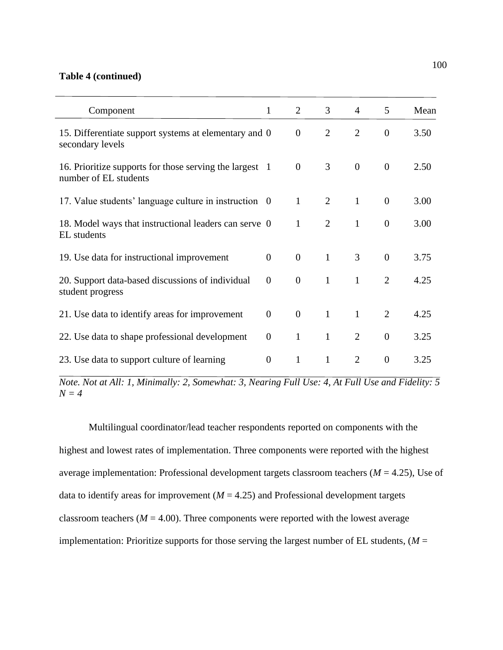## **Table 4 (continued)**

| Component                                                                      | 1              | $\overline{2}$   | 3              | 4              | 5              | Mean |
|--------------------------------------------------------------------------------|----------------|------------------|----------------|----------------|----------------|------|
| 15. Differentiate support systems at elementary and 0<br>secondary levels      |                | $\boldsymbol{0}$ | $\overline{2}$ | $\overline{2}$ | $\theta$       | 3.50 |
| 16. Prioritize supports for those serving the largest<br>number of EL students | -1             | $\overline{0}$   | 3              | $\overline{0}$ | $\overline{0}$ | 2.50 |
| 17. Value students' language culture in instruction 0                          |                | $\mathbf{1}$     | 2              | $\mathbf{1}$   | $\overline{0}$ | 3.00 |
| 18. Model ways that instructional leaders can serve 0<br>EL students           |                | $\mathbf{1}$     | 2              | 1              | $\overline{0}$ | 3.00 |
| 19. Use data for instructional improvement                                     | $\overline{0}$ | $\theta$         | $\mathbf{1}$   | 3              | $\overline{0}$ | 3.75 |
| 20. Support data-based discussions of individual<br>student progress           | $\overline{0}$ | $\overline{0}$   | $\mathbf{1}$   | $\mathbf{1}$   | $\overline{2}$ | 4.25 |
| 21. Use data to identify areas for improvement                                 | $\overline{0}$ | $\overline{0}$   | $\mathbf{1}$   | $\mathbf{1}$   | 2              | 4.25 |
| 22. Use data to shape professional development                                 | $\overline{0}$ | $\mathbf{1}$     | $\mathbf{1}$   | 2              | $\overline{0}$ | 3.25 |
| 23. Use data to support culture of learning                                    | $\Omega$       | $\mathbf{1}$     | 1              | $\overline{2}$ | $\theta$       | 3.25 |

*Note. Not at All: 1, Minimally: 2, Somewhat: 3, Nearing Full Use: 4, At Full Use and Fidelity: 5 N = 4*

Multilingual coordinator/lead teacher respondents reported on components with the highest and lowest rates of implementation. Three components were reported with the highest average implementation: Professional development targets classroom teachers (*M* = 4.25), Use of data to identify areas for improvement  $(M = 4.25)$  and Professional development targets classroom teachers ( $M = 4.00$ ). Three components were reported with the lowest average implementation: Prioritize supports for those serving the largest number of EL students,  $(M =$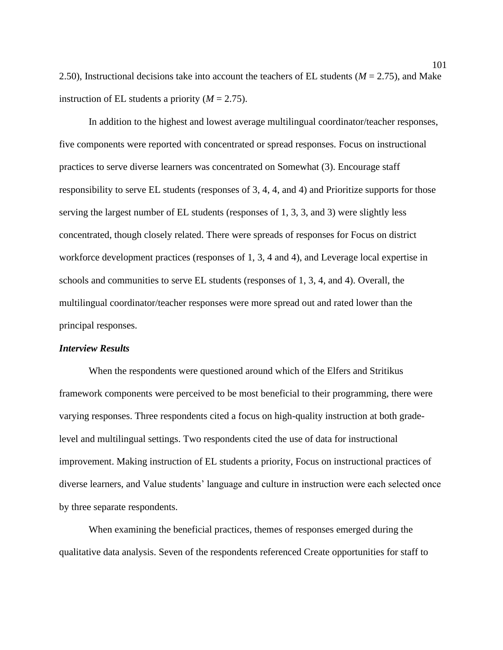2.50), Instructional decisions take into account the teachers of EL students (*M* = 2.75), and Make instruction of EL students a priority  $(M = 2.75)$ .

In addition to the highest and lowest average multilingual coordinator/teacher responses, five components were reported with concentrated or spread responses. Focus on instructional practices to serve diverse learners was concentrated on Somewhat (3). Encourage staff responsibility to serve EL students (responses of 3, 4, 4, and 4) and Prioritize supports for those serving the largest number of EL students (responses of 1, 3, 3, and 3) were slightly less concentrated, though closely related. There were spreads of responses for Focus on district workforce development practices (responses of 1, 3, 4 and 4), and Leverage local expertise in schools and communities to serve EL students (responses of 1, 3, 4, and 4). Overall, the multilingual coordinator/teacher responses were more spread out and rated lower than the principal responses.

## *Interview Results*

When the respondents were questioned around which of the Elfers and Stritikus framework components were perceived to be most beneficial to their programming, there were varying responses. Three respondents cited a focus on high-quality instruction at both gradelevel and multilingual settings. Two respondents cited the use of data for instructional improvement. Making instruction of EL students a priority, Focus on instructional practices of diverse learners, and Value students' language and culture in instruction were each selected once by three separate respondents.

When examining the beneficial practices, themes of responses emerged during the qualitative data analysis. Seven of the respondents referenced Create opportunities for staff to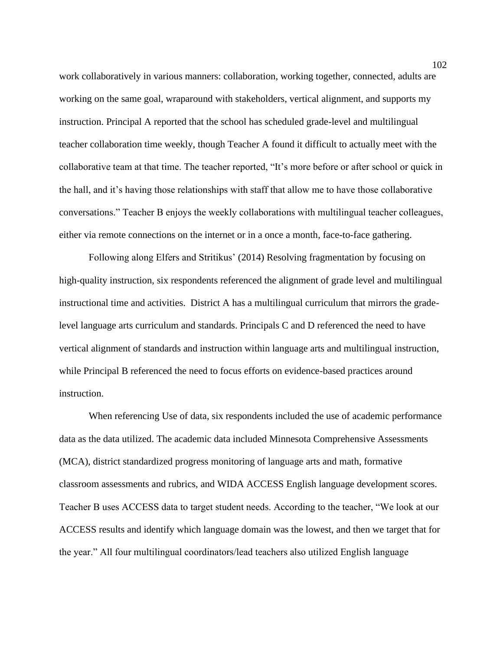work collaboratively in various manners: collaboration, working together, connected, adults are working on the same goal, wraparound with stakeholders, vertical alignment, and supports my instruction. Principal A reported that the school has scheduled grade-level and multilingual teacher collaboration time weekly, though Teacher A found it difficult to actually meet with the collaborative team at that time. The teacher reported, "It's more before or after school or quick in the hall, and it's having those relationships with staff that allow me to have those collaborative conversations." Teacher B enjoys the weekly collaborations with multilingual teacher colleagues, either via remote connections on the internet or in a once a month, face-to-face gathering.

Following along Elfers and Stritikus' (2014) Resolving fragmentation by focusing on high-quality instruction, six respondents referenced the alignment of grade level and multilingual instructional time and activities. District A has a multilingual curriculum that mirrors the gradelevel language arts curriculum and standards. Principals C and D referenced the need to have vertical alignment of standards and instruction within language arts and multilingual instruction, while Principal B referenced the need to focus efforts on evidence-based practices around instruction.

When referencing Use of data, six respondents included the use of academic performance data as the data utilized. The academic data included Minnesota Comprehensive Assessments (MCA), district standardized progress monitoring of language arts and math, formative classroom assessments and rubrics, and WIDA ACCESS English language development scores. Teacher B uses ACCESS data to target student needs. According to the teacher, "We look at our ACCESS results and identify which language domain was the lowest, and then we target that for the year." All four multilingual coordinators/lead teachers also utilized English language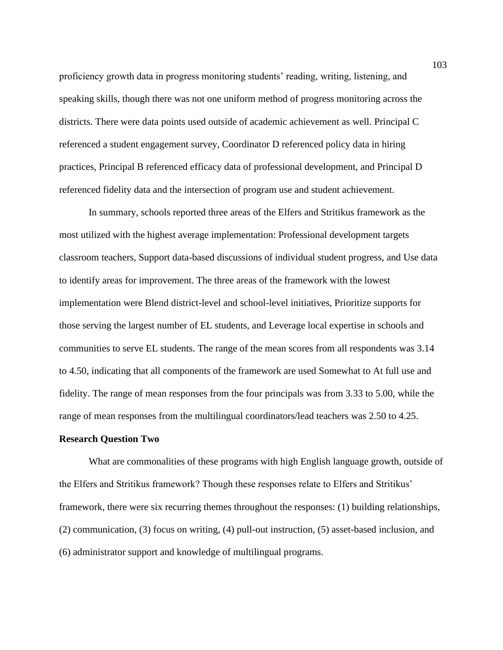proficiency growth data in progress monitoring students' reading, writing, listening, and speaking skills, though there was not one uniform method of progress monitoring across the districts. There were data points used outside of academic achievement as well. Principal C referenced a student engagement survey, Coordinator D referenced policy data in hiring practices, Principal B referenced efficacy data of professional development, and Principal D referenced fidelity data and the intersection of program use and student achievement.

In summary, schools reported three areas of the Elfers and Stritikus framework as the most utilized with the highest average implementation: Professional development targets classroom teachers, Support data-based discussions of individual student progress, and Use data to identify areas for improvement. The three areas of the framework with the lowest implementation were Blend district-level and school-level initiatives, Prioritize supports for those serving the largest number of EL students, and Leverage local expertise in schools and communities to serve EL students. The range of the mean scores from all respondents was 3.14 to 4.50, indicating that all components of the framework are used Somewhat to At full use and fidelity. The range of mean responses from the four principals was from 3.33 to 5.00, while the range of mean responses from the multilingual coordinators/lead teachers was 2.50 to 4.25.

## **Research Question Two**

What are commonalities of these programs with high English language growth, outside of the Elfers and Stritikus framework? Though these responses relate to Elfers and Stritikus' framework, there were six recurring themes throughout the responses: (1) building relationships, (2) communication, (3) focus on writing, (4) pull-out instruction, (5) asset-based inclusion, and (6) administrator support and knowledge of multilingual programs.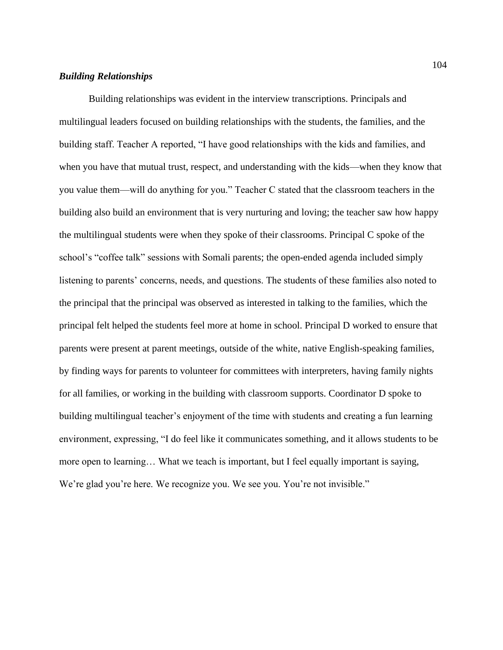# *Building Relationships*

Building relationships was evident in the interview transcriptions. Principals and multilingual leaders focused on building relationships with the students, the families, and the building staff. Teacher A reported, "I have good relationships with the kids and families, and when you have that mutual trust, respect, and understanding with the kids—when they know that you value them—will do anything for you." Teacher C stated that the classroom teachers in the building also build an environment that is very nurturing and loving; the teacher saw how happy the multilingual students were when they spoke of their classrooms. Principal C spoke of the school's "coffee talk" sessions with Somali parents; the open-ended agenda included simply listening to parents' concerns, needs, and questions. The students of these families also noted to the principal that the principal was observed as interested in talking to the families, which the principal felt helped the students feel more at home in school. Principal D worked to ensure that parents were present at parent meetings, outside of the white, native English-speaking families, by finding ways for parents to volunteer for committees with interpreters, having family nights for all families, or working in the building with classroom supports. Coordinator D spoke to building multilingual teacher's enjoyment of the time with students and creating a fun learning environment, expressing, "I do feel like it communicates something, and it allows students to be more open to learning… What we teach is important, but I feel equally important is saying, We're glad you're here. We recognize you. We see you. You're not invisible."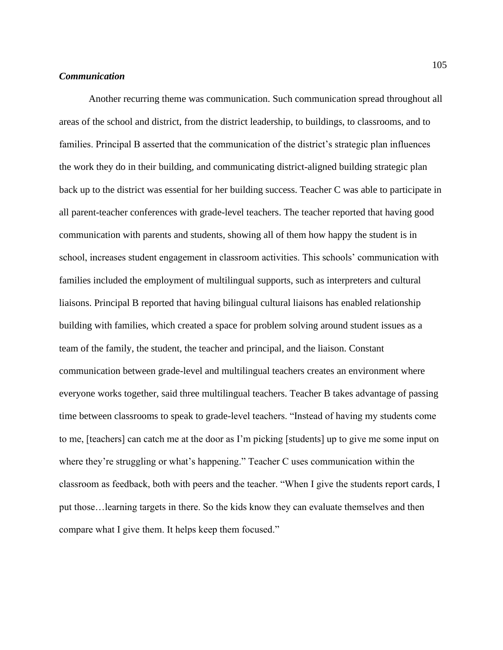## *Communication*

Another recurring theme was communication. Such communication spread throughout all areas of the school and district, from the district leadership, to buildings, to classrooms, and to families. Principal B asserted that the communication of the district's strategic plan influences the work they do in their building, and communicating district-aligned building strategic plan back up to the district was essential for her building success. Teacher C was able to participate in all parent-teacher conferences with grade-level teachers. The teacher reported that having good communication with parents and students, showing all of them how happy the student is in school, increases student engagement in classroom activities. This schools' communication with families included the employment of multilingual supports, such as interpreters and cultural liaisons. Principal B reported that having bilingual cultural liaisons has enabled relationship building with families, which created a space for problem solving around student issues as a team of the family, the student, the teacher and principal, and the liaison. Constant communication between grade-level and multilingual teachers creates an environment where everyone works together, said three multilingual teachers. Teacher B takes advantage of passing time between classrooms to speak to grade-level teachers. "Instead of having my students come to me, [teachers] can catch me at the door as I'm picking [students] up to give me some input on where they're struggling or what's happening." Teacher C uses communication within the classroom as feedback, both with peers and the teacher. "When I give the students report cards, I put those…learning targets in there. So the kids know they can evaluate themselves and then compare what I give them. It helps keep them focused."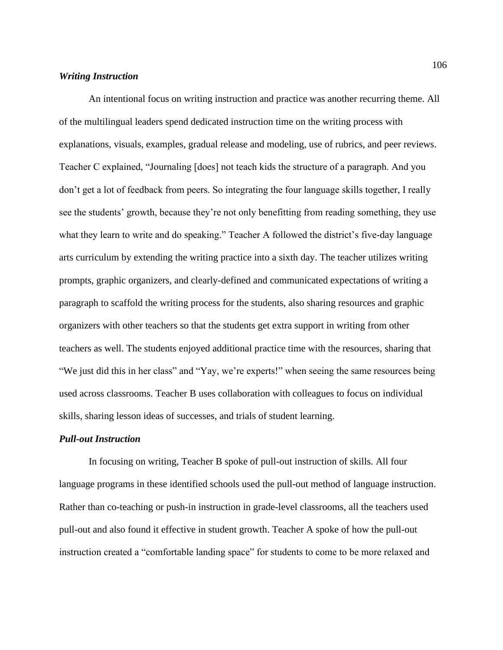# *Writing Instruction*

An intentional focus on writing instruction and practice was another recurring theme. All of the multilingual leaders spend dedicated instruction time on the writing process with explanations, visuals, examples, gradual release and modeling, use of rubrics, and peer reviews. Teacher C explained, "Journaling [does] not teach kids the structure of a paragraph. And you don't get a lot of feedback from peers. So integrating the four language skills together, I really see the students' growth, because they're not only benefitting from reading something, they use what they learn to write and do speaking." Teacher A followed the district's five-day language arts curriculum by extending the writing practice into a sixth day. The teacher utilizes writing prompts, graphic organizers, and clearly-defined and communicated expectations of writing a paragraph to scaffold the writing process for the students, also sharing resources and graphic organizers with other teachers so that the students get extra support in writing from other teachers as well. The students enjoyed additional practice time with the resources, sharing that "We just did this in her class" and "Yay, we're experts!" when seeing the same resources being used across classrooms. Teacher B uses collaboration with colleagues to focus on individual skills, sharing lesson ideas of successes, and trials of student learning.

# *Pull-out Instruction*

In focusing on writing, Teacher B spoke of pull-out instruction of skills. All four language programs in these identified schools used the pull-out method of language instruction. Rather than co-teaching or push-in instruction in grade-level classrooms, all the teachers used pull-out and also found it effective in student growth. Teacher A spoke of how the pull-out instruction created a "comfortable landing space" for students to come to be more relaxed and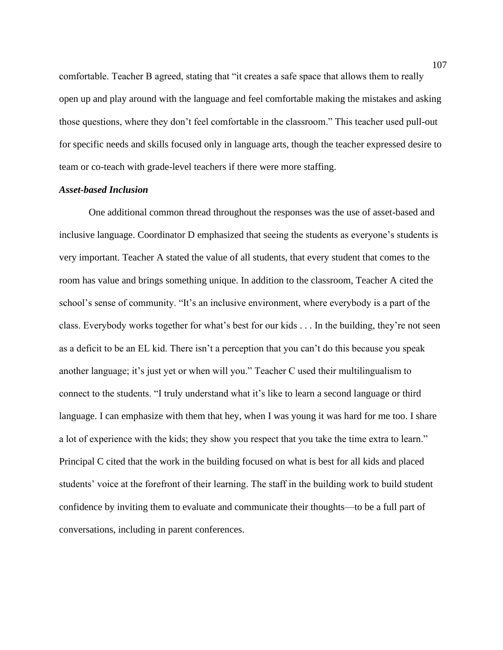comfortable. Teacher B agreed, stating that "it creates a safe space that allows them to really open up and play around with the language and feel comfortable making the mistakes and asking those questions, where they don't feel comfortable in the classroom." This teacher used pull-out for specific needs and skills focused only in language arts, though the teacher expressed desire to team or co-teach with grade-level teachers if there were more staffing.

# *Asset-based Inclusion*

One additional common thread throughout the responses was the use of asset-based and inclusive language. Coordinator D emphasized that seeing the students as everyone's students is very important. Teacher A stated the value of all students, that every student that comes to the room has value and brings something unique. In addition to the classroom, Teacher A cited the school's sense of community. "It's an inclusive environment, where everybody is a part of the class. Everybody works together for what's best for our kids . . . In the building, they're not seen as a deficit to be an EL kid. There isn't a perception that you can't do this because you speak another language; it's just yet or when will you." Teacher C used their multilingualism to connect to the students. "I truly understand what it's like to learn a second language or third language. I can emphasize with them that hey, when I was young it was hard for me too. I share a lot of experience with the kids; they show you respect that you take the time extra to learn." Principal C cited that the work in the building focused on what is best for all kids and placed students' voice at the forefront of their learning. The staff in the building work to build student confidence by inviting them to evaluate and communicate their thoughts—to be a full part of conversations, including in parent conferences.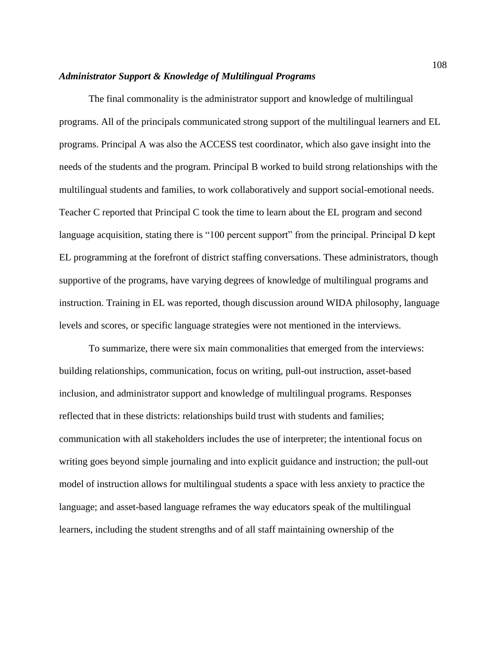#### *Administrator Support & Knowledge of Multilingual Programs*

The final commonality is the administrator support and knowledge of multilingual programs. All of the principals communicated strong support of the multilingual learners and EL programs. Principal A was also the ACCESS test coordinator, which also gave insight into the needs of the students and the program. Principal B worked to build strong relationships with the multilingual students and families, to work collaboratively and support social-emotional needs. Teacher C reported that Principal C took the time to learn about the EL program and second language acquisition, stating there is "100 percent support" from the principal. Principal D kept EL programming at the forefront of district staffing conversations. These administrators, though supportive of the programs, have varying degrees of knowledge of multilingual programs and instruction. Training in EL was reported, though discussion around WIDA philosophy, language levels and scores, or specific language strategies were not mentioned in the interviews.

To summarize, there were six main commonalities that emerged from the interviews: building relationships, communication, focus on writing, pull-out instruction, asset-based inclusion, and administrator support and knowledge of multilingual programs. Responses reflected that in these districts: relationships build trust with students and families; communication with all stakeholders includes the use of interpreter; the intentional focus on writing goes beyond simple journaling and into explicit guidance and instruction; the pull-out model of instruction allows for multilingual students a space with less anxiety to practice the language; and asset-based language reframes the way educators speak of the multilingual learners, including the student strengths and of all staff maintaining ownership of the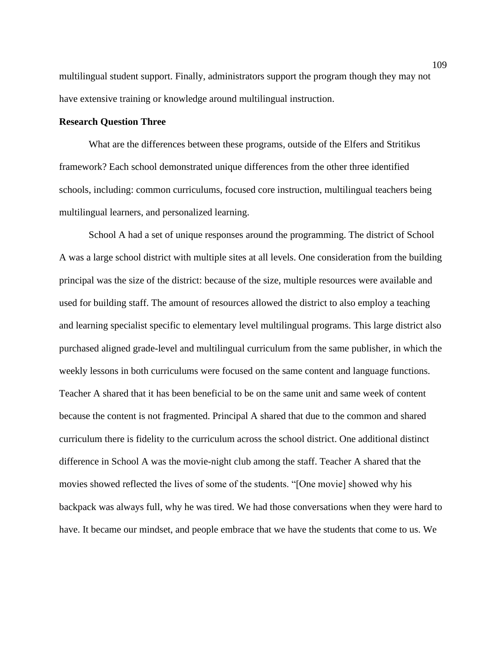multilingual student support. Finally, administrators support the program though they may not have extensive training or knowledge around multilingual instruction.

### **Research Question Three**

What are the differences between these programs, outside of the Elfers and Stritikus framework? Each school demonstrated unique differences from the other three identified schools, including: common curriculums, focused core instruction, multilingual teachers being multilingual learners, and personalized learning.

School A had a set of unique responses around the programming. The district of School A was a large school district with multiple sites at all levels. One consideration from the building principal was the size of the district: because of the size, multiple resources were available and used for building staff. The amount of resources allowed the district to also employ a teaching and learning specialist specific to elementary level multilingual programs. This large district also purchased aligned grade-level and multilingual curriculum from the same publisher, in which the weekly lessons in both curriculums were focused on the same content and language functions. Teacher A shared that it has been beneficial to be on the same unit and same week of content because the content is not fragmented. Principal A shared that due to the common and shared curriculum there is fidelity to the curriculum across the school district. One additional distinct difference in School A was the movie-night club among the staff. Teacher A shared that the movies showed reflected the lives of some of the students. "[One movie] showed why his backpack was always full, why he was tired. We had those conversations when they were hard to have. It became our mindset, and people embrace that we have the students that come to us. We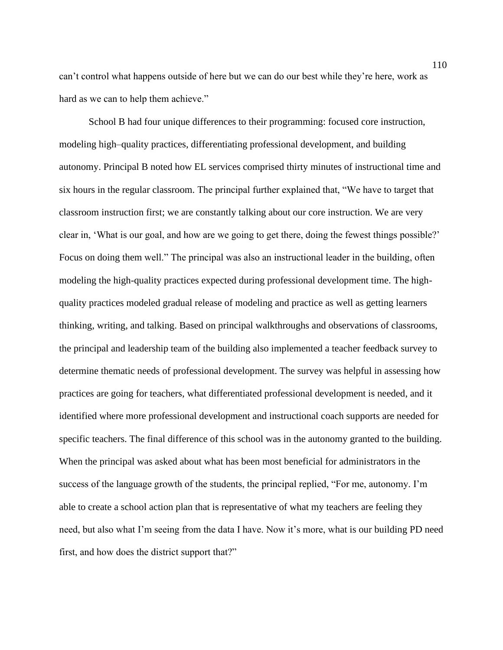can't control what happens outside of here but we can do our best while they're here, work as hard as we can to help them achieve."

School B had four unique differences to their programming: focused core instruction, modeling high–quality practices, differentiating professional development, and building autonomy. Principal B noted how EL services comprised thirty minutes of instructional time and six hours in the regular classroom. The principal further explained that, "We have to target that classroom instruction first; we are constantly talking about our core instruction. We are very clear in, 'What is our goal, and how are we going to get there, doing the fewest things possible?' Focus on doing them well." The principal was also an instructional leader in the building, often modeling the high-quality practices expected during professional development time. The highquality practices modeled gradual release of modeling and practice as well as getting learners thinking, writing, and talking. Based on principal walkthroughs and observations of classrooms, the principal and leadership team of the building also implemented a teacher feedback survey to determine thematic needs of professional development. The survey was helpful in assessing how practices are going for teachers, what differentiated professional development is needed, and it identified where more professional development and instructional coach supports are needed for specific teachers. The final difference of this school was in the autonomy granted to the building. When the principal was asked about what has been most beneficial for administrators in the success of the language growth of the students, the principal replied, "For me, autonomy. I'm able to create a school action plan that is representative of what my teachers are feeling they need, but also what I'm seeing from the data I have. Now it's more, what is our building PD need first, and how does the district support that?"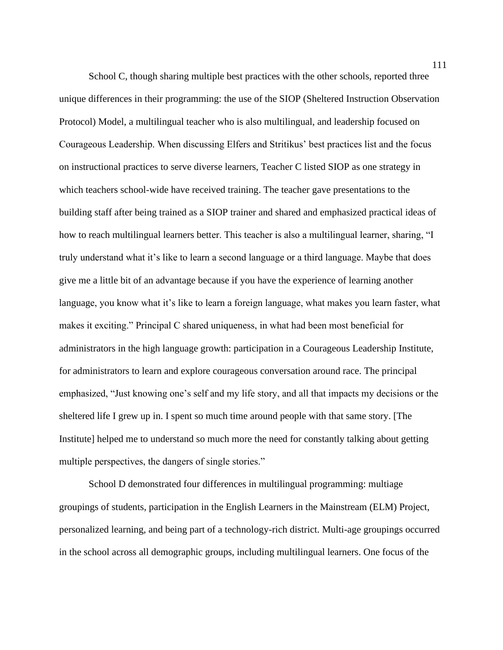School C, though sharing multiple best practices with the other schools, reported three unique differences in their programming: the use of the SIOP (Sheltered Instruction Observation Protocol) Model, a multilingual teacher who is also multilingual, and leadership focused on Courageous Leadership. When discussing Elfers and Stritikus' best practices list and the focus on instructional practices to serve diverse learners, Teacher C listed SIOP as one strategy in which teachers school-wide have received training. The teacher gave presentations to the building staff after being trained as a SIOP trainer and shared and emphasized practical ideas of how to reach multilingual learners better. This teacher is also a multilingual learner, sharing, "I truly understand what it's like to learn a second language or a third language. Maybe that does give me a little bit of an advantage because if you have the experience of learning another language, you know what it's like to learn a foreign language, what makes you learn faster, what makes it exciting." Principal C shared uniqueness, in what had been most beneficial for administrators in the high language growth: participation in a Courageous Leadership Institute, for administrators to learn and explore courageous conversation around race. The principal emphasized, "Just knowing one's self and my life story, and all that impacts my decisions or the sheltered life I grew up in. I spent so much time around people with that same story. [The Institute] helped me to understand so much more the need for constantly talking about getting multiple perspectives, the dangers of single stories."

School D demonstrated four differences in multilingual programming: multiage groupings of students, participation in the English Learners in the Mainstream (ELM) Project, personalized learning, and being part of a technology-rich district. Multi-age groupings occurred in the school across all demographic groups, including multilingual learners. One focus of the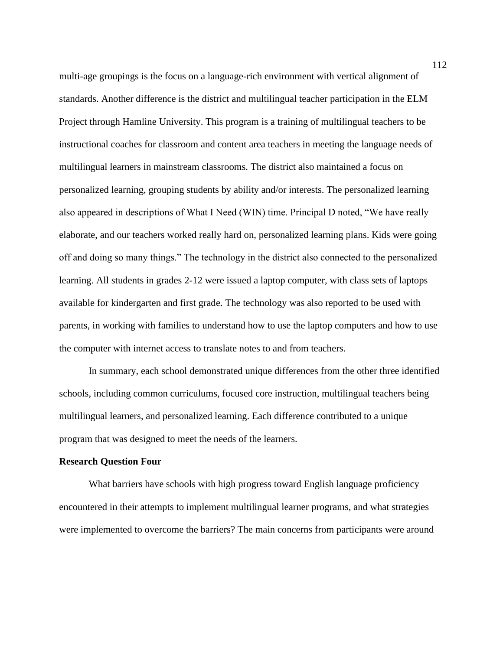multi-age groupings is the focus on a language-rich environment with vertical alignment of standards. Another difference is the district and multilingual teacher participation in the ELM Project through Hamline University. This program is a training of multilingual teachers to be instructional coaches for classroom and content area teachers in meeting the language needs of multilingual learners in mainstream classrooms. The district also maintained a focus on personalized learning, grouping students by ability and/or interests. The personalized learning also appeared in descriptions of What I Need (WIN) time. Principal D noted, "We have really elaborate, and our teachers worked really hard on, personalized learning plans. Kids were going off and doing so many things." The technology in the district also connected to the personalized learning. All students in grades 2-12 were issued a laptop computer, with class sets of laptops available for kindergarten and first grade. The technology was also reported to be used with parents, in working with families to understand how to use the laptop computers and how to use the computer with internet access to translate notes to and from teachers.

In summary, each school demonstrated unique differences from the other three identified schools, including common curriculums, focused core instruction, multilingual teachers being multilingual learners, and personalized learning. Each difference contributed to a unique program that was designed to meet the needs of the learners.

#### **Research Question Four**

What barriers have schools with high progress toward English language proficiency encountered in their attempts to implement multilingual learner programs, and what strategies were implemented to overcome the barriers? The main concerns from participants were around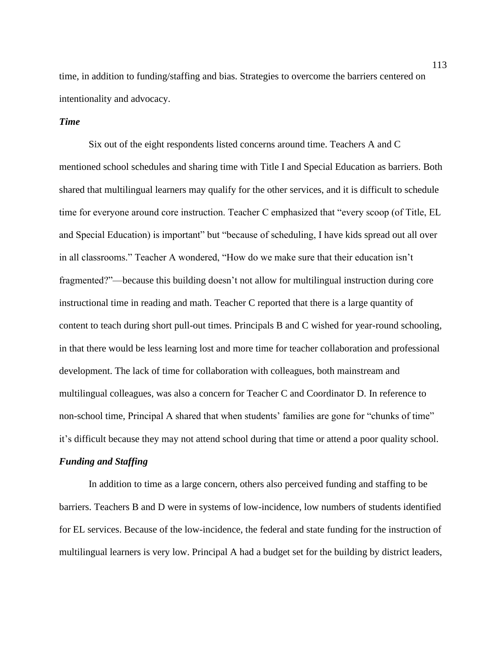time, in addition to funding/staffing and bias. Strategies to overcome the barriers centered on intentionality and advocacy.

# *Time*

Six out of the eight respondents listed concerns around time. Teachers A and C mentioned school schedules and sharing time with Title I and Special Education as barriers. Both shared that multilingual learners may qualify for the other services, and it is difficult to schedule time for everyone around core instruction. Teacher C emphasized that "every scoop (of Title, EL and Special Education) is important" but "because of scheduling, I have kids spread out all over in all classrooms." Teacher A wondered, "How do we make sure that their education isn't fragmented?"—because this building doesn't not allow for multilingual instruction during core instructional time in reading and math. Teacher C reported that there is a large quantity of content to teach during short pull-out times. Principals B and C wished for year-round schooling, in that there would be less learning lost and more time for teacher collaboration and professional development. The lack of time for collaboration with colleagues, both mainstream and multilingual colleagues, was also a concern for Teacher C and Coordinator D. In reference to non-school time, Principal A shared that when students' families are gone for "chunks of time" it's difficult because they may not attend school during that time or attend a poor quality school.

# *Funding and Staffing*

In addition to time as a large concern, others also perceived funding and staffing to be barriers. Teachers B and D were in systems of low-incidence, low numbers of students identified for EL services. Because of the low-incidence, the federal and state funding for the instruction of multilingual learners is very low. Principal A had a budget set for the building by district leaders,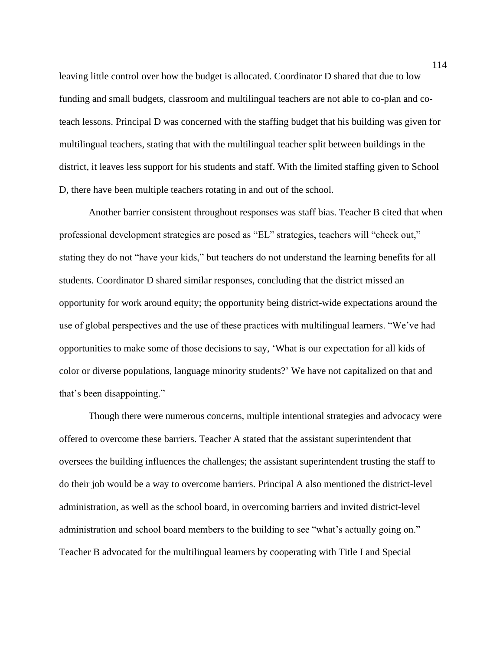leaving little control over how the budget is allocated. Coordinator D shared that due to low funding and small budgets, classroom and multilingual teachers are not able to co-plan and coteach lessons. Principal D was concerned with the staffing budget that his building was given for multilingual teachers, stating that with the multilingual teacher split between buildings in the district, it leaves less support for his students and staff. With the limited staffing given to School D, there have been multiple teachers rotating in and out of the school.

Another barrier consistent throughout responses was staff bias. Teacher B cited that when professional development strategies are posed as "EL" strategies, teachers will "check out," stating they do not "have your kids," but teachers do not understand the learning benefits for all students. Coordinator D shared similar responses, concluding that the district missed an opportunity for work around equity; the opportunity being district-wide expectations around the use of global perspectives and the use of these practices with multilingual learners. "We've had opportunities to make some of those decisions to say, 'What is our expectation for all kids of color or diverse populations, language minority students?' We have not capitalized on that and that's been disappointing."

Though there were numerous concerns, multiple intentional strategies and advocacy were offered to overcome these barriers. Teacher A stated that the assistant superintendent that oversees the building influences the challenges; the assistant superintendent trusting the staff to do their job would be a way to overcome barriers. Principal A also mentioned the district-level administration, as well as the school board, in overcoming barriers and invited district-level administration and school board members to the building to see "what's actually going on." Teacher B advocated for the multilingual learners by cooperating with Title I and Special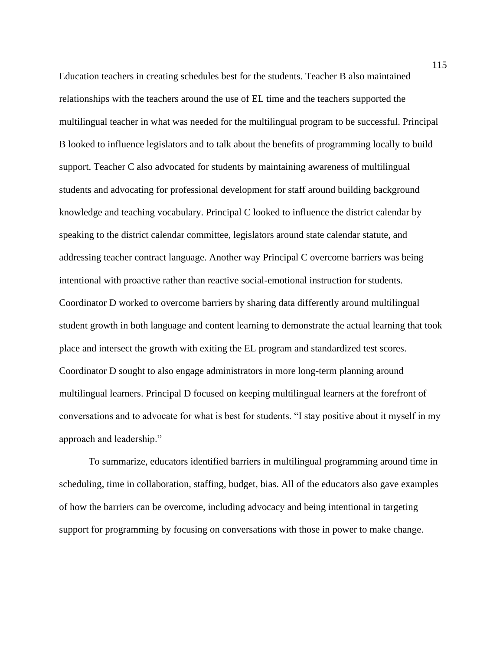Education teachers in creating schedules best for the students. Teacher B also maintained relationships with the teachers around the use of EL time and the teachers supported the multilingual teacher in what was needed for the multilingual program to be successful. Principal B looked to influence legislators and to talk about the benefits of programming locally to build support. Teacher C also advocated for students by maintaining awareness of multilingual students and advocating for professional development for staff around building background knowledge and teaching vocabulary. Principal C looked to influence the district calendar by speaking to the district calendar committee, legislators around state calendar statute, and addressing teacher contract language. Another way Principal C overcome barriers was being intentional with proactive rather than reactive social-emotional instruction for students. Coordinator D worked to overcome barriers by sharing data differently around multilingual student growth in both language and content learning to demonstrate the actual learning that took place and intersect the growth with exiting the EL program and standardized test scores. Coordinator D sought to also engage administrators in more long-term planning around multilingual learners. Principal D focused on keeping multilingual learners at the forefront of conversations and to advocate for what is best for students. "I stay positive about it myself in my approach and leadership."

To summarize, educators identified barriers in multilingual programming around time in scheduling, time in collaboration, staffing, budget, bias. All of the educators also gave examples of how the barriers can be overcome, including advocacy and being intentional in targeting support for programming by focusing on conversations with those in power to make change.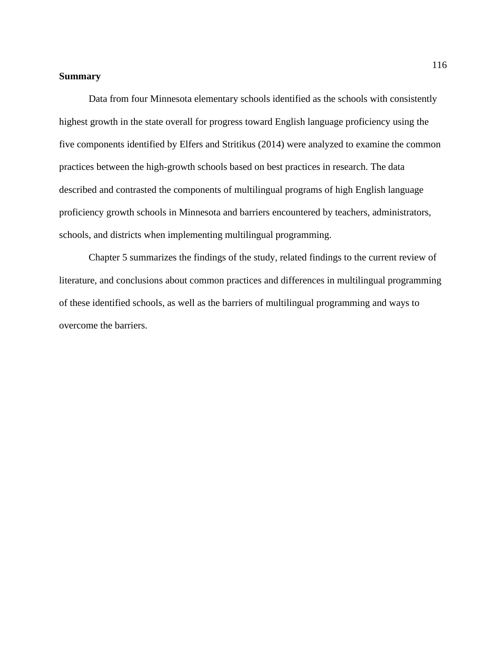## **Summary**

Data from four Minnesota elementary schools identified as the schools with consistently highest growth in the state overall for progress toward English language proficiency using the five components identified by Elfers and Stritikus (2014) were analyzed to examine the common practices between the high-growth schools based on best practices in research. The data described and contrasted the components of multilingual programs of high English language proficiency growth schools in Minnesota and barriers encountered by teachers, administrators, schools, and districts when implementing multilingual programming.

Chapter 5 summarizes the findings of the study, related findings to the current review of literature, and conclusions about common practices and differences in multilingual programming of these identified schools, as well as the barriers of multilingual programming and ways to overcome the barriers.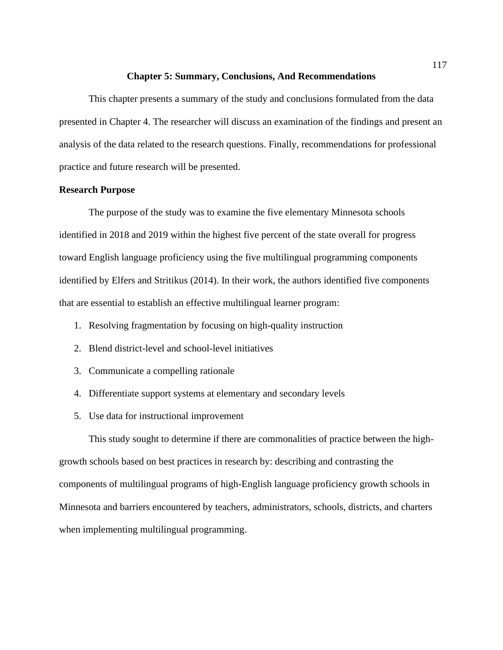#### **Chapter 5: Summary, Conclusions, And Recommendations**

This chapter presents a summary of the study and conclusions formulated from the data presented in Chapter 4. The researcher will discuss an examination of the findings and present an analysis of the data related to the research questions. Finally, recommendations for professional practice and future research will be presented.

## **Research Purpose**

The purpose of the study was to examine the five elementary Minnesota schools identified in 2018 and 2019 within the highest five percent of the state overall for progress toward English language proficiency using the five multilingual programming components identified by Elfers and Stritikus (2014). In their work, the authors identified five components that are essential to establish an effective multilingual learner program:

- 1. Resolving fragmentation by focusing on high-quality instruction
- 2. Blend district-level and school-level initiatives
- 3. Communicate a compelling rationale
- 4. Differentiate support systems at elementary and secondary levels
- 5. Use data for instructional improvement

This study sought to determine if there are commonalities of practice between the highgrowth schools based on best practices in research by: describing and contrasting the components of multilingual programs of high-English language proficiency growth schools in Minnesota and barriers encountered by teachers, administrators, schools, districts, and charters when implementing multilingual programming.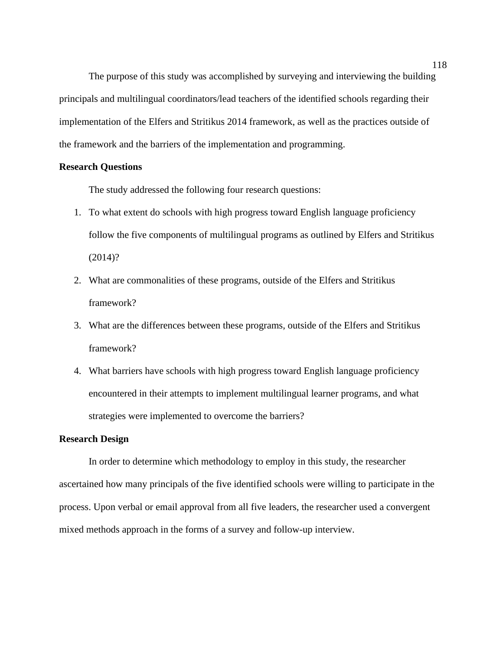The purpose of this study was accomplished by surveying and interviewing the building principals and multilingual coordinators/lead teachers of the identified schools regarding their implementation of the Elfers and Stritikus 2014 framework, as well as the practices outside of the framework and the barriers of the implementation and programming.

## **Research Questions**

The study addressed the following four research questions:

- 1. To what extent do schools with high progress toward English language proficiency follow the five components of multilingual programs as outlined by Elfers and Stritikus (2014)?
- 2. What are commonalities of these programs, outside of the Elfers and Stritikus framework?
- 3. What are the differences between these programs, outside of the Elfers and Stritikus framework?
- 4. What barriers have schools with high progress toward English language proficiency encountered in their attempts to implement multilingual learner programs, and what strategies were implemented to overcome the barriers?

# **Research Design**

In order to determine which methodology to employ in this study, the researcher ascertained how many principals of the five identified schools were willing to participate in the process. Upon verbal or email approval from all five leaders, the researcher used a convergent mixed methods approach in the forms of a survey and follow-up interview.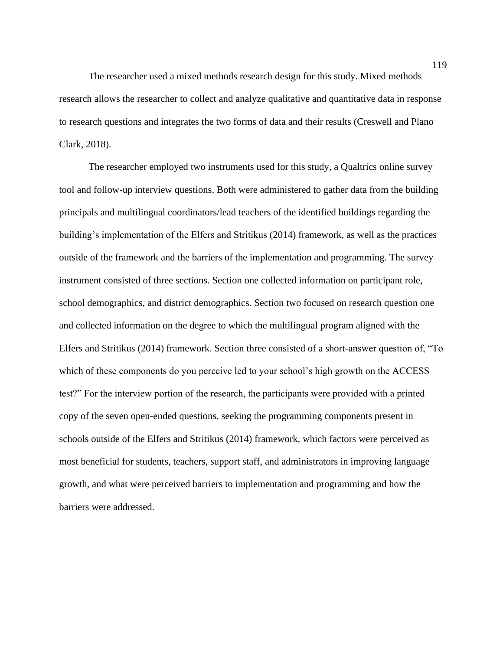The researcher used a mixed methods research design for this study. Mixed methods research allows the researcher to collect and analyze qualitative and quantitative data in response to research questions and integrates the two forms of data and their results (Creswell and Plano Clark, 2018).

The researcher employed two instruments used for this study, a Qualtrics online survey tool and follow-up interview questions. Both were administered to gather data from the building principals and multilingual coordinators/lead teachers of the identified buildings regarding the building's implementation of the Elfers and Stritikus (2014) framework, as well as the practices outside of the framework and the barriers of the implementation and programming. The survey instrument consisted of three sections. Section one collected information on participant role, school demographics, and district demographics. Section two focused on research question one and collected information on the degree to which the multilingual program aligned with the Elfers and Stritikus (2014) framework. Section three consisted of a short-answer question of, "To which of these components do you perceive led to your school's high growth on the ACCESS test?" For the interview portion of the research, the participants were provided with a printed copy of the seven open-ended questions, seeking the programming components present in schools outside of the Elfers and Stritikus (2014) framework, which factors were perceived as most beneficial for students, teachers, support staff, and administrators in improving language growth, and what were perceived barriers to implementation and programming and how the barriers were addressed.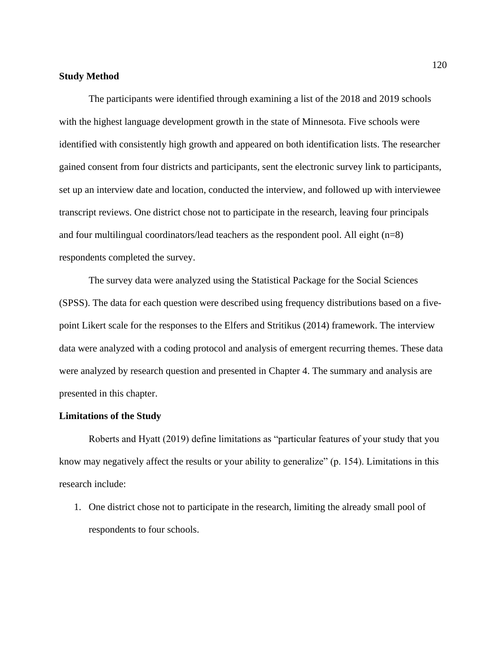### **Study Method**

The participants were identified through examining a list of the 2018 and 2019 schools with the highest language development growth in the state of Minnesota. Five schools were identified with consistently high growth and appeared on both identification lists. The researcher gained consent from four districts and participants, sent the electronic survey link to participants, set up an interview date and location, conducted the interview, and followed up with interviewee transcript reviews. One district chose not to participate in the research, leaving four principals and four multilingual coordinators/lead teachers as the respondent pool. All eight (n=8) respondents completed the survey.

The survey data were analyzed using the Statistical Package for the Social Sciences (SPSS). The data for each question were described using frequency distributions based on a fivepoint Likert scale for the responses to the Elfers and Stritikus (2014) framework. The interview data were analyzed with a coding protocol and analysis of emergent recurring themes. These data were analyzed by research question and presented in Chapter 4. The summary and analysis are presented in this chapter.

#### **Limitations of the Study**

Roberts and Hyatt (2019) define limitations as "particular features of your study that you know may negatively affect the results or your ability to generalize" (p. 154). Limitations in this research include:

1. One district chose not to participate in the research, limiting the already small pool of respondents to four schools.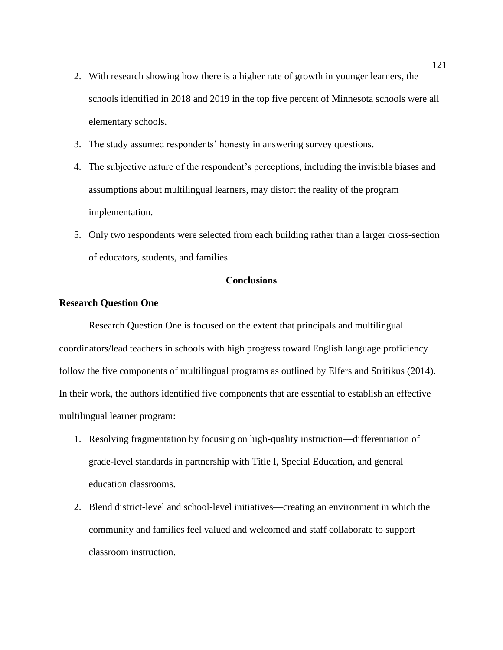- 2. With research showing how there is a higher rate of growth in younger learners, the schools identified in 2018 and 2019 in the top five percent of Minnesota schools were all elementary schools.
- 3. The study assumed respondents' honesty in answering survey questions.
- 4. The subjective nature of the respondent's perceptions, including the invisible biases and assumptions about multilingual learners, may distort the reality of the program implementation.
- 5. Only two respondents were selected from each building rather than a larger cross-section of educators, students, and families.

# **Conclusions**

# **Research Question One**

Research Question One is focused on the extent that principals and multilingual coordinators/lead teachers in schools with high progress toward English language proficiency follow the five components of multilingual programs as outlined by Elfers and Stritikus (2014). In their work, the authors identified five components that are essential to establish an effective multilingual learner program:

- 1. Resolving fragmentation by focusing on high-quality instruction—differentiation of grade-level standards in partnership with Title I, Special Education, and general education classrooms.
- 2. Blend district-level and school-level initiatives—creating an environment in which the community and families feel valued and welcomed and staff collaborate to support classroom instruction.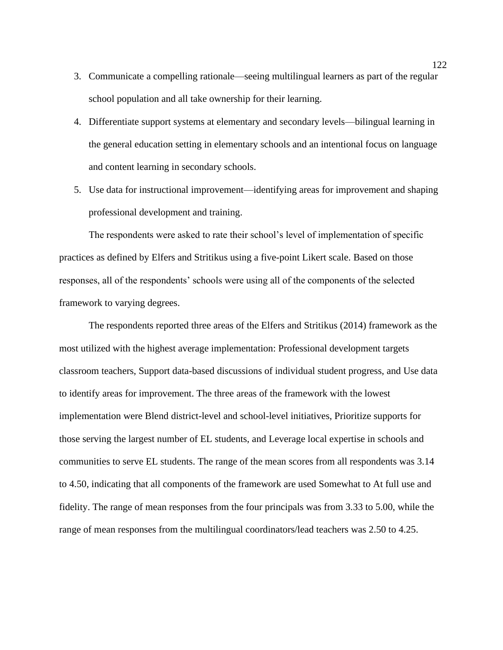- 3. Communicate a compelling rationale—seeing multilingual learners as part of the regular school population and all take ownership for their learning.
- 4. Differentiate support systems at elementary and secondary levels—bilingual learning in the general education setting in elementary schools and an intentional focus on language and content learning in secondary schools.
- 5. Use data for instructional improvement—identifying areas for improvement and shaping professional development and training.

The respondents were asked to rate their school's level of implementation of specific practices as defined by Elfers and Stritikus using a five-point Likert scale. Based on those responses, all of the respondents' schools were using all of the components of the selected framework to varying degrees.

The respondents reported three areas of the Elfers and Stritikus (2014) framework as the most utilized with the highest average implementation: Professional development targets classroom teachers, Support data-based discussions of individual student progress, and Use data to identify areas for improvement. The three areas of the framework with the lowest implementation were Blend district-level and school-level initiatives, Prioritize supports for those serving the largest number of EL students, and Leverage local expertise in schools and communities to serve EL students. The range of the mean scores from all respondents was 3.14 to 4.50, indicating that all components of the framework are used Somewhat to At full use and fidelity. The range of mean responses from the four principals was from 3.33 to 5.00, while the range of mean responses from the multilingual coordinators/lead teachers was 2.50 to 4.25.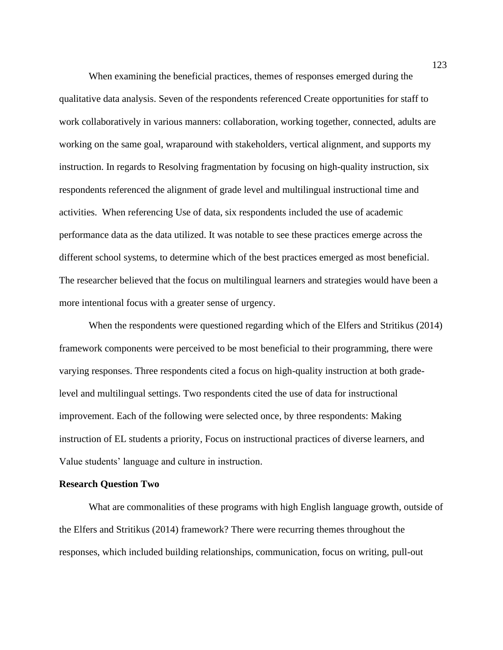When examining the beneficial practices, themes of responses emerged during the qualitative data analysis. Seven of the respondents referenced Create opportunities for staff to work collaboratively in various manners: collaboration, working together, connected, adults are working on the same goal, wraparound with stakeholders, vertical alignment, and supports my instruction. In regards to Resolving fragmentation by focusing on high-quality instruction, six respondents referenced the alignment of grade level and multilingual instructional time and activities. When referencing Use of data, six respondents included the use of academic performance data as the data utilized. It was notable to see these practices emerge across the different school systems, to determine which of the best practices emerged as most beneficial. The researcher believed that the focus on multilingual learners and strategies would have been a more intentional focus with a greater sense of urgency.

When the respondents were questioned regarding which of the Elfers and Stritikus (2014) framework components were perceived to be most beneficial to their programming, there were varying responses. Three respondents cited a focus on high-quality instruction at both gradelevel and multilingual settings. Two respondents cited the use of data for instructional improvement. Each of the following were selected once, by three respondents: Making instruction of EL students a priority, Focus on instructional practices of diverse learners, and Value students' language and culture in instruction.

### **Research Question Two**

What are commonalities of these programs with high English language growth, outside of the Elfers and Stritikus (2014) framework? There were recurring themes throughout the responses, which included building relationships, communication, focus on writing, pull-out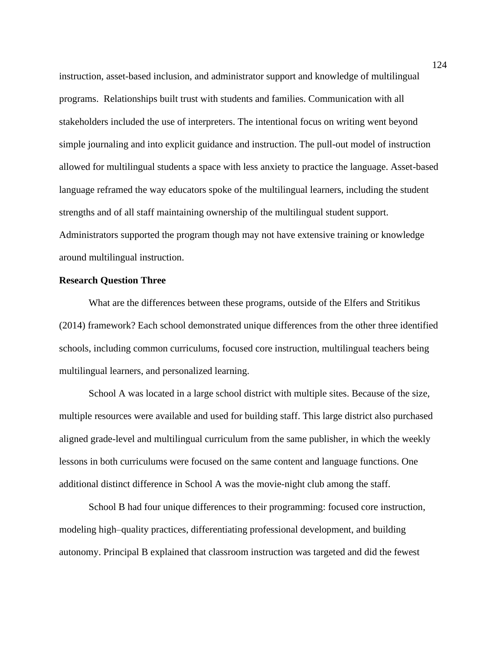instruction, asset-based inclusion, and administrator support and knowledge of multilingual programs. Relationships built trust with students and families. Communication with all stakeholders included the use of interpreters. The intentional focus on writing went beyond simple journaling and into explicit guidance and instruction. The pull-out model of instruction allowed for multilingual students a space with less anxiety to practice the language. Asset-based language reframed the way educators spoke of the multilingual learners, including the student strengths and of all staff maintaining ownership of the multilingual student support. Administrators supported the program though may not have extensive training or knowledge around multilingual instruction.

## **Research Question Three**

What are the differences between these programs, outside of the Elfers and Stritikus (2014) framework? Each school demonstrated unique differences from the other three identified schools, including common curriculums, focused core instruction, multilingual teachers being multilingual learners, and personalized learning.

School A was located in a large school district with multiple sites. Because of the size, multiple resources were available and used for building staff. This large district also purchased aligned grade-level and multilingual curriculum from the same publisher, in which the weekly lessons in both curriculums were focused on the same content and language functions. One additional distinct difference in School A was the movie-night club among the staff.

School B had four unique differences to their programming: focused core instruction, modeling high–quality practices, differentiating professional development, and building autonomy. Principal B explained that classroom instruction was targeted and did the fewest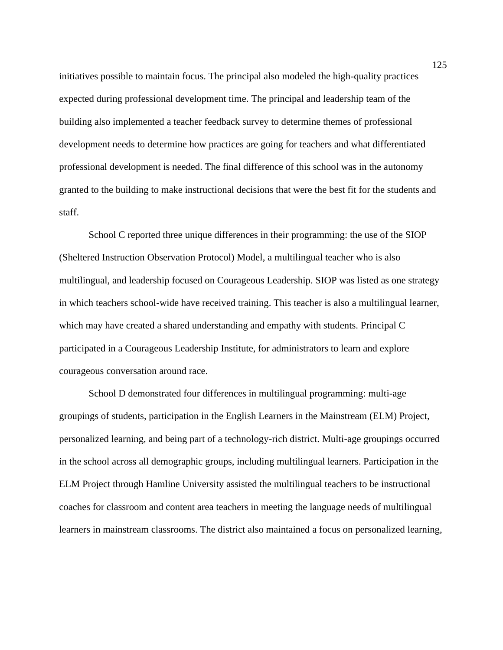initiatives possible to maintain focus. The principal also modeled the high-quality practices expected during professional development time. The principal and leadership team of the building also implemented a teacher feedback survey to determine themes of professional development needs to determine how practices are going for teachers and what differentiated professional development is needed. The final difference of this school was in the autonomy granted to the building to make instructional decisions that were the best fit for the students and staff.

School C reported three unique differences in their programming: the use of the SIOP (Sheltered Instruction Observation Protocol) Model, a multilingual teacher who is also multilingual, and leadership focused on Courageous Leadership. SIOP was listed as one strategy in which teachers school-wide have received training. This teacher is also a multilingual learner, which may have created a shared understanding and empathy with students. Principal C participated in a Courageous Leadership Institute, for administrators to learn and explore courageous conversation around race.

School D demonstrated four differences in multilingual programming: multi-age groupings of students, participation in the English Learners in the Mainstream (ELM) Project, personalized learning, and being part of a technology-rich district. Multi-age groupings occurred in the school across all demographic groups, including multilingual learners. Participation in the ELM Project through Hamline University assisted the multilingual teachers to be instructional coaches for classroom and content area teachers in meeting the language needs of multilingual learners in mainstream classrooms. The district also maintained a focus on personalized learning,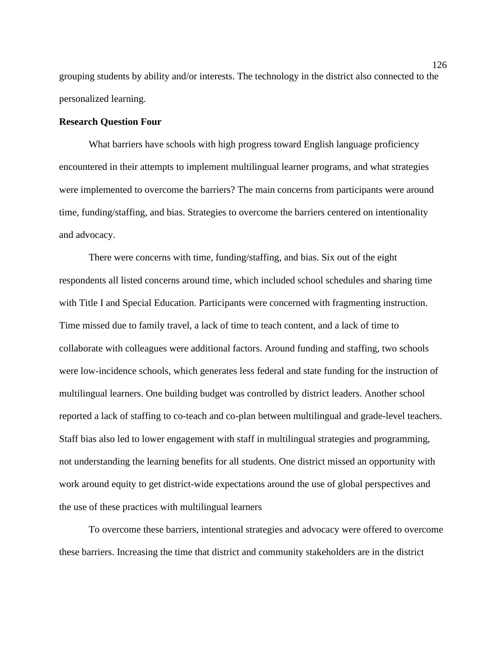grouping students by ability and/or interests. The technology in the district also connected to the personalized learning.

### **Research Question Four**

What barriers have schools with high progress toward English language proficiency encountered in their attempts to implement multilingual learner programs, and what strategies were implemented to overcome the barriers? The main concerns from participants were around time, funding/staffing, and bias. Strategies to overcome the barriers centered on intentionality and advocacy.

There were concerns with time, funding/staffing, and bias. Six out of the eight respondents all listed concerns around time, which included school schedules and sharing time with Title I and Special Education. Participants were concerned with fragmenting instruction. Time missed due to family travel, a lack of time to teach content, and a lack of time to collaborate with colleagues were additional factors. Around funding and staffing, two schools were low-incidence schools, which generates less federal and state funding for the instruction of multilingual learners. One building budget was controlled by district leaders. Another school reported a lack of staffing to co-teach and co-plan between multilingual and grade-level teachers. Staff bias also led to lower engagement with staff in multilingual strategies and programming, not understanding the learning benefits for all students. One district missed an opportunity with work around equity to get district-wide expectations around the use of global perspectives and the use of these practices with multilingual learners

To overcome these barriers, intentional strategies and advocacy were offered to overcome these barriers. Increasing the time that district and community stakeholders are in the district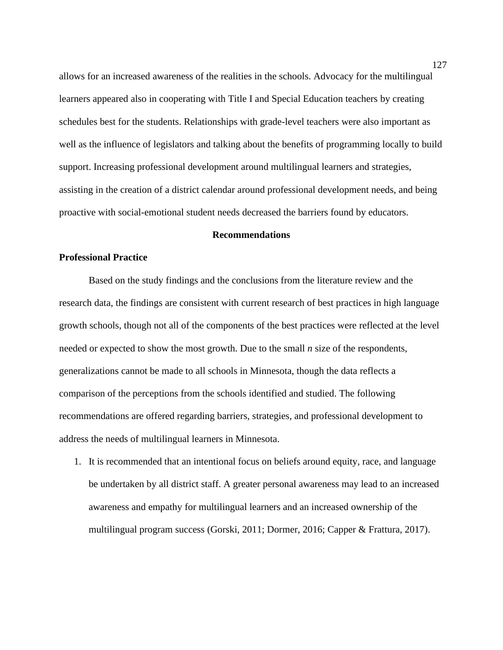allows for an increased awareness of the realities in the schools. Advocacy for the multilingual learners appeared also in cooperating with Title I and Special Education teachers by creating schedules best for the students. Relationships with grade-level teachers were also important as well as the influence of legislators and talking about the benefits of programming locally to build support. Increasing professional development around multilingual learners and strategies, assisting in the creation of a district calendar around professional development needs, and being proactive with social-emotional student needs decreased the barriers found by educators.

# **Recommendations**

### **Professional Practice**

Based on the study findings and the conclusions from the literature review and the research data, the findings are consistent with current research of best practices in high language growth schools, though not all of the components of the best practices were reflected at the level needed or expected to show the most growth. Due to the small *n* size of the respondents, generalizations cannot be made to all schools in Minnesota, though the data reflects a comparison of the perceptions from the schools identified and studied. The following recommendations are offered regarding barriers, strategies, and professional development to address the needs of multilingual learners in Minnesota.

1. It is recommended that an intentional focus on beliefs around equity, race, and language be undertaken by all district staff. A greater personal awareness may lead to an increased awareness and empathy for multilingual learners and an increased ownership of the multilingual program success (Gorski, 2011; Dormer, 2016; Capper & Frattura, 2017).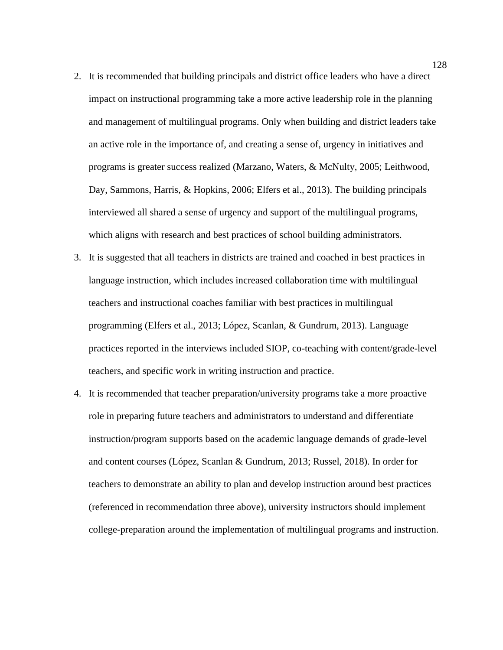- 2. It is recommended that building principals and district office leaders who have a direct impact on instructional programming take a more active leadership role in the planning and management of multilingual programs. Only when building and district leaders take an active role in the importance of, and creating a sense of, urgency in initiatives and programs is greater success realized (Marzano, Waters, & McNulty, 2005; Leithwood, Day, Sammons, Harris, & Hopkins, 2006; Elfers et al., 2013). The building principals interviewed all shared a sense of urgency and support of the multilingual programs, which aligns with research and best practices of school building administrators.
- 3. It is suggested that all teachers in districts are trained and coached in best practices in language instruction, which includes increased collaboration time with multilingual teachers and instructional coaches familiar with best practices in multilingual programming (Elfers et al., 2013; López, Scanlan, & Gundrum, 2013). Language practices reported in the interviews included SIOP, co-teaching with content/grade-level teachers, and specific work in writing instruction and practice.
- 4. It is recommended that teacher preparation/university programs take a more proactive role in preparing future teachers and administrators to understand and differentiate instruction/program supports based on the academic language demands of grade-level and content courses (López, Scanlan & Gundrum, 2013; Russel, 2018). In order for teachers to demonstrate an ability to plan and develop instruction around best practices (referenced in recommendation three above), university instructors should implement college-preparation around the implementation of multilingual programs and instruction.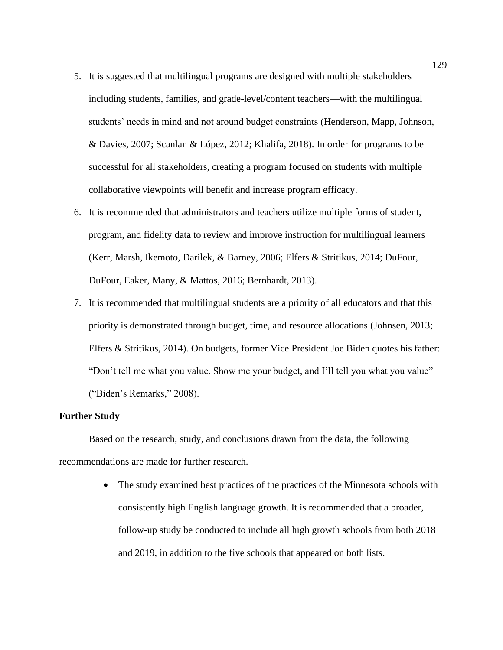- 5. It is suggested that multilingual programs are designed with multiple stakeholders including students, families, and grade-level/content teachers—with the multilingual students' needs in mind and not around budget constraints (Henderson, Mapp, Johnson, & Davies, 2007; Scanlan & López, 2012; Khalifa, 2018). In order for programs to be successful for all stakeholders, creating a program focused on students with multiple collaborative viewpoints will benefit and increase program efficacy.
- 6. It is recommended that administrators and teachers utilize multiple forms of student, program, and fidelity data to review and improve instruction for multilingual learners (Kerr, Marsh, Ikemoto, Darilek, & Barney, 2006; Elfers & Stritikus, 2014; DuFour, DuFour, Eaker, Many, & Mattos, 2016; Bernhardt, 2013).
- 7. It is recommended that multilingual students are a priority of all educators and that this priority is demonstrated through budget, time, and resource allocations (Johnsen, 2013; Elfers & Stritikus, 2014). On budgets, former Vice President Joe Biden quotes his father: "Don't tell me what you value. Show me your budget, and I'll tell you what you value" ("Biden's Remarks," 2008).

# **Further Study**

Based on the research, study, and conclusions drawn from the data, the following recommendations are made for further research.

> • The study examined best practices of the practices of the Minnesota schools with consistently high English language growth. It is recommended that a broader, follow-up study be conducted to include all high growth schools from both 2018 and 2019, in addition to the five schools that appeared on both lists.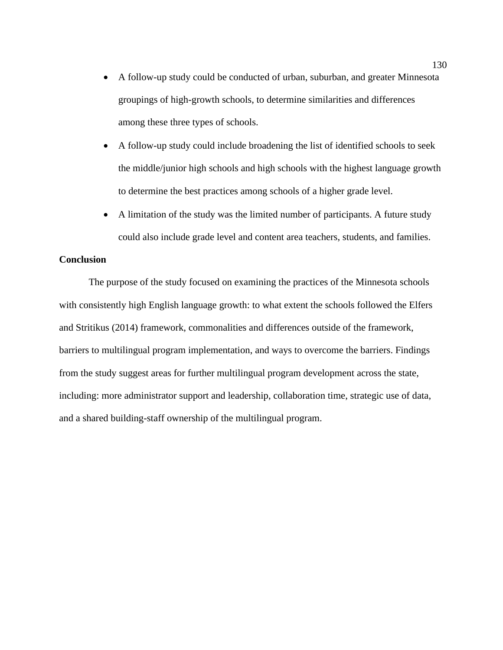- A follow-up study could be conducted of urban, suburban, and greater Minnesota groupings of high-growth schools, to determine similarities and differences among these three types of schools.
- A follow-up study could include broadening the list of identified schools to seek the middle/junior high schools and high schools with the highest language growth to determine the best practices among schools of a higher grade level.
- A limitation of the study was the limited number of participants. A future study could also include grade level and content area teachers, students, and families.

# **Conclusion**

The purpose of the study focused on examining the practices of the Minnesota schools with consistently high English language growth: to what extent the schools followed the Elfers and Stritikus (2014) framework, commonalities and differences outside of the framework, barriers to multilingual program implementation, and ways to overcome the barriers. Findings from the study suggest areas for further multilingual program development across the state, including: more administrator support and leadership, collaboration time, strategic use of data, and a shared building-staff ownership of the multilingual program.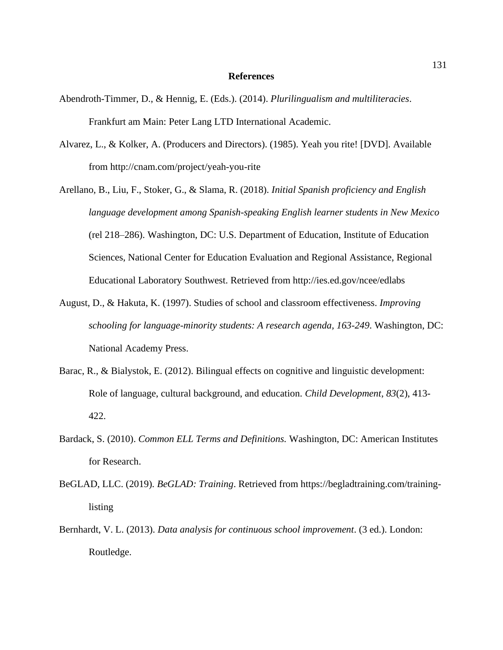#### **References**

- Abendroth-Timmer, D., & Hennig, E. (Eds.). (2014). *Plurilingualism and multiliteracies*. Frankfurt am Main: Peter Lang LTD International Academic.
- Alvarez, L., & Kolker, A. (Producers and Directors). (1985). Yeah you rite! [DVD]. Available from http://cnam.com/project/yeah-you-rite
- Arellano, B., Liu, F., Stoker, G., & Slama, R. (2018). *Initial Spanish proficiency and English language development among Spanish-speaking English learner students in New Mexico* (rel 218–286). Washington, DC: U.S. Department of Education, Institute of Education Sciences, National Center for Education Evaluation and Regional Assistance, Regional Educational Laboratory Southwest. Retrieved from http://ies.ed.gov/ncee/edlabs
- August, D., & Hakuta, K. (1997). Studies of school and classroom effectiveness. *Improving schooling for language-minority students: A research agenda, 163-249*. Washington, DC: National Academy Press.
- Barac, R., & Bialystok, E. (2012). Bilingual effects on cognitive and linguistic development: Role of language, cultural background, and education. *Child Development*, *83*(2), 413- 422.
- Bardack, S. (2010). *Common ELL Terms and Definitions.* Washington, DC: American Institutes for Research.
- BeGLAD, LLC. (2019). *BeGLAD: Training*. Retrieved from https://begladtraining.com/traininglisting
- Bernhardt, V. L. (2013). *Data analysis for continuous school improvement*. (3 ed.). London: Routledge.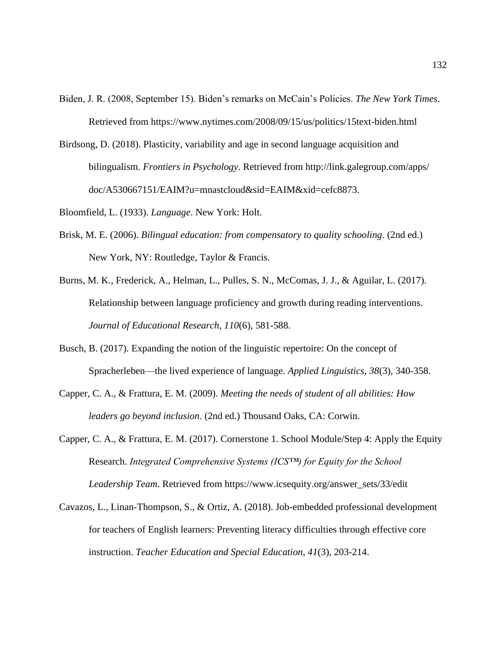- Biden, J. R. (2008, September 15). Biden's remarks on McCain's Policies. *The New York Times*. Retrieved from https://www.nytimes.com/2008/09/15/us/politics/15text-biden.html
- Birdsong, D. (2018). Plasticity, variability and age in second language acquisition and bilingualism. *Frontiers in Psychology*. Retrieved from http://link.galegroup.com/apps/ doc/A530667151/EAIM?u=mnastcloud&sid=EAIM&xid=cefc8873.
- Bloomfield, L. (1933). *Language*. New York: Holt.
- Brisk, M. E. (2006). *Bilingual education: from compensatory to quality schooling*. (2nd ed.) New York, NY: Routledge, Taylor & Francis.
- Burns, M. K., Frederick, A., Helman, L., Pulles, S. N., McComas, J. J., & Aguilar, L. (2017). Relationship between language proficiency and growth during reading interventions. *Journal of Educational Research*, *110*(6), 581-588.
- Busch, B. (2017). Expanding the notion of the linguistic repertoire: On the concept of Spracherleben—the lived experience of language. *Applied Linguistics, 38*(3), 340-358.
- Capper, C. A., & Frattura, E. M. (2009). *Meeting the needs of student of all abilities: How leaders go beyond inclusion*. (2nd ed.) Thousand Oaks, CA: Corwin.
- Capper, C. A., & Frattura, E. M. (2017). Cornerstone 1. School Module/Step 4: Apply the Equity Research. *Integrated Comprehensive Systems (ICS™) for Equity for the School Leadership Team*. Retrieved from https://www.icsequity.org/answer\_sets/33/edit
- Cavazos, L., Linan-Thompson, S., & Ortiz, A. (2018). Job-embedded professional development for teachers of English learners: Preventing literacy difficulties through effective core instruction. *Teacher Education and Special Education, 41*(3), 203-214.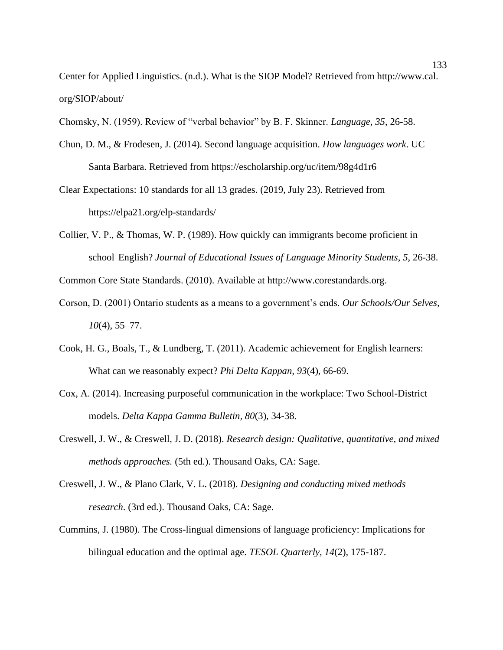Center for Applied Linguistics. (n.d.). What is the SIOP Model? Retrieved from http://www.cal. org/SIOP/about/

Chomsky, N. (1959). Review of "verbal behavior" by B. F. Skinner. *Language, 35*, 26-58.

- Chun, D. M., & Frodesen, J. (2014). Second language acquisition. *How languages work*. UC Santa Barbara. Retrieved from https://escholarship.org/uc/item/98g4d1r6
- Clear Expectations: 10 standards for all 13 grades. (2019, July 23). Retrieved from https://elpa21.org/elp-standards/
- Collier, V. P., & Thomas, W. P. (1989). How quickly can immigrants become proficient in school English? *Journal of Educational Issues of Language Minority Students*, *5*, 26-38.

Common Core State Standards. (2010). Available at [http://www.corestandards.org.](http://www.corestandards.org/)

- Corson, D. (2001) Ontario students as a means to a government's ends. *Our Schools/Our Selves, 10*(4), 55–77.
- Cook, H. G., Boals, T., & Lundberg, T. (2011). Academic achievement for English learners: What can we reasonably expect? *Phi Delta Kappan, 93*(4), 66-69.
- Cox, A. (2014). Increasing purposeful communication in the workplace: Two School-District models. *Delta Kappa Gamma Bulletin, 80*(3), 34-38.
- Creswell, J. W., & Creswell, J. D. (2018). *Research design: Qualitative, quantitative, and mixed methods approaches.* (5th ed.). Thousand Oaks, CA: Sage.
- Creswell, J. W., & Plano Clark, V. L. (2018). *Designing and conducting mixed methods research*. (3rd ed.). Thousand Oaks, CA: Sage.
- Cummins, J. (1980). The Cross-lingual dimensions of language proficiency: Implications for bilingual education and the optimal age. *TESOL Quarterly, 14*(2), 175-187.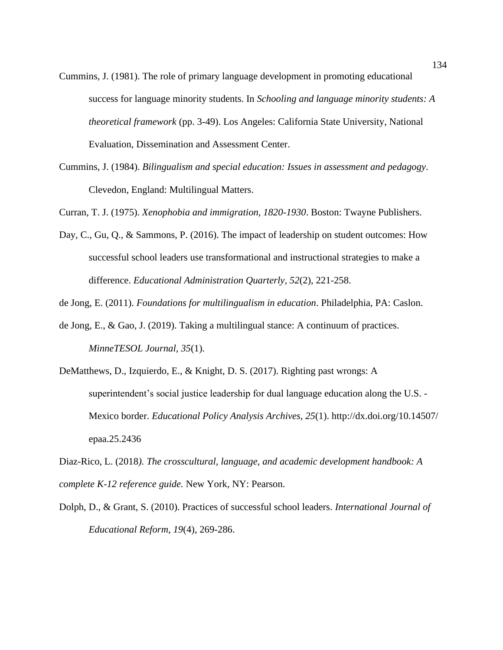- Cummins, J. (1981). The role of primary language development in promoting educational success for language minority students. In *Schooling and language minority students: A theoretical framework* (pp. 3-49). Los Angeles: California State University, National Evaluation, Dissemination and Assessment Center.
- Cummins, J. (1984). *Bilingualism and special education: Issues in assessment and pedagogy*. Clevedon, England: Multilingual Matters.
- Curran, T. J. (1975). *Xenophobia and immigration, 1820-1930*. Boston: Twayne Publishers.
- Day, C., Gu, Q., & Sammons, P. (2016). The impact of leadership on student outcomes: How successful school leaders use transformational and instructional strategies to make a difference. *Educational Administration Quarterly, 52*(2), 221-258.

de Jong, E. (2011). *Foundations for multilingualism in education*. Philadelphia, PA: Caslon.

- de Jong, E., & Gao, J. (2019). Taking a multilingual stance: A continuum of practices. *MinneTESOL Journal, 35*(1).
- DeMatthews, D., Izquierdo, E., & Knight, D. S. (2017). Righting past wrongs: A superintendent's social justice leadership for dual language education along the U.S. - Mexico border. *Educational Policy Analysis Archives, 25*(1). http://dx.doi.org/10.14507/ epaa.25.2436

Diaz-Rico, L. (2018*). The crosscultural, language, and academic development handbook: A complete K-12 reference guide.* New York, NY: Pearson.

Dolph, D., & Grant, S. (2010). Practices of successful school leaders. *International Journal of Educational Reform, 19*(4), 269-286.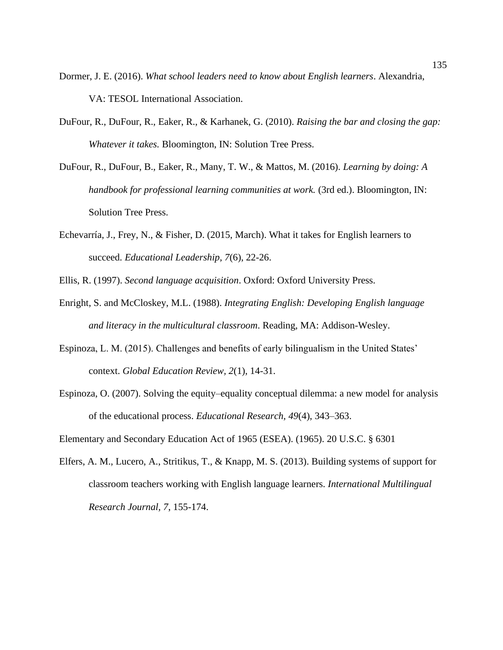- Dormer, J. E. (2016). *What school leaders need to know about English learners*. Alexandria, VA: TESOL International Association.
- DuFour, R., DuFour, R., Eaker, R., & Karhanek, G. (2010). *Raising the bar and closing the gap: Whatever it takes.* Bloomington, IN: Solution Tree Press.
- DuFour, R., DuFour, B., Eaker, R., Many, T. W., & Mattos, M. (2016). *Learning by doing: A handbook for professional learning communities at work.* (3rd ed.). Bloomington, IN: Solution Tree Press.
- Echevarría, J., Frey, N., & Fisher, D. (2015, March). What it takes for English learners to succeed. *Educational Leadership, 7*(6), 22-26.
- Ellis, R. (1997). *Second language acquisition*. Oxford: Oxford University Press.
- Enright, S. and McCloskey, M.L. (1988). *Integrating English: Developing English language and literacy in the multicultural classroom*. Reading, MA: Addison-Wesley.
- Espinoza, L. M. (2015). Challenges and benefits of early bilingualism in the United States' context. *Global Education Review, 2*(1), 14-31.
- Espinoza, O. (2007). Solving the equity–equality conceptual dilemma: a new model for analysis of the educational process. *Educational Research, 49*(4), 343–363.

Elementary and Secondary Education Act of 1965 (ESEA). (1965). 20 U.S.C. § 6301

Elfers, A. M., Lucero, A., Stritikus, T., & Knapp, M. S. (2013). Building systems of support for classroom teachers working with English language learners. *International Multilingual Research Journal, 7*, 155-174.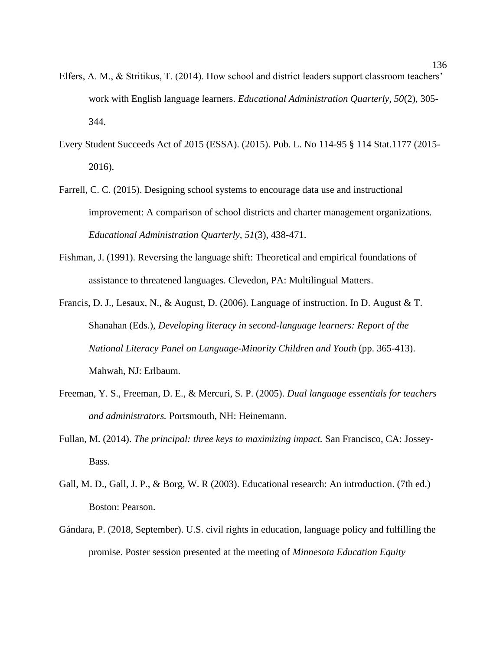- Elfers, A. M., & Stritikus, T. (2014). How school and district leaders support classroom teachers' work with English language learners. *Educational Administration Quarterly, 50*(2), 305- 344.
- Every Student Succeeds Act of 2015 (ESSA). (2015). Pub. L. No 114-95 § 114 Stat.1177 (2015- 2016).
- Farrell, C. C. (2015). Designing school systems to encourage data use and instructional improvement: A comparison of school districts and charter management organizations. *Educational Administration Quarterly, 51*(3), 438-471.
- Fishman, J. (1991). Reversing the language shift: Theoretical and empirical foundations of assistance to threatened languages. Clevedon, PA: Multilingual Matters.
- Francis, D. J., Lesaux, N., & August, D. (2006). Language of instruction. In D. August & T. Shanahan (Eds.), *Developing literacy in second-language learners: Report of the National Literacy Panel on Language-Minority Children and Youth* (pp. 365-413). Mahwah, NJ: Erlbaum.
- Freeman, Y. S., Freeman, D. E., & Mercuri, S. P. (2005). *Dual language essentials for teachers and administrators.* Portsmouth, NH: Heinemann.
- Fullan, M. (2014). *The principal: three keys to maximizing impact.* San Francisco, CA: Jossey-Bass.
- Gall, M. D., Gall, J. P., & Borg, W. R (2003). Educational research: An introduction. (7th ed.) Boston: Pearson.
- Gándara, P. (2018, September). U.S. civil rights in education, language policy and fulfilling the promise. Poster session presented at the meeting of *Minnesota Education Equity*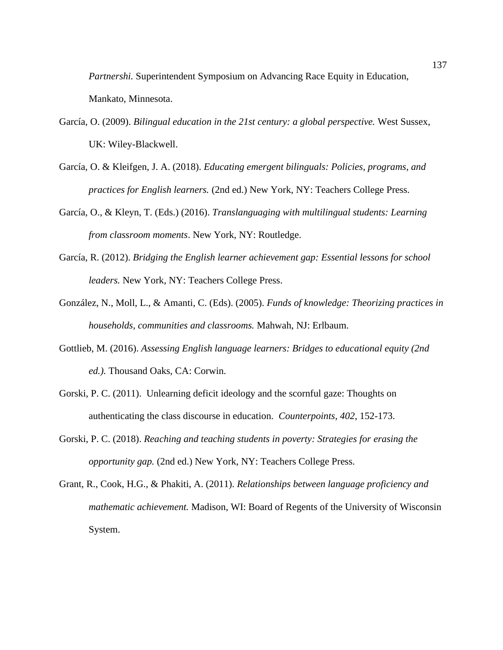*Partnershi.* Superintendent Symposium on Advancing Race Equity in Education, Mankato, Minnesota.

- García, O. (2009). *Bilingual education in the 21st century: a global perspective.* West Sussex, UK: Wiley-Blackwell.
- García, O. & Kleifgen, J. A. (2018). *Educating emergent bilinguals: Policies, programs, and practices for English learners.* (2nd ed.) New York, NY: Teachers College Press.
- García, O., & Kleyn, T. (Eds.) (2016). *Translanguaging with multilingual students: Learning from classroom moments*. New York, NY: Routledge.
- García, R. (2012). *Bridging the English learner achievement gap: Essential lessons for school leaders.* New York, NY: Teachers College Press.
- González, N., Moll, L., & Amanti, C. (Eds). (2005). *Funds of knowledge: Theorizing practices in households, communities and classrooms.* Mahwah, NJ: Erlbaum.
- Gottlieb, M. (2016). *Assessing English language learners: Bridges to educational equity (2nd ed.).* Thousand Oaks, CA: Corwin.
- Gorski, P. C. (2011). Unlearning deficit ideology and the scornful gaze: Thoughts on authenticating the class discourse in education. *Counterpoints, 402*, 152-173.
- Gorski, P. C. (2018). *Reaching and teaching students in poverty: Strategies for erasing the opportunity gap.* (2nd ed.) New York, NY: Teachers College Press.
- Grant, R., Cook, H.G., & Phakiti, A. (2011). *Relationships between language proficiency and mathematic achievement.* Madison, WI: Board of Regents of the University of Wisconsin System.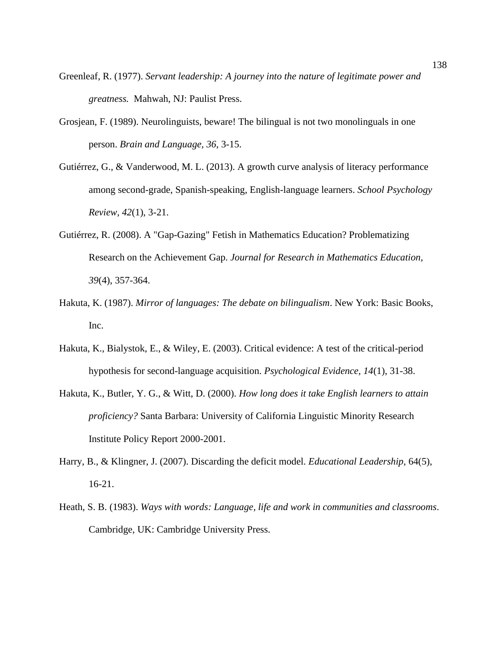- Greenleaf, R. (1977). *Servant leadership: A journey into the nature of legitimate power and greatness.* Mahwah, NJ: Paulist Press.
- Grosjean, F. (1989). Neurolinguists, beware! The bilingual is not two monolinguals in one person. *Brain and Language, 36*, 3-15.
- Gutiérrez, G., & Vanderwood, M. L. (2013). A growth curve analysis of literacy performance among second-grade, Spanish-speaking, English-language learners. *School Psychology Review, 42*(1), 3-21.
- Gutiérrez, R. (2008). A "Gap-Gazing" Fetish in Mathematics Education? Problematizing Research on the Achievement Gap. *Journal for Research in Mathematics Education, 39*(4), 357-364.
- Hakuta, K. (1987). *Mirror of languages: The debate on bilingualism*. New York: Basic Books, Inc.
- Hakuta, K., Bialystok, E., & Wiley, E. (2003). Critical evidence: A test of the critical-period hypothesis for second-language acquisition. *Psychological Evidence, 14*(1), 31-38.
- Hakuta, K., Butler, Y. G., & Witt, D. (2000). *How long does it take English learners to attain proficiency?* Santa Barbara: University of California Linguistic Minority Research Institute Policy Report 2000-2001.
- Harry, B., & Klingner, J. (2007). Discarding the deficit model. *Educational Leadership*, 64(5), 16-21.
- Heath, S. B. (1983). *Ways with words: Language, life and work in communities and classrooms*. Cambridge, UK: Cambridge University Press.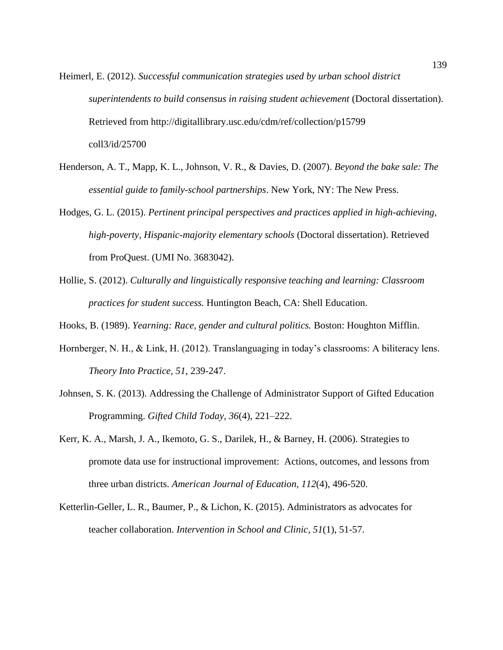- Heimerl, E. (2012). *Successful communication strategies used by urban school district superintendents to build consensus in raising student achievement* (Doctoral dissertation). Retrieved from http://digitallibrary.usc.edu/cdm/ref/collection/p15799 coll3/id/25700
- Henderson, A. T., Mapp, K. L., Johnson, V. R., & Davies, D. (2007). *Beyond the bake sale: The essential guide to family-school partnerships*. New York, NY: The New Press.
- Hodges, G. L. (2015). *Pertinent principal perspectives and practices applied in high-achieving, high-poverty, Hispanic-majority elementary schools* (Doctoral dissertation). Retrieved from ProQuest. (UMI No. 3683042).
- Hollie, S. (2012). *Culturally and linguistically responsive teaching and learning: Classroom practices for student success.* Huntington Beach, CA: Shell Education.
- Hooks, B. (1989). *Yearning: Race, gender and cultural politics.* Boston: Houghton Mifflin.
- Hornberger, N. H., & Link, H. (2012). Translanguaging in today's classrooms: A biliteracy lens. *Theory Into Practice, 51*, 239-247.
- Johnsen, S. K. (2013). Addressing the Challenge of Administrator Support of Gifted Education Programming. *Gifted Child Today, 36*(4), 221–222.
- Kerr, K. A., Marsh, J. A., Ikemoto, G. S., Darilek, H., & Barney, H. (2006). Strategies to promote data use for instructional improvement: Actions, outcomes, and lessons from three urban districts. *American Journal of Education, 112*(4), 496-520.
- Ketterlin-Geller, L. R., Baumer, P., & Lichon, K. (2015). Administrators as advocates for teacher collaboration. *Intervention in School and Clinic, 51*(1), 51-57.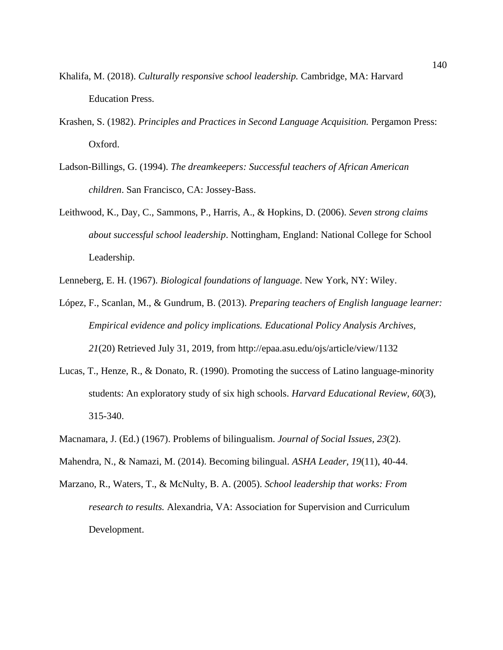- Khalifa, M. (2018). *Culturally responsive school leadership.* Cambridge, MA: Harvard Education Press.
- Krashen, S. (1982). *Principles and Practices in Second Language Acquisition.* Pergamon Press: Oxford.
- Ladson-Billings, G. (1994). *The dreamkeepers: Successful teachers of African American children*. San Francisco, CA: Jossey-Bass.
- Leithwood, K., Day, C., Sammons, P., Harris, A., & Hopkins, D. (2006). *Seven strong claims about successful school leadership*. Nottingham, England: National College for School Leadership.
- Lenneberg, E. H. (1967). *Biological foundations of language*. New York, NY: Wiley.
- López, F., Scanlan, M., & Gundrum, B. (2013). *Preparing teachers of English language learner: Empirical evidence and policy implications. Educational Policy Analysis Archives, 21*(20) Retrieved July 31, 2019, from http://epaa.asu.edu/ojs/article/view/1132
- Lucas, T., Henze, R., & Donato, R. (1990). Promoting the success of Latino language-minority students: An exploratory study of six high schools. *Harvard Educational Review, 60*(3), 315-340.
- Macnamara, J. (Ed.) (1967). Problems of bilingualism. *Journal of Social Issues, 23*(2).
- Mahendra, N., & Namazi, M. (2014). Becoming bilingual. *ASHA Leader, 19*(11), 40-44.
- Marzano, R., Waters, T., & McNulty, B. A. (2005). *School leadership that works: From research to results.* Alexandria, VA: Association for Supervision and Curriculum Development.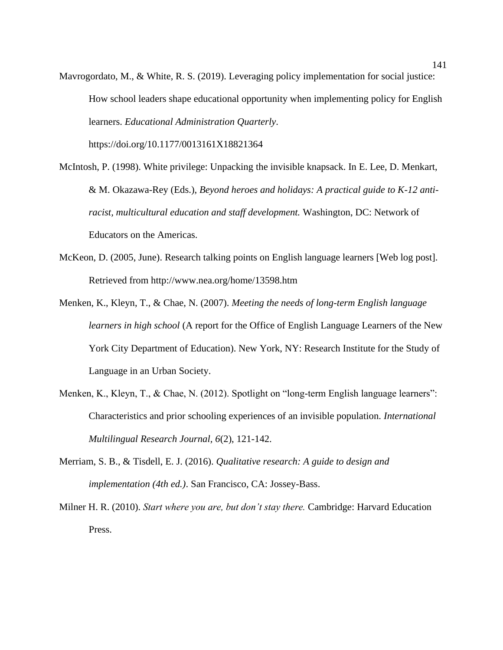Mavrogordato, M., & White, R. S. (2019). Leveraging policy implementation for social justice: How school leaders shape educational opportunity when implementing policy for English learners. *Educational Administration Quarterly*.

https://doi.org/10.1177/0013161X18821364

- McIntosh, P. (1998). White privilege: Unpacking the invisible knapsack. In E. Lee, D. Menkart, & M. Okazawa-Rey (Eds.), *Beyond heroes and holidays: A practical guide to K-12 antiracist, multicultural education and staff development.* Washington, DC: Network of Educators on the Americas.
- McKeon, D. (2005, June). Research talking points on English language learners [Web log post]. Retrieved from http://www.nea.org/home/13598.htm
- Menken, K., Kleyn, T., & Chae, N. (2007). *Meeting the needs of long-term English language learners in high school* (A report for the Office of English Language Learners of the New York City Department of Education). New York, NY: Research Institute for the Study of Language in an Urban Society.
- Menken, K., Kleyn, T., & Chae, N. (2012). Spotlight on "long-term English language learners": Characteristics and prior schooling experiences of an invisible population. *International Multilingual Research Journal, 6*(2), 121-142.
- Merriam, S. B., & Tisdell, E. J. (2016). *Qualitative research: A guide to design and implementation (4th ed.)*. San Francisco, CA: Jossey-Bass.
- Milner H. R. (2010). *Start where you are, but don't stay there.* Cambridge: Harvard Education Press.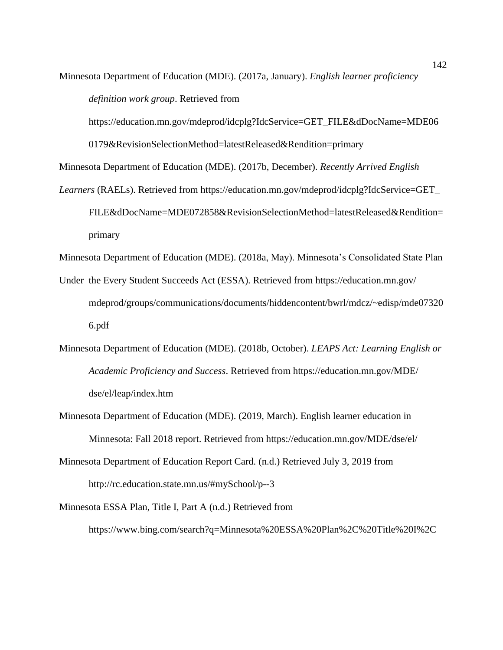Minnesota Department of Education (MDE). (2017a, January). *English learner proficiency definition work group*. Retrieved from

https://education.mn.gov/mdeprod/idcplg?IdcService=GET\_FILE&dDocName=MDE06

0179&RevisionSelectionMethod=latestReleased&Rendition=primary

Minnesota Department of Education (MDE). (2017b, December). *Recently Arrived English* 

*Learners* (RAELs). Retrieved from https://education.mn.gov/mdeprod/idcplg?IdcService=GET\_ FILE&dDocName=MDE072858&RevisionSelectionMethod=latestReleased&Rendition= primary

Minnesota Department of Education (MDE). (2018a, May). Minnesota's Consolidated State Plan

- Under the Every Student Succeeds Act (ESSA). Retrieved from https://education.mn.gov/ mdeprod/groups/communications/documents/hiddencontent/bwrl/mdcz/~edisp/mde07320 6.pdf
- Minnesota Department of Education (MDE). (2018b, October). *LEAPS Act: Learning English or Academic Proficiency and Success*. Retrieved from https://education.mn.gov/MDE/ dse/el/leap/index.htm
- Minnesota Department of Education (MDE). (2019, March). English learner education in Minnesota: Fall 2018 report. Retrieved from<https://education.mn.gov/MDE/dse/el/>
- Minnesota Department of Education Report Card. (n.d.) Retrieved July 3, 2019 from <http://rc.education.state.mn.us/#mySchool/p--3>
- Minnesota ESSA Plan, Title I, Part A (n.d.) Retrieved from [https://www.bing.com/search?q=Minnesota%20ESSA%20Plan%2C%20Title%20I%2C](https://www.bing.com/search?q=Minnesota%20ESSA%20Plan%2C%20Title%20I%2C%20Part%20A&pc=cosp&ptag=G6C24N1234D010915A316A5D3C6E&form=CONBDF&conlogo=CT3210127)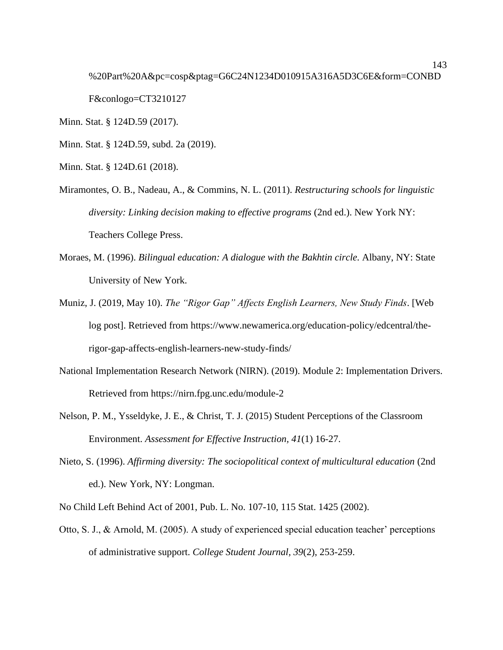[%20Part%20A&pc=cosp&ptag=G6C24N1234D010915A316A5D3C6E&form=CONBD](https://www.bing.com/search?q=Minnesota%20ESSA%20Plan%2C%20Title%20I%2C%20Part%20A&pc=cosp&ptag=G6C24N1234D010915A316A5D3C6E&form=CONBDF&conlogo=CT3210127) [F&conlogo=CT3210127](https://www.bing.com/search?q=Minnesota%20ESSA%20Plan%2C%20Title%20I%2C%20Part%20A&pc=cosp&ptag=G6C24N1234D010915A316A5D3C6E&form=CONBDF&conlogo=CT3210127)

Minn. Stat. § 124D.59 (2017).

Minn. Stat. § 124D.59, subd. 2a (2019).

- Minn. Stat. § 124D.61 (2018).
- Miramontes, O. B., Nadeau, A., & Commins, N. L. (2011). *Restructuring schools for linguistic diversity: Linking decision making to effective programs* (2nd ed.). New York NY: Teachers College Press.
- Moraes, M. (1996). *Bilingual education: A dialogue with the Bakhtin circle.* Albany, NY: State University of New York.
- Muniz, J. (2019, May 10). *The "Rigor Gap" Affects English Learners, New Study Finds*. [Web log post]. Retrieved from https://www.newamerica.org/education-policy/edcentral/therigor-gap-affects-english-learners-new-study-finds/
- National Implementation Research Network (NIRN). (2019). Module 2: Implementation Drivers. Retrieved from https://nirn.fpg.unc.edu/module-2
- Nelson, P. M., Ysseldyke, J. E., & Christ, T. J. (2015) Student Perceptions of the Classroom Environment. *Assessment for Effective Instruction, 41*(1) 16-27.
- Nieto, S. (1996). *Affirming diversity: The sociopolitical context of multicultural education* (2nd ed.). New York, NY: Longman.

No Child Left Behind Act of 2001, Pub. L. No. 107-10, 115 Stat. 1425 (2002).

Otto, S. J., & Arnold, M. (2005). A study of experienced special education teacher' perceptions of administrative support. *College Student Journal, 39*(2), 253-259.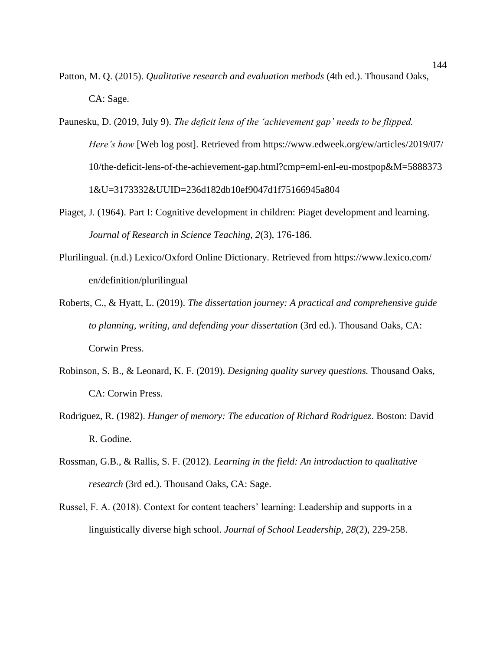Patton, M. Q. (2015). *Qualitative research and evaluation methods* (4th ed.). Thousand Oaks, CA: Sage.

Paunesku, D. (2019, July 9). *The deficit lens of the 'achievement gap' needs to be flipped. Here's how* [Web log post]. Retrieved from https://www.edweek.org/ew/articles/2019/07/ 10/the-deficit-lens-of-the-achievement-gap.html?cmp=eml-enl-eu-mostpop&M=5888373 1&U=3173332&UUID=236d182db10ef9047d1f75166945a804

- Piaget, J. (1964). Part I: Cognitive development in children: Piaget development and learning. *Journal of Research in Science Teaching, 2*(3), 176-186.
- Plurilingual. (n.d.) Lexico/Oxford Online Dictionary. Retrieved from https://www.lexico.com/ en/definition/plurilingual
- Roberts, C., & Hyatt, L. (2019). *The dissertation journey: A practical and comprehensive guide to planning, writing, and defending your dissertation* (3rd ed.). Thousand Oaks, CA: Corwin Press.
- Robinson, S. B., & Leonard, K. F. (2019). *Designing quality survey questions.* Thousand Oaks, CA: Corwin Press.
- Rodriguez, R. (1982). *Hunger of memory: The education of Richard Rodriguez*. Boston: David R. Godine.
- Rossman, G.B., & Rallis, S. F. (2012). *Learning in the field: An introduction to qualitative research* (3rd ed.). Thousand Oaks, CA: Sage.
- Russel, F. A. (2018). Context for content teachers' learning: Leadership and supports in a linguistically diverse high school. *Journal of School Leadership, 28*(2), 229-258.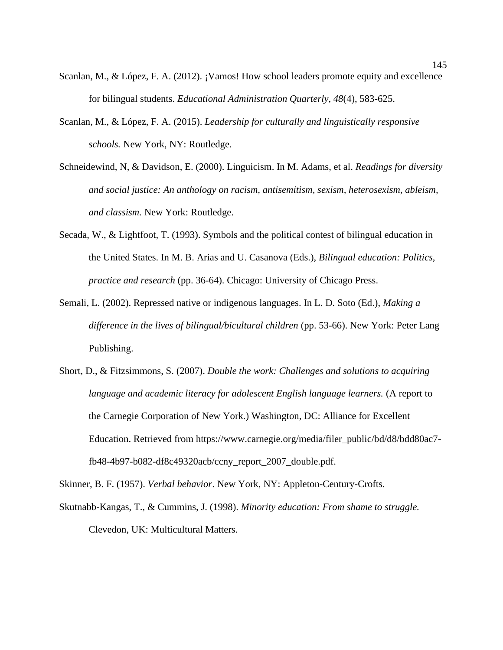- Scanlan, M., & López, F. A. (2012). ¡Vamos! How school leaders promote equity and excellence for bilingual students. *Educational Administration Quarterly, 48*(4), 583-625.
- Scanlan, M., & López, F. A. (2015). *Leadership for culturally and linguistically responsive schools.* New York, NY: Routledge.
- Schneidewind, N, & Davidson, E. (2000). Linguicism. In M. Adams, et al. *Readings for diversity and social justice: An anthology on racism, antisemitism, sexism, heterosexism, ableism, and classism.* New York: Routledge.
- Secada, W., & Lightfoot, T. (1993). Symbols and the political contest of bilingual education in the United States. In M. B. Arias and U. Casanova (Eds.), *Bilingual education: Politics, practice and research* (pp. 36-64). Chicago: University of Chicago Press.
- Semali, L. (2002). Repressed native or indigenous languages. In L. D. Soto (Ed.), *Making a difference in the lives of bilingual/bicultural children* (pp. 53-66). New York: Peter Lang Publishing.
- Short, D., & Fitzsimmons, S. (2007). *Double the work: Challenges and solutions to acquiring language and academic literacy for adolescent English language learners.* (A report to the Carnegie Corporation of New York.) Washington, DC: Alliance for Excellent Education. Retrieved from https://www.carnegie.org/media/filer\_public/bd/d8/bdd80ac7 fb48-4b97-b082-df8c49320acb/ccny\_report\_2007\_double.pdf.

Skinner, B. F. (1957). *Verbal behavior*. New York, NY: Appleton-Century-Crofts.

Skutnabb-Kangas, T., & Cummins, J. (1998). *Minority education: From shame to struggle.* Clevedon, UK: Multicultural Matters.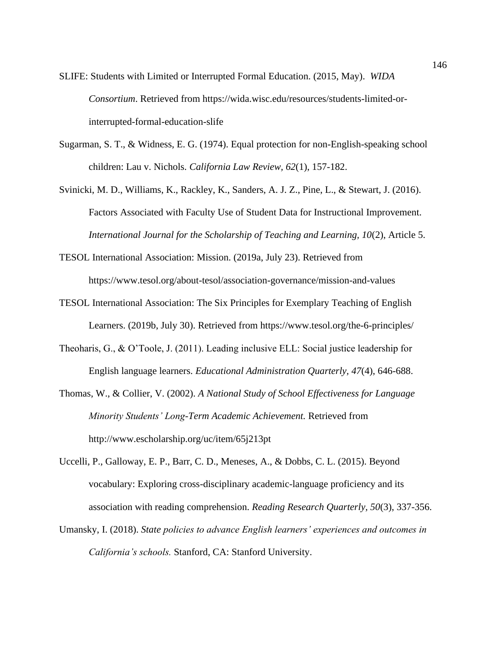- SLIFE: Students with Limited or Interrupted Formal Education. (2015, May). *WIDA Consortium*. Retrieved from https://wida.wisc.edu/resources/students-limited-orinterrupted-formal-education-slife
- Sugarman, S. T., & Widness, E. G. (1974). Equal protection for non-English-speaking school children: Lau v. Nichols. *California Law Review, 62*(1), 157-182.
- Svinicki, M. D., Williams, K., Rackley, K., Sanders, A. J. Z., Pine, L., & Stewart, J. (2016). Factors Associated with Faculty Use of Student Data for Instructional Improvement. *International Journal for the Scholarship of Teaching and Learning, 10*(2), Article 5.
- TESOL International Association: Mission. (2019a, July 23). Retrieved from https://www.tesol.org/about-tesol/association-governance/mission-and-values
- TESOL International Association: The Six Principles for Exemplary Teaching of English Learners. (2019b, July 30). Retrieved from<https://www.tesol.org/the-6-principles/>
- Theoharis, G., & O'Toole, J. (2011). Leading inclusive ELL: Social justice leadership for English language learners. *Educational Administration Quarterly, 47*(4), 646-688.
- Thomas, W., & Collier, V. (2002). *A National Study of School Effectiveness for Language Minority Students' Long-Term Academic Achievement.* Retrieved from http://www.escholarship.org/uc/item/65j213pt
- Uccelli, P., Galloway, E. P., Barr, C. D., Meneses, A., & Dobbs, C. L. (2015). Beyond vocabulary: Exploring cross-disciplinary academic-language proficiency and its association with reading comprehension. *Reading Research Quarterly, 50*(3), 337-356.
- Umansky, I. (2018). *State policies to advance English learners' experiences and outcomes in California's schools.* Stanford, CA: Stanford University.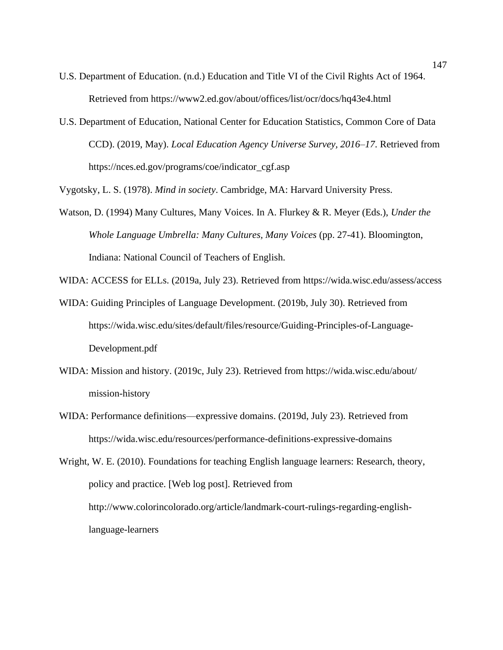- U.S. Department of Education. (n.d.) Education and Title VI of the Civil Rights Act of 1964. Retrieved from https://www2.ed.gov/about/offices/list/ocr/docs/hq43e4.html
- U.S. Department of Education, National Center for Education Statistics, Common Core of Data CCD). (2019, May). *Local Education Agency Universe Survey, 2016–17*. Retrieved from [https://nces.ed.gov/programs/coe/indicator\\_cgf.asp](https://nces.ed.gov/programs/coe/indicator_cgf.asp)

Vygotsky, L. S. (1978). *Mind in society*. Cambridge, MA: Harvard University Press.

Watson, D. (1994) Many Cultures, Many Voices. In A. Flurkey & R. Meyer (Eds.), *Under the Whole Language Umbrella: Many Cultures, Many Voices* (pp. 27-41). Bloomington, Indiana: National Council of Teachers of English.

WIDA: ACCESS for ELLs. (2019a, July 23). Retrieved from https://wida.wisc.edu/assess/access

- WIDA: Guiding Principles of Language Development. (2019b, July 30). Retrieved from https://wida.wisc.edu/sites/default/files/resource/Guiding-Principles-of-Language-Development.pdf
- WIDA: Mission and history. (2019c, July 23). Retrieved from https://wida.wisc.edu/about/ mission-history
- WIDA: Performance definitions—expressive domains. (2019d, July 23). Retrieved from https://wida.wisc.edu/resources/performance-definitions-expressive-domains

Wright, W. E. (2010). Foundations for teaching English language learners: Research, theory, policy and practice. [Web log post]. Retrieved from http://www.colorincolorado.org/article/landmark-court-rulings-regarding-englishlanguage-learners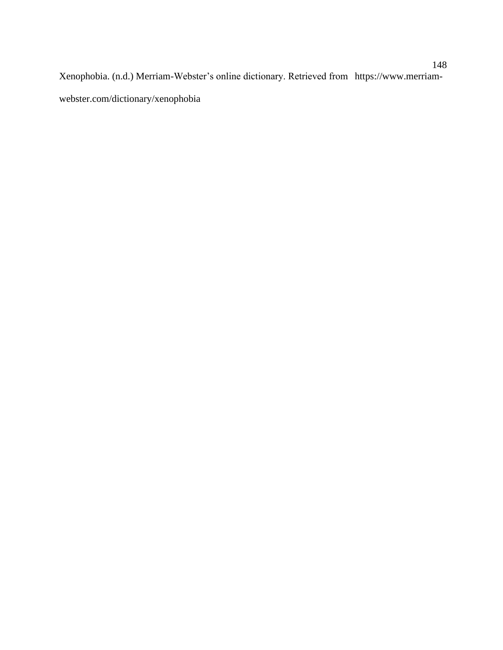Xenophobia. (n.d.) Merriam-Webster's online dictionary. Retrieved from https://www.merriamwebster.com/dictionary/xenophobia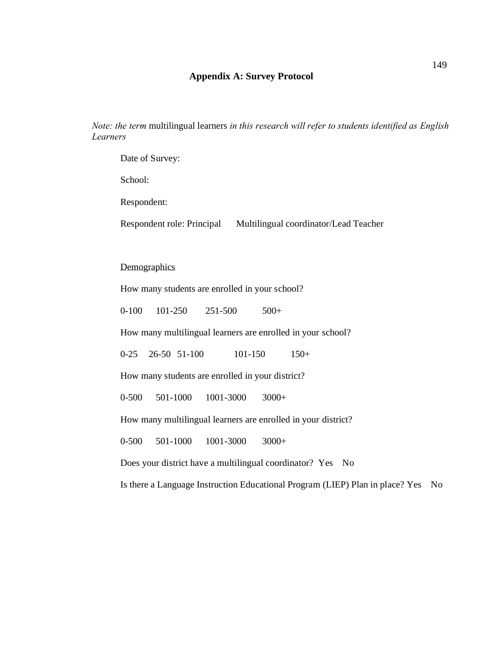# **Appendix A: Survey Protocol**

*Note: the term* multilingual learners *in this research will refer to students identified as English Learners*

Date of Survey:

School:

Respondent:

Respondent role: Principal Multilingual coordinator/Lead Teacher

#### **Demographics**

How many students are enrolled in your school?

0-100 101-250 251-500 500+

How many multilingual learners are enrolled in your school?

0-25 26-50 51-100 101-150 150+

How many students are enrolled in your district?

0-500 501-1000 1001-3000 3000+

How many multilingual learners are enrolled in your district?

0-500 501-1000 1001-3000 3000+

Does your district have a multilingual coordinator? Yes No

Is there a Language Instruction Educational Progra m (LIEP) Plan in place? Yes No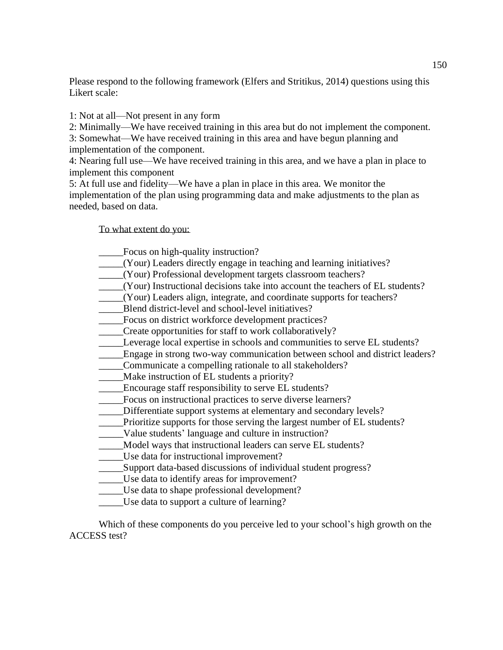Please respond to the following framework (Elfers and Stritikus, 2014) questions using this Likert scale:

1: Not at all—Not present in any form

2: Minimally—We have received training in this area but do not implement the component. 3: Somewhat—We have received training in this area and have begun planning and implementation of the component.

4: Nearing full use—We have received training in this area, and we have a plan in place to implement this component

5: At full use and fidelity—We have a plan in place in this area. We monitor the implementation of the plan using programming data and make adjustments to the plan as needed, based on data.

To what extent do you:

- \_\_\_\_\_Focus on high-quality instruction?
- \_\_\_\_\_(Your) Leaders directly engage in teaching and learning initiatives?
- \_\_\_\_\_(Your) Professional development targets classroom teachers?
- \_\_\_\_\_(Your) Instructional decisions take into account the teachers of EL students?
- \_\_\_\_\_(Your) Leaders align, integrate, and coordinate supports for teachers?
- Blend district-level and school-level initiatives?
- \_\_\_\_\_Focus on district workforce development practices?
- \_\_\_\_\_Create opportunities for staff to work collaboratively?
- \_\_\_\_\_Leverage local expertise in schools and communities to serve EL students?
- \_\_\_\_\_Engage in strong two-way communication between school and district leaders?
- \_\_\_\_\_Communicate a compelling rationale to all stakeholders?
- \_\_\_\_\_Make instruction of EL students a priority?
- \_\_\_\_\_Encourage staff responsibility to serve EL students?
- \_\_\_\_\_Focus on instructional practices to serve diverse learners?
- Differentiate support systems at elementary and secondary levels?
- \_\_\_\_\_Prioritize supports for those serving the largest number of EL students?
- \_\_\_\_\_Value students' language and culture in instruction?
- Model ways that instructional leaders can serve EL students?
- \_\_\_\_\_Use data for instructional improvement?
- \_\_\_\_\_Support data-based discussions of individual student progress?
- Use data to identify areas for improvement?
- Use data to shape professional development?
- \_\_\_\_\_Use data to support a culture of learning?

Which of these components do you perceive led to your school's high growth on the ACCESS test?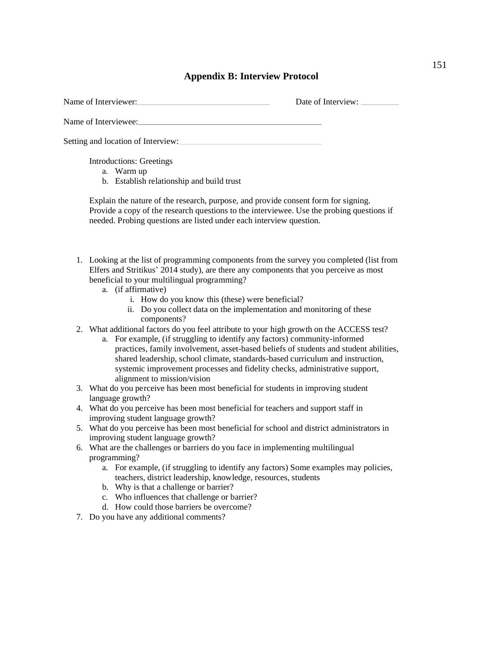# **Appendix B: Interview Protocol**

| Name of Interviewer:<br>Date of Interview:                                                                                                                                                                                                                                                                                                                                                                                                                      |
|-----------------------------------------------------------------------------------------------------------------------------------------------------------------------------------------------------------------------------------------------------------------------------------------------------------------------------------------------------------------------------------------------------------------------------------------------------------------|
| Name of Interviewee:                                                                                                                                                                                                                                                                                                                                                                                                                                            |
| Setting and location of Interview:                                                                                                                                                                                                                                                                                                                                                                                                                              |
| <b>Introductions: Greetings</b><br>a. Warm up<br>b. Establish relationship and build trust                                                                                                                                                                                                                                                                                                                                                                      |
| Explain the nature of the research, purpose, and provide consent form for signing.<br>Provide a copy of the research questions to the interviewee. Use the probing questions if<br>needed. Probing questions are listed under each interview question.                                                                                                                                                                                                          |
| 1. Looking at the list of programming components from the survey you completed (list from<br>Elfers and Stritikus' 2014 study), are there any components that you perceive as most<br>beneficial to your multilingual programming?<br>a. (if affirmative)                                                                                                                                                                                                       |
| i. How do you know this (these) were beneficial?<br>ii. Do you collect data on the implementation and monitoring of these<br>components?                                                                                                                                                                                                                                                                                                                        |
| 2. What additional factors do you feel attribute to your high growth on the ACCESS test?<br>a. For example, (if struggling to identify any factors) community-informed<br>practices, family involvement, asset-based beliefs of students and student abilities,<br>shared leadership, school climate, standards-based curriculum and instruction,<br>systemic improvement processes and fidelity checks, administrative support,<br>alignment to mission/vision |
| 3. What do you perceive has been most beneficial for students in improving student                                                                                                                                                                                                                                                                                                                                                                              |
| language growth?<br>4. What do you perceive has been most beneficial for teachers and support staff in<br>improving student language growth?                                                                                                                                                                                                                                                                                                                    |
| 5. What do you perceive has been most beneficial for school and district administrators in<br>improving student language growth?                                                                                                                                                                                                                                                                                                                                |
| 6. What are the challenges or barriers do you face in implementing multilingual<br>programming?<br>a. For example, (if struggling to identify any factors) Some examples may policies,<br>teachers, district leadership, knowledge, resources, students<br>b. Why is that a challenge or barrier?<br>c. Who influences that challenge or barrier?                                                                                                               |
| d. How could those barriers be overcome?<br>7. Do you have any additional comments?                                                                                                                                                                                                                                                                                                                                                                             |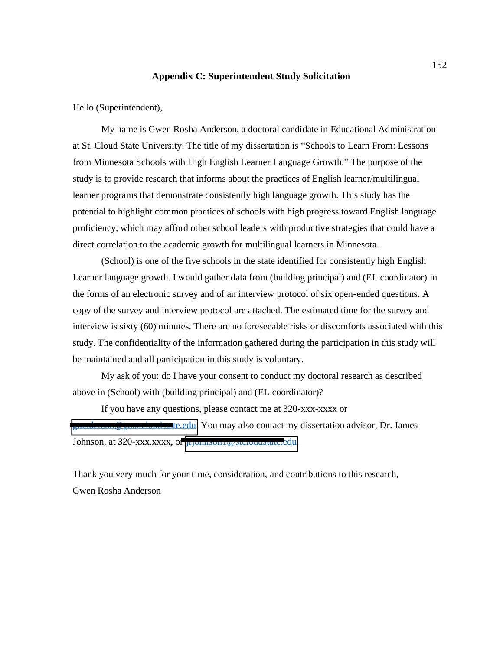## **Appendix C: Superintendent Study Solicitation**

Hello (Superintendent), My name is Gwen Rosha Anderson, a doctoral candidate in Educational Administration at St. Cloud State University. The title of my dissertation is "Schools to Learn From: Lessons from Minnesota Schools with High English Learner Language Growth." The purpose of the study is to provide research that informs about the practices of English learner/multilingual learner programs that demonstrate consistently high language growth. This study has the potential to highlight com mon practices of schools with high progress toward English language proficiency, which may afford other school leaders with productive strategies that could have a direct correlation to the acade mic growth for multilingual learners in Minnesota.

(School) is one of the five schools in the state identified for consistently high English<br>Learner language growth. I would gather data from (building principal) and (EL coordinator) in<br>the forms of an electronic survey and copy of the survey and interview protocol are attached. The estimated time for the survey and interview is sixty (60) minutes. There are no foreseeable risks or discomforts associated with this study. The confidentiality of the information gathered during the participation in this study will be maintained and all participation in this study is voluntary.

My ask of you: do I have your consent to conduct my doctoral research as described above in (School) with (building principal) and (EL coordinator)?

If you have any questions, please contact me at 320-xxx-xxxx or

 $\blacksquare$ te.edu. You may also contact my dissertation advisor, Dr. James Johnson, at 320-xxx.xxxx, or *jujohnson1* @stcloudstate.edu.

Thank you very much for your time, consideration, and contributions to this research, Gwen Rosha Anderson